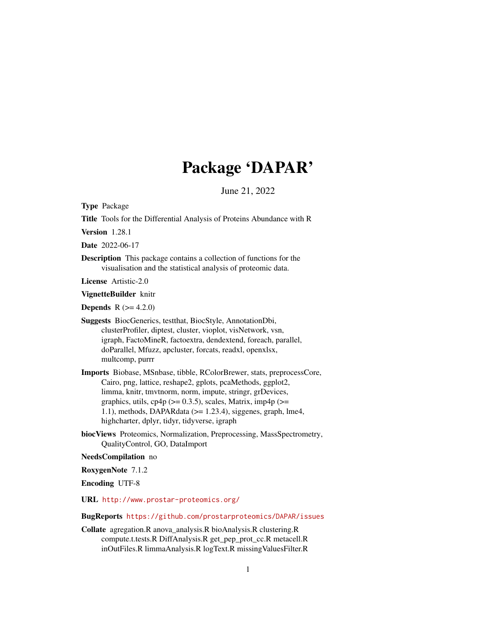# Package 'DAPAR'

June 21, 2022

<span id="page-0-0"></span>Type Package

Title Tools for the Differential Analysis of Proteins Abundance with R

Version 1.28.1

Date 2022-06-17

Description This package contains a collection of functions for the visualisation and the statistical analysis of proteomic data.

License Artistic-2.0

VignetteBuilder knitr

**Depends**  $R (= 4.2.0)$ 

Suggests BiocGenerics, testthat, BiocStyle, AnnotationDbi, clusterProfiler, diptest, cluster, vioplot, visNetwork, vsn, igraph, FactoMineR, factoextra, dendextend, foreach, parallel, doParallel, Mfuzz, apcluster, forcats, readxl, openxlsx, multcomp, purrr

Imports Biobase, MSnbase, tibble, RColorBrewer, stats, preprocessCore, Cairo, png, lattice, reshape2, gplots, pcaMethods, ggplot2, limma, knitr, tmvtnorm, norm, impute, stringr, grDevices, graphics, utils, cp4p ( $>= 0.3.5$ ), scales, Matrix, imp4p ( $>=$ 1.1), methods, DAPARdata ( $> = 1.23.4$ ), siggenes, graph, lme4, highcharter, dplyr, tidyr, tidyverse, igraph

biocViews Proteomics, Normalization, Preprocessing, MassSpectrometry, QualityControl, GO, DataImport

# NeedsCompilation no

RoxygenNote 7.1.2

Encoding UTF-8

URL <http://www.prostar-proteomics.org/>

# BugReports <https://github.com/prostarproteomics/DAPAR/issues>

Collate agregation.R anova\_analysis.R bioAnalysis.R clustering.R compute.t.tests.R DiffAnalysis.R get\_pep\_prot\_cc.R metacell.R inOutFiles.R limmaAnalysis.R logText.R missingValuesFilter.R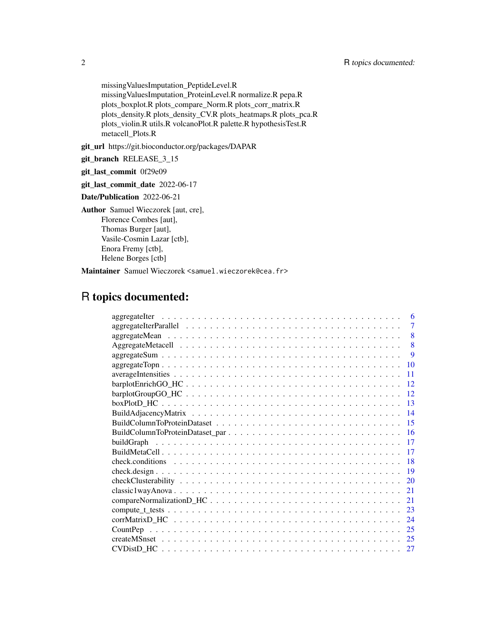missingValuesImputation\_PeptideLevel.R missingValuesImputation\_ProteinLevel.R normalize.R pepa.R plots\_boxplot.R plots\_compare\_Norm.R plots\_corr\_matrix.R plots\_density.R plots\_density\_CV.R plots\_heatmaps.R plots\_pca.R plots\_violin.R utils.R volcanoPlot.R palette.R hypothesisTest.R metacell\_Plots.R

git\_url https://git.bioconductor.org/packages/DAPAR

git\_branch RELEASE\_3\_15

git\_last\_commit 0f29e09

git\_last\_commit\_date 2022-06-17

Date/Publication 2022-06-21

Author Samuel Wieczorek [aut, cre],

Florence Combes [aut], Thomas Burger [aut], Vasile-Cosmin Lazar [ctb], Enora Fremy [ctb], Helene Borges [ctb]

Maintainer Samuel Wieczorek <samuel.wieczorek@cea.fr>

# R topics documented:

| 6             |
|---------------|
| 7             |
| 8             |
| 8             |
| <b>9</b>      |
| 10            |
| 11            |
| 12            |
| -12           |
| $-13$         |
|               |
|               |
|               |
|               |
| -17           |
| -18           |
| -19           |
| <sup>20</sup> |
| 21            |
| 21            |
|               |
| 24            |
|               |
| 25            |
| -27           |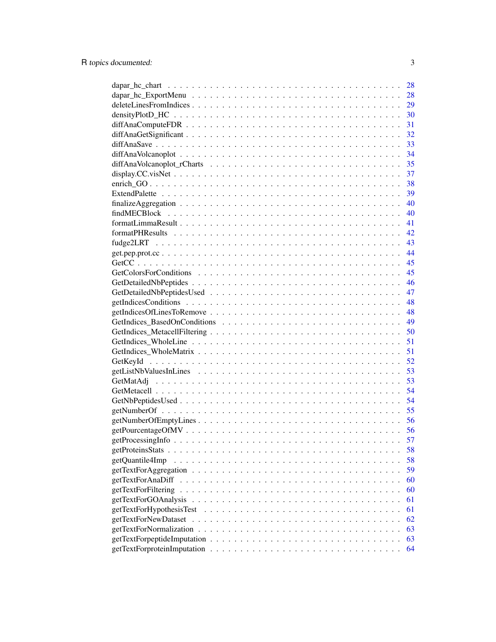|                          | 28 |
|--------------------------|----|
|                          | 28 |
|                          | 29 |
|                          | 30 |
|                          | 31 |
|                          | 32 |
|                          | 33 |
|                          | 34 |
|                          | 35 |
|                          | 37 |
|                          | 38 |
|                          | 39 |
|                          | 40 |
|                          | 40 |
|                          | 41 |
|                          | 42 |
|                          | 43 |
|                          | 44 |
|                          | 45 |
|                          | 45 |
|                          | 46 |
|                          | 47 |
|                          | 48 |
|                          | 48 |
|                          | 49 |
|                          | 50 |
|                          | 51 |
|                          | 51 |
|                          | 52 |
|                          | 53 |
|                          | 53 |
|                          | 54 |
|                          | 54 |
|                          | 55 |
|                          | 56 |
|                          | 56 |
|                          | 57 |
|                          | 58 |
| getQuantile4Imp          | 58 |
|                          | 59 |
| getTextForAnaDiff        | 60 |
| getTextForFiltering      | 60 |
| getTextForGOAnalysis     | 61 |
| getTextForHypothesisTest | 61 |
| getTextForNewDataset     | 62 |
|                          | 63 |
|                          | 63 |
|                          | 64 |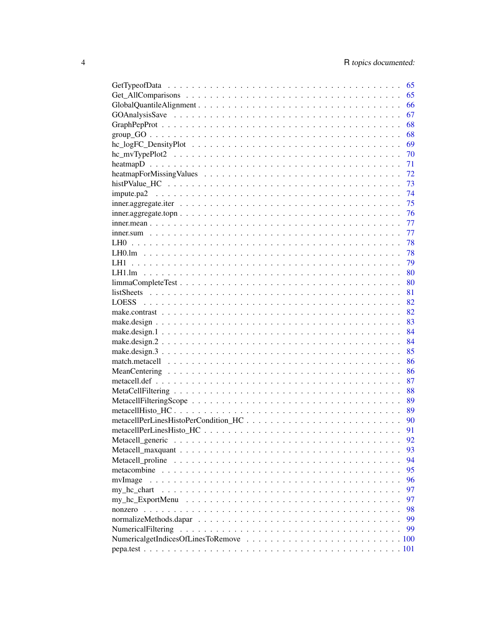|                                                                                                                        | 65 |
|------------------------------------------------------------------------------------------------------------------------|----|
|                                                                                                                        | 65 |
|                                                                                                                        | 66 |
|                                                                                                                        | 67 |
|                                                                                                                        | 68 |
| $group_GO \dots \dots \dots \dots \dots \dots \dots \dots \dots \dots \dots \dots \dots \dots \dots \dots \dots \dots$ | 68 |
|                                                                                                                        | 69 |
|                                                                                                                        | 70 |
|                                                                                                                        | 71 |
|                                                                                                                        | 72 |
|                                                                                                                        | 73 |
|                                                                                                                        | 74 |
|                                                                                                                        | 75 |
| $inner. aggregate. top n \ldots \ldots \ldots \ldots \ldots \ldots \ldots \ldots \ldots \ldots \ldots \ldots \ldots$   | 76 |
|                                                                                                                        | 77 |
|                                                                                                                        | 77 |
|                                                                                                                        | 78 |
|                                                                                                                        | 78 |
| LH1                                                                                                                    | 79 |
|                                                                                                                        |    |
|                                                                                                                        |    |
|                                                                                                                        |    |
|                                                                                                                        |    |
|                                                                                                                        |    |
|                                                                                                                        | 83 |
|                                                                                                                        | 84 |
|                                                                                                                        | 84 |
|                                                                                                                        | 85 |
|                                                                                                                        | 86 |
|                                                                                                                        | 86 |
|                                                                                                                        | 87 |
|                                                                                                                        | 88 |
|                                                                                                                        |    |
|                                                                                                                        | 89 |
|                                                                                                                        | 90 |
|                                                                                                                        |    |
|                                                                                                                        |    |
|                                                                                                                        | 92 |
|                                                                                                                        | 93 |
|                                                                                                                        | 94 |
|                                                                                                                        | 95 |
| mvImage                                                                                                                | 96 |
| my_hc_chart                                                                                                            | 97 |
|                                                                                                                        | 97 |
|                                                                                                                        | 98 |
|                                                                                                                        | 99 |
|                                                                                                                        | 99 |
|                                                                                                                        |    |
|                                                                                                                        |    |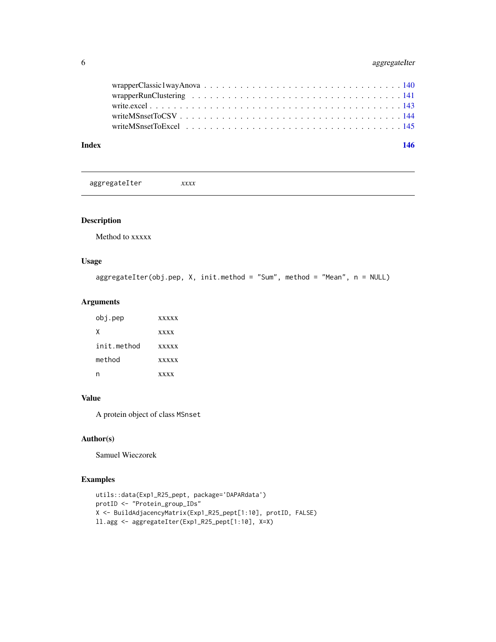<span id="page-5-0"></span>

| Index | 146 |  |
|-------|-----|--|

aggregateIter *xxxx*

#### Description

Method to xxxxx

# Usage

```
aggregateIter(obj.pep, X, init.method = "Sum", method = "Mean", n = NULL)
```
# Arguments

| obj.pep     | <b>XXXXX</b> |
|-------------|--------------|
| x           | <b>xxxx</b>  |
| init method | <b>xxxxx</b> |
| method      | <b>XXXXX</b> |
|             | <b>xxxx</b>  |

# Value

A protein object of class MSnset

# Author(s)

Samuel Wieczorek

```
utils::data(Exp1_R25_pept, package='DAPARdata')
protID <- "Protein_group_IDs"
X <- BuildAdjacencyMatrix(Exp1_R25_pept[1:10], protID, FALSE)
ll.agg <- aggregateIter(Exp1_R25_pept[1:10], X=X)
```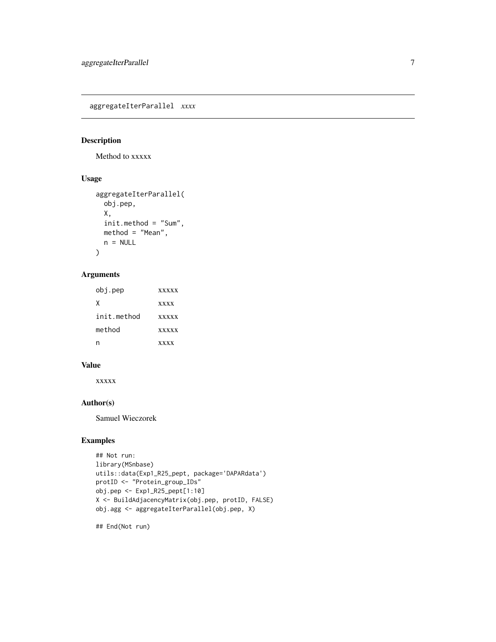<span id="page-6-0"></span>aggregateIterParallel *xxxx*

# Description

Method to xxxxx

# Usage

```
aggregateIterParallel(
 obj.pep,
 X,
 init.method = "Sum",
 method = "Mean",
 n = NULL)
```
# Arguments

| obj.pep     | <b>xxxxx</b> |
|-------------|--------------|
| x           | <b>xxxx</b>  |
| init.method | <b>XXXXX</b> |
| method      | <b>XXXXX</b> |
|             | <b>XXXX</b>  |

# Value

xxxxx

#### Author(s)

Samuel Wieczorek

#### Examples

```
## Not run:
library(MSnbase)
utils::data(Exp1_R25_pept, package='DAPARdata')
protID <- "Protein_group_IDs"
obj.pep <- Exp1_R25_pept[1:10]
X <- BuildAdjacencyMatrix(obj.pep, protID, FALSE)
obj.agg <- aggregateIterParallel(obj.pep, X)
```
## End(Not run)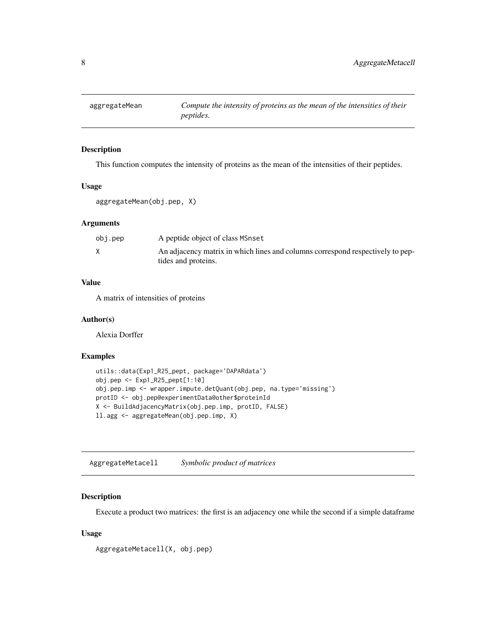<span id="page-7-0"></span>

#### Description

This function computes the intensity of proteins as the mean of the intensities of their peptides.

#### Usage

```
aggregateMean(obj.pep, X)
```
#### Arguments

| obj.pep | A peptide object of class MSnset                                               |
|---------|--------------------------------------------------------------------------------|
|         | An adjacency matrix in which lines and columns correspond respectively to pep- |
|         | tides and proteins.                                                            |

#### Value

A matrix of intensities of proteins

#### Author(s)

Alexia Dorffer

#### Examples

```
utils::data(Exp1_R25_pept, package='DAPARdata')
obj.pep <- Exp1_R25_pept[1:10]
obj.pep.imp <- wrapper.impute.detQuant(obj.pep, na.type='missing')
protID <- obj.pep@experimentData@other$proteinId
X <- BuildAdjacencyMatrix(obj.pep.imp, protID, FALSE)
ll.agg <- aggregateMean(obj.pep.imp, X)
```
AggregateMetacell *Symbolic product of matrices*

#### Description

Execute a product two matrices: the first is an adjacency one while the second if a simple dataframe

#### Usage

AggregateMetacell(X, obj.pep)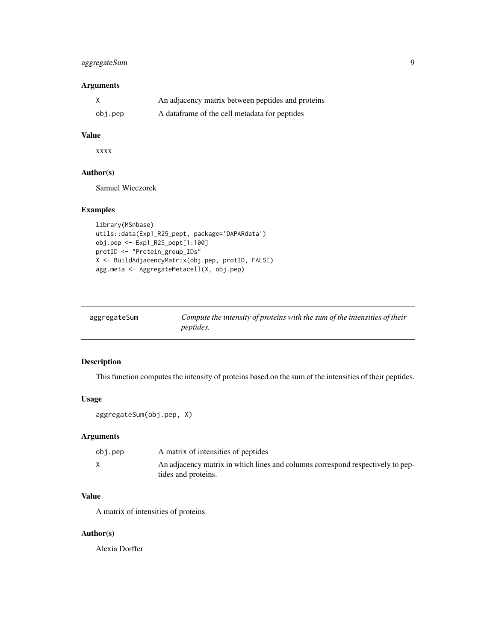# <span id="page-8-0"></span>aggregateSum 9

# Arguments

|         | An adjacency matrix between peptides and proteins |
|---------|---------------------------------------------------|
| obj.pep | A data frame of the cell metadata for peptides    |

#### Value

xxxx

#### Author(s)

Samuel Wieczorek

#### Examples

```
library(MSnbase)
utils::data(Exp1_R25_pept, package='DAPARdata')
obj.pep <- Exp1_R25_pept[1:100]
protID <- "Protein_group_IDs"
X <- BuildAdjacencyMatrix(obj.pep, protID, FALSE)
agg.meta <- AggregateMetacell(X, obj.pep)
```

| aggregateSum | Compute the intensity of proteins with the sum of the intensities of their |
|--------------|----------------------------------------------------------------------------|
|              | <i>peptides.</i>                                                           |

# Description

This function computes the intensity of proteins based on the sum of the intensities of their peptides.

# Usage

```
aggregateSum(obj.pep, X)
```
# Arguments

| obj.pep | A matrix of intensities of peptides                                            |
|---------|--------------------------------------------------------------------------------|
|         | An adjacency matrix in which lines and columns correspond respectively to pep- |
|         | tides and proteins.                                                            |

#### Value

A matrix of intensities of proteins

#### Author(s)

Alexia Dorffer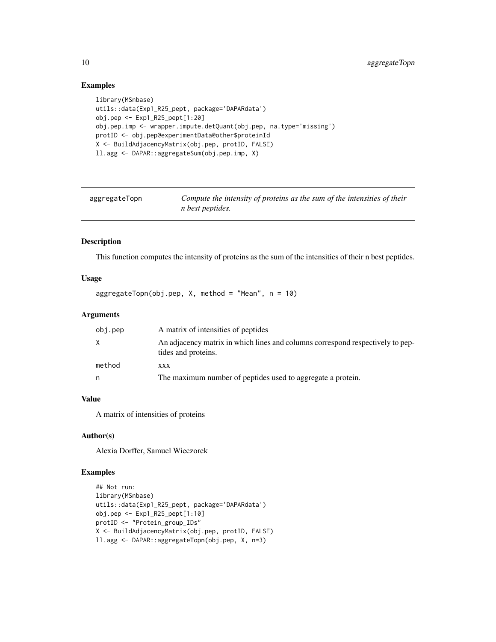# Examples

```
library(MSnbase)
utils::data(Exp1_R25_pept, package='DAPARdata')
obj.pep <- Exp1_R25_pept[1:20]
obj.pep.imp <- wrapper.impute.detQuant(obj.pep, na.type='missing')
protID <- obj.pep@experimentData@other$proteinId
X <- BuildAdjacencyMatrix(obj.pep, protID, FALSE)
ll.agg <- DAPAR::aggregateSum(obj.pep.imp, X)
```

| aggregateTopn | Compute the intensity of proteins as the sum of the intensities of their |
|---------------|--------------------------------------------------------------------------|
|               | <i>n</i> best peptides.                                                  |

#### Description

This function computes the intensity of proteins as the sum of the intensities of their n best peptides.

#### Usage

aggregateTopn(obj.pep, X, method = "Mean", n = 10)

#### Arguments

| obj.pep | A matrix of intensities of peptides                                                                   |
|---------|-------------------------------------------------------------------------------------------------------|
| X.      | An adjacency matrix in which lines and columns correspond respectively to pep-<br>tides and proteins. |
| method  | <b>XXX</b>                                                                                            |
| n       | The maximum number of peptides used to aggregate a protein.                                           |

# Value

A matrix of intensities of proteins

#### Author(s)

Alexia Dorffer, Samuel Wieczorek

```
## Not run:
library(MSnbase)
utils::data(Exp1_R25_pept, package='DAPARdata')
obj.pep <- Exp1_R25_pept[1:10]
protID <- "Protein_group_IDs"
X <- BuildAdjacencyMatrix(obj.pep, protID, FALSE)
ll.agg <- DAPAR::aggregateTopn(obj.pep, X, n=3)
```
<span id="page-9-0"></span>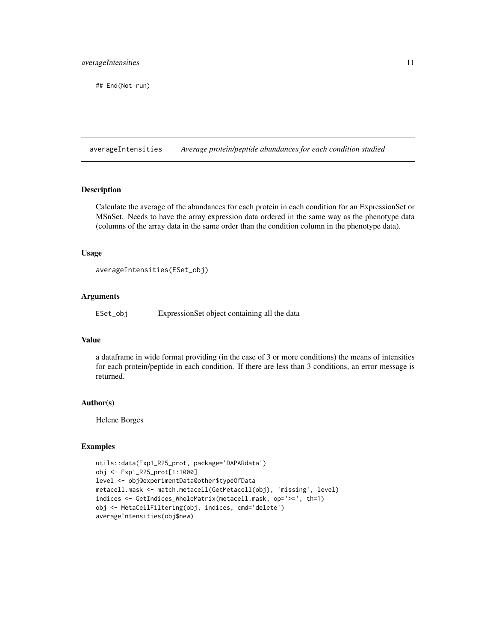<span id="page-10-0"></span>## End(Not run)

averageIntensities *Average protein/peptide abundances for each condition studied*

#### Description

Calculate the average of the abundances for each protein in each condition for an ExpressionSet or MSnSet. Needs to have the array expression data ordered in the same way as the phenotype data (columns of the array data in the same order than the condition column in the phenotype data).

#### Usage

averageIntensities(ESet\_obj)

#### Arguments

ESet\_obj ExpressionSet object containing all the data

#### Value

a dataframe in wide format providing (in the case of 3 or more conditions) the means of intensities for each protein/peptide in each condition. If there are less than 3 conditions, an error message is returned.

#### Author(s)

Helene Borges

```
utils::data(Exp1_R25_prot, package='DAPARdata')
obj <- Exp1_R25_prot[1:1000]
level <- obj@experimentData@other$typeOfData
metacell.mask <- match.metacell(GetMetacell(obj), 'missing', level)
indices <- GetIndices_WholeMatrix(metacell.mask, op='>=', th=1)
obj <- MetaCellFiltering(obj, indices, cmd='delete')
averageIntensities(obj$new)
```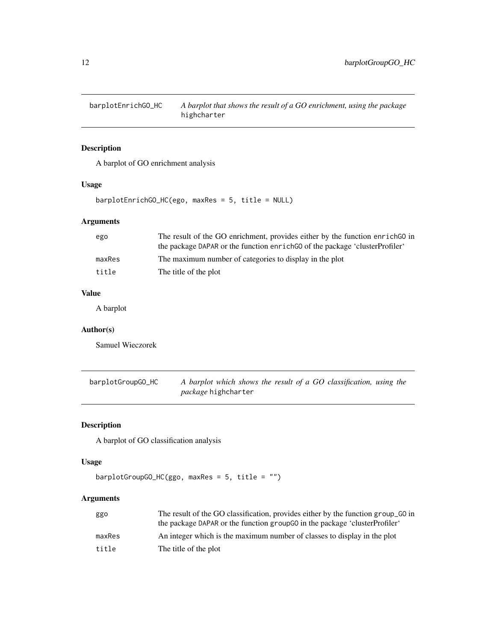<span id="page-11-0"></span>barplotEnrichGO\_HC *A barplot that shows the result of a GO enrichment, using the package* highcharter

# Description

A barplot of GO enrichment analysis

# Usage

barplotEnrichGO\_HC(ego, maxRes = 5, title = NULL)

# Arguments

| ego    | The result of the GO enrichment, provides either by the function enrich GO in |
|--------|-------------------------------------------------------------------------------|
|        | the package DAPAR or the function enrich GO of the package 'clusterProfiler'  |
| maxRes | The maximum number of categories to display in the plot                       |
| title  | The title of the plot                                                         |

# Value

A barplot

# Author(s)

Samuel Wieczorek

| barplotGroupGO_HC | A barplot which shows the result of a GO classification, using the |  |  |  |
|-------------------|--------------------------------------------------------------------|--|--|--|
|                   | <i>package</i> highcharter                                         |  |  |  |

# Description

A barplot of GO classification analysis

#### Usage

```
barplotGroupGO_HC(ggo, maxRes = 5, title = "")
```
# Arguments

| ggo    | The result of the GO classification, provides either by the function group_GO in<br>the package DAPAR or the function group 60 in the package 'cluster Profiler' |
|--------|------------------------------------------------------------------------------------------------------------------------------------------------------------------|
|        |                                                                                                                                                                  |
| maxRes | An integer which is the maximum number of classes to display in the plot                                                                                         |
| title  | The title of the plot                                                                                                                                            |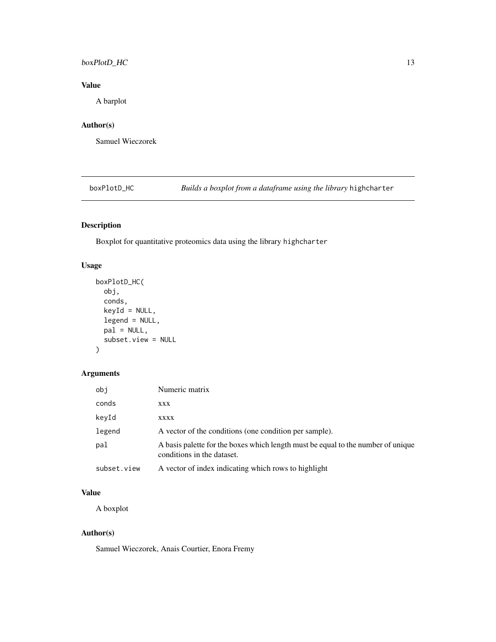# <span id="page-12-0"></span>boxPlotD\_HC 13

# Value

A barplot

# Author(s)

Samuel Wieczorek

boxPlotD\_HC *Builds a boxplot from a dataframe using the library* highcharter

# Description

Boxplot for quantitative proteomics data using the library highcharter

# Usage

```
boxPlotD_HC(
  obj,
  conds,
  keyId = NULL,
  legend = NULL,pal = NULL,subset.view = NULL
\mathcal{E}
```
# Arguments

| obi         | Numeric matrix                                                                                                 |
|-------------|----------------------------------------------------------------------------------------------------------------|
| conds       | XXX                                                                                                            |
| keyId       | <b>XXXX</b>                                                                                                    |
| legend      | A vector of the conditions (one condition per sample).                                                         |
| pal         | A basis palette for the boxes which length must be equal to the number of unique<br>conditions in the dataset. |
| subset.view | A vector of index indicating which rows to highlight                                                           |

#### Value

A boxplot

# Author(s)

Samuel Wieczorek, Anais Courtier, Enora Fremy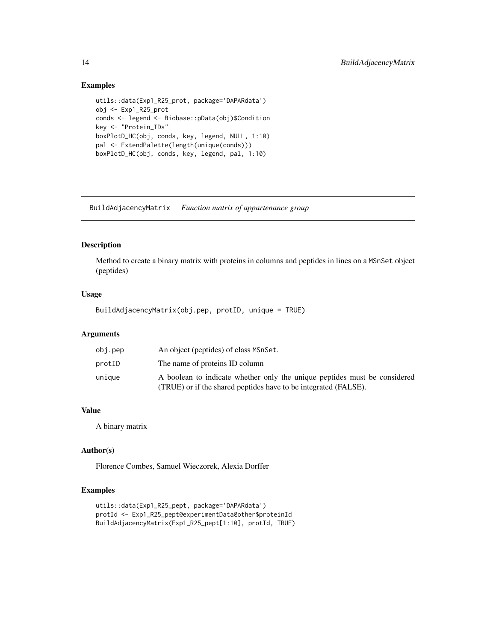#### Examples

```
utils::data(Exp1_R25_prot, package='DAPARdata')
obj <- Exp1_R25_prot
conds <- legend <- Biobase::pData(obj)$Condition
key <- "Protein_IDs"
boxPlotD_HC(obj, conds, key, legend, NULL, 1:10)
pal <- ExtendPalette(length(unique(conds)))
boxPlotD_HC(obj, conds, key, legend, pal, 1:10)
```
BuildAdjacencyMatrix *Function matrix of appartenance group*

# Description

Method to create a binary matrix with proteins in columns and peptides in lines on a MSnSet object (peptides)

# Usage

BuildAdjacencyMatrix(obj.pep, protID, unique = TRUE)

# Arguments

| obj.pep | An object (peptides) of class MSnSet.                                                                                                        |
|---------|----------------------------------------------------------------------------------------------------------------------------------------------|
| protID  | The name of proteins ID column                                                                                                               |
| unique  | A boolean to indicate whether only the unique peptides must be considered<br>(TRUE) or if the shared peptides have to be integrated (FALSE). |
|         |                                                                                                                                              |

#### Value

A binary matrix

# Author(s)

Florence Combes, Samuel Wieczorek, Alexia Dorffer

```
utils::data(Exp1_R25_pept, package='DAPARdata')
protId <- Exp1_R25_pept@experimentData@other$proteinId
BuildAdjacencyMatrix(Exp1_R25_pept[1:10], protId, TRUE)
```
<span id="page-13-0"></span>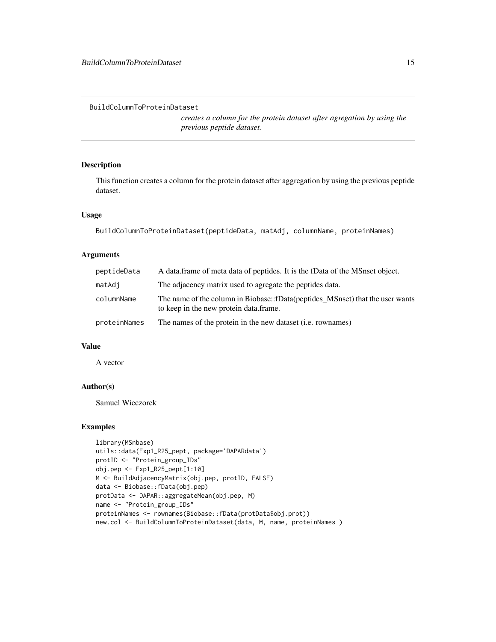<span id="page-14-0"></span>BuildColumnToProteinDataset

*creates a column for the protein dataset after agregation by using the previous peptide dataset.*

# Description

This function creates a column for the protein dataset after aggregation by using the previous peptide dataset.

# Usage

BuildColumnToProteinDataset(peptideData, matAdj, columnName, proteinNames)

# Arguments

| peptideData  | A data frame of meta data of peptides. It is the fData of the MSnset object.                                            |
|--------------|-------------------------------------------------------------------------------------------------------------------------|
| matAdj       | The adjacency matrix used to agregate the peptides data.                                                                |
| columnName   | The name of the column in Biobase::fData(peptides_MSnset) that the user wants<br>to keep in the new protein data.frame. |
| proteinNames | The names of the protein in the new dataset ( <i>i.e.</i> rownames)                                                     |

#### Value

A vector

# Author(s)

Samuel Wieczorek

```
library(MSnbase)
utils::data(Exp1_R25_pept, package='DAPARdata')
protID <- "Protein_group_IDs"
obj.pep <- Exp1_R25_pept[1:10]
M <- BuildAdjacencyMatrix(obj.pep, protID, FALSE)
data <- Biobase::fData(obj.pep)
protData <- DAPAR::aggregateMean(obj.pep, M)
name <- "Protein_group_IDs"
proteinNames <- rownames(Biobase::fData(protData$obj.prot))
new.col <- BuildColumnToProteinDataset(data, M, name, proteinNames )
```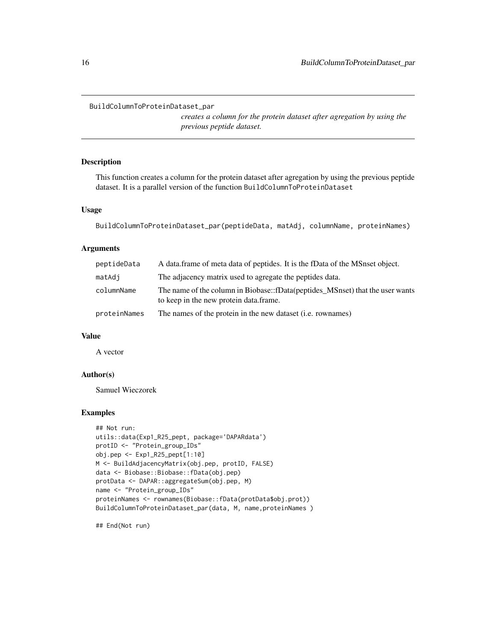#### <span id="page-15-0"></span>BuildColumnToProteinDataset\_par

*creates a column for the protein dataset after agregation by using the previous peptide dataset.*

#### Description

This function creates a column for the protein dataset after agregation by using the previous peptide dataset. It is a parallel version of the function BuildColumnToProteinDataset

#### Usage

BuildColumnToProteinDataset\_par(peptideData, matAdj, columnName, proteinNames)

#### Arguments

| peptideData  | A data frame of meta data of peptides. It is the fData of the MS nset object.                                           |
|--------------|-------------------------------------------------------------------------------------------------------------------------|
| matAdj       | The adjacency matrix used to agregate the peptides data.                                                                |
| columnName   | The name of the column in Biobase::fData(peptides_MSnset) that the user wants<br>to keep in the new protein data frame. |
| proteinNames | The names of the protein in the new dataset ( <i>i.e.</i> rownames)                                                     |

# Value

A vector

# Author(s)

Samuel Wieczorek

#### Examples

```
## Not run:
utils::data(Exp1_R25_pept, package='DAPARdata')
protID <- "Protein_group_IDs"
obj.pep <- Exp1_R25_pept[1:10]
M <- BuildAdjacencyMatrix(obj.pep, protID, FALSE)
data <- Biobase::Biobase::fData(obj.pep)
protData <- DAPAR::aggregateSum(obj.pep, M)
name <- "Protein_group_IDs"
proteinNames <- rownames(Biobase::fData(protData$obj.prot))
BuildColumnToProteinDataset_par(data, M, name,proteinNames )
```
## End(Not run)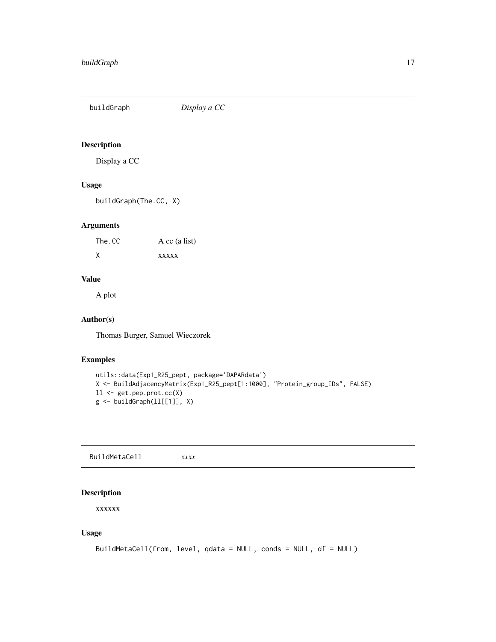<span id="page-16-0"></span>buildGraph *Display a CC*

# Description

Display a CC

# Usage

buildGraph(The.CC, X)

# Arguments

The.CC A cc (a list) X xxxxx

# Value

A plot

# Author(s)

Thomas Burger, Samuel Wieczorek

#### Examples

```
utils::data(Exp1_R25_pept, package='DAPARdata')
X <- BuildAdjacencyMatrix(Exp1_R25_pept[1:1000], "Protein_group_IDs", FALSE)
ll <- get.pep.prot.cc(X)
g \leftarrow \text{buildGraph}(11[[1]], X)
```
BuildMetaCell *xxxx*

# Description

xxxxxx

#### Usage

```
BuildMetaCell(from, level, qdata = NULL, conds = NULL, df = NULL)
```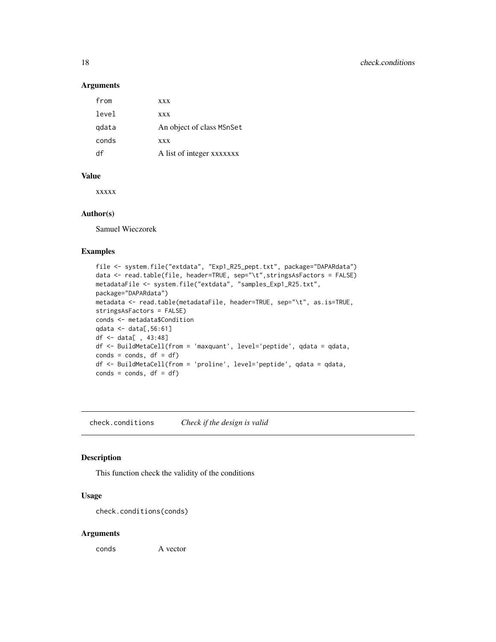#### Arguments

| from  | <b>XXX</b>                |
|-------|---------------------------|
| level | <b>XXX</b>                |
| gdata | An object of class MSnSet |
| conds | <b>XXX</b>                |
| df    | A list of integer xxxxxxx |

#### Value

xxxxx

#### Author(s)

Samuel Wieczorek

#### Examples

```
file <- system.file("extdata", "Exp1_R25_pept.txt", package="DAPARdata")
data <- read.table(file, header=TRUE, sep="\t",stringsAsFactors = FALSE)
metadataFile <- system.file("extdata", "samples_Exp1_R25.txt",
package="DAPARdata")
metadata <- read.table(metadataFile, header=TRUE, sep="\t", as.is=TRUE,
stringsAsFactors = FALSE)
conds <- metadata$Condition
qdata <- data[,56:61]
df <- data[ , 43:48]
df <- BuildMetaCell(from = 'maxquant', level='peptide', qdata = qdata,
\text{conds} = \text{conds}, \text{ df} = \text{df}df <- BuildMetaCell(from = 'proline', level='peptide', qdata = qdata,
\text{conds} = \text{conds}, \text{ df} = \text{df}
```
check.conditions *Check if the design is valid*

#### Description

This function check the validity of the conditions

# Usage

```
check.conditions(conds)
```
#### Arguments

conds A vector

<span id="page-17-0"></span>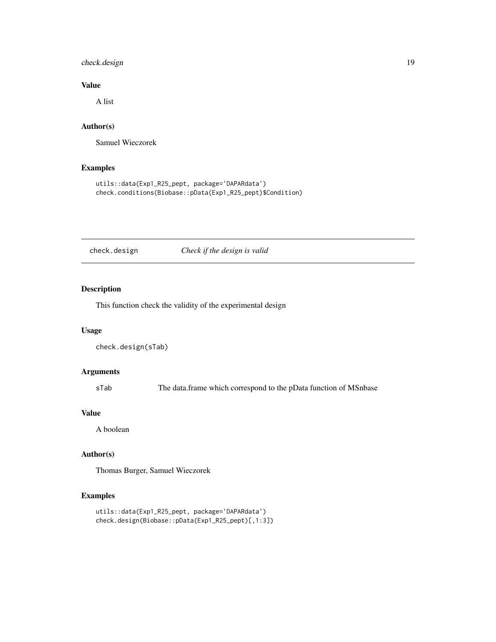# <span id="page-18-0"></span>check.design 19

# Value

A list

# Author(s)

Samuel Wieczorek

# Examples

```
utils::data(Exp1_R25_pept, package='DAPARdata')
check.conditions(Biobase::pData(Exp1_R25_pept)$Condition)
```
# check.design *Check if the design is valid*

# Description

This function check the validity of the experimental design

# Usage

```
check.design(sTab)
```
#### Arguments

sTab The data.frame which correspond to the pData function of MSnbase

#### Value

A boolean

# Author(s)

Thomas Burger, Samuel Wieczorek

```
utils::data(Exp1_R25_pept, package='DAPARdata')
check.design(Biobase::pData(Exp1_R25_pept)[,1:3])
```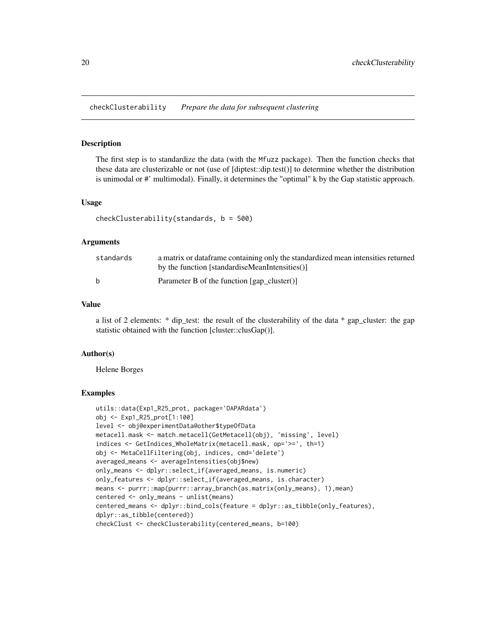<span id="page-19-0"></span>checkClusterability *Prepare the data for subsequent clustering*

#### Description

The first step is to standardize the data (with the Mfuzz package). Then the function checks that these data are clusterizable or not (use of [diptest::dip.test()] to determine whether the distribution is unimodal or #' multimodal). Finally, it determines the "optimal" k by the Gap statistic approach.

#### Usage

```
checkClusterability(standards, b = 500)
```
#### **Arguments**

| standards | a matrix or data frame containing only the standardized mean intensities returned<br>by the function [standardiseMeanIntensities()] |
|-----------|-------------------------------------------------------------------------------------------------------------------------------------|
|           | Parameter B of the function $\lceil \text{gap cluster}() \rceil$                                                                    |

#### Value

a list of 2 elements: \* dip\_test: the result of the clusterability of the data \* gap\_cluster: the gap statistic obtained with the function [cluster::clusGap()].

#### Author(s)

Helene Borges

```
utils::data(Exp1_R25_prot, package='DAPARdata')
obj <- Exp1_R25_prot[1:100]
level <- obj@experimentData@other$typeOfData
metacell.mask <- match.metacell(GetMetacell(obj), 'missing', level)
indices <- GetIndices_WholeMatrix(metacell.mask, op='>=', th=1)
obj <- MetaCellFiltering(obj, indices, cmd='delete')
averaged_means <- averageIntensities(obj$new)
only_means <- dplyr::select_if(averaged_means, is.numeric)
only_features <- dplyr::select_if(averaged_means, is.character)
means <- purrr::map(purrr::array_branch(as.matrix(only_means), 1),mean)
centered <- only_means - unlist(means)
centered_means <- dplyr::bind_cols(feature = dplyr::as_tibble(only_features),
dplyr::as_tibble(centered))
checkClust <- checkClusterability(centered_means, b=100)
```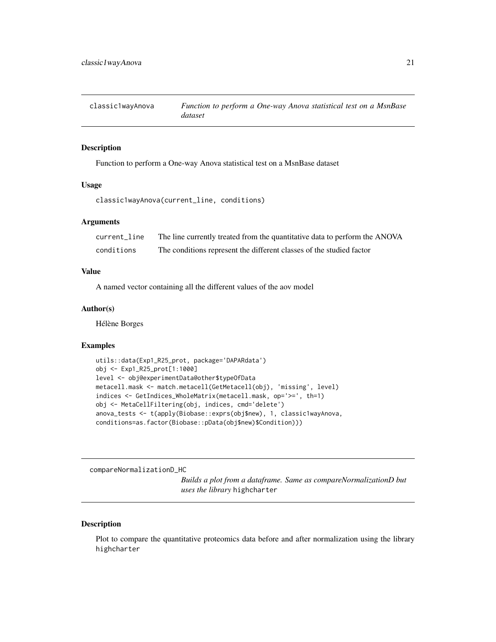<span id="page-20-0"></span>

# Description

Function to perform a One-way Anova statistical test on a MsnBase dataset

#### Usage

```
classic1wayAnova(current_line, conditions)
```
#### Arguments

| current line | The line currently treated from the quantitative data to perform the ANOVA |
|--------------|----------------------------------------------------------------------------|
| conditions   | The conditions represent the different classes of the studied factor       |

# Value

A named vector containing all the different values of the aov model

#### Author(s)

Hélène Borges

#### Examples

```
utils::data(Exp1_R25_prot, package='DAPARdata')
obj <- Exp1_R25_prot[1:1000]
level <- obj@experimentData@other$typeOfData
metacell.mask <- match.metacell(GetMetacell(obj), 'missing', level)
indices <- GetIndices_WholeMatrix(metacell.mask, op='>=', th=1)
obj <- MetaCellFiltering(obj, indices, cmd='delete')
anova_tests <- t(apply(Biobase::exprs(obj$new), 1, classic1wayAnova,
conditions=as.factor(Biobase::pData(obj$new)$Condition)))
```
compareNormalizationD\_HC

*Builds a plot from a dataframe. Same as compareNormalizationD but uses the library* highcharter

#### Description

Plot to compare the quantitative proteomics data before and after normalization using the library highcharter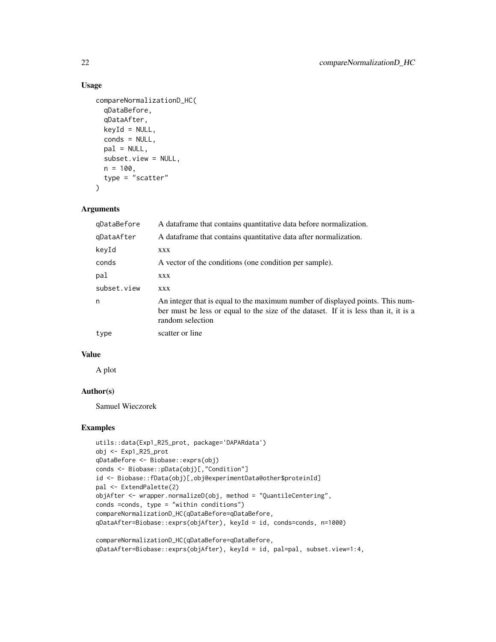# Usage

```
compareNormalizationD_HC(
  qDataBefore,
  qDataAfter,
  keyId = NULL,
  conds = NULL,
  pal = NULL,subset.view = NULL,
 n = 100,type = "scatter"
\lambda
```
#### Arguments

| qDataBefore | A data frame that contains quantitative data before normalization.                                                                                                                        |
|-------------|-------------------------------------------------------------------------------------------------------------------------------------------------------------------------------------------|
| qDataAfter  | A data frame that contains quantitative data after normalization.                                                                                                                         |
| keyId       | XXX                                                                                                                                                                                       |
| conds       | A vector of the conditions (one condition per sample).                                                                                                                                    |
| pal         | XXX                                                                                                                                                                                       |
| subset.view | XXX                                                                                                                                                                                       |
| n           | An integer that is equal to the maximum number of displayed points. This num-<br>ber must be less or equal to the size of the dataset. If it is less than it, it is a<br>random selection |
| type        | scatter or line                                                                                                                                                                           |

#### Value

A plot

# Author(s)

Samuel Wieczorek

# Examples

```
utils::data(Exp1_R25_prot, package='DAPARdata')
obj <- Exp1_R25_prot
qDataBefore <- Biobase::exprs(obj)
conds <- Biobase::pData(obj)[,"Condition"]
id <- Biobase::fData(obj)[,obj@experimentData@other$proteinId]
pal <- ExtendPalette(2)
objAfter <- wrapper.normalizeD(obj, method = "QuantileCentering",
conds =conds, type = "within conditions")
compareNormalizationD_HC(qDataBefore=qDataBefore,
qDataAfter=Biobase::exprs(objAfter), keyId = id, conds=conds, n=1000)
```
compareNormalizationD\_HC(qDataBefore=qDataBefore, qDataAfter=Biobase::exprs(objAfter), keyId = id, pal=pal, subset.view=1:4,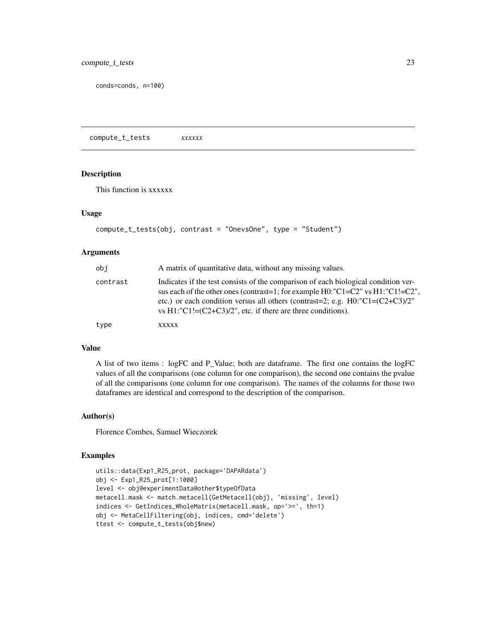<span id="page-22-0"></span>conds=conds, n=100)

compute\_t\_tests *xxxxxx*

# Description

This function is xxxxxx

#### Usage

```
compute_t_tests(obj, contrast = "OnevsOne", type = "Student")
```
#### Arguments

| obi      | A matrix of quantitative data, without any missing values.                                                                                                                                                                                                                                                                          |
|----------|-------------------------------------------------------------------------------------------------------------------------------------------------------------------------------------------------------------------------------------------------------------------------------------------------------------------------------------|
| contrast | Indicates if the test consists of the comparison of each biological condition ver-<br>sus each of the other ones (contrast=1; for example H0:"C1=C2" vs H1:"C1!=C2",<br>etc.) or each condition versus all others (contrast=2; e.g. $H0$ : "C1= $(C2+C3)/2$ "<br>vs $H1$ :"C1!= $(C2+C3)/2$ ", etc. if there are three conditions). |
| type     | XXXXX                                                                                                                                                                                                                                                                                                                               |

# Value

A list of two items : logFC and P\_Value; both are dataframe. The first one contains the logFC values of all the comparisons (one column for one comparison), the second one contains the pvalue of all the comparisons (one column for one comparison). The names of the columns for those two dataframes are identical and correspond to the description of the comparison.

#### Author(s)

Florence Combes, Samuel Wieczorek

```
utils::data(Exp1_R25_prot, package='DAPARdata')
obj <- Exp1_R25_prot[1:1000]
level <- obj@experimentData@other$typeOfData
metacell.mask <- match.metacell(GetMetacell(obj), 'missing', level)
indices <- GetIndices_WholeMatrix(metacell.mask, op='>=', th=1)
obj <- MetaCellFiltering(obj, indices, cmd='delete')
ttest <- compute_t_tests(obj$new)
```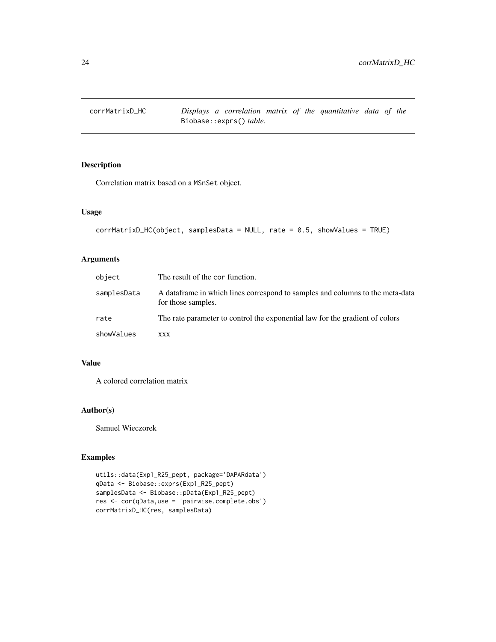<span id="page-23-0"></span>

# Description

Correlation matrix based on a MSnSet object.

# Usage

```
corrMatrixD_HC(object, samplesData = NULL, rate = 0.5, showValues = TRUE)
```
#### Arguments

| object      | The result of the cor function.                                                                      |
|-------------|------------------------------------------------------------------------------------------------------|
| samplesData | A data frame in which lines correspond to samples and columns to the meta-data<br>for those samples. |
| rate        | The rate parameter to control the exponential law for the gradient of colors                         |
| showValues  | <b>XXX</b>                                                                                           |

#### Value

A colored correlation matrix

# Author(s)

Samuel Wieczorek

```
utils::data(Exp1_R25_pept, package='DAPARdata')
qData <- Biobase::exprs(Exp1_R25_pept)
samplesData <- Biobase::pData(Exp1_R25_pept)
res <- cor(qData,use = 'pairwise.complete.obs')
corrMatrixD_HC(res, samplesData)
```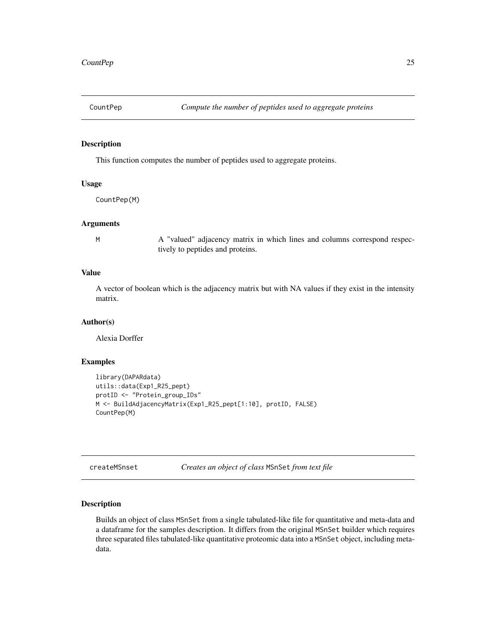<span id="page-24-0"></span>

# Description

This function computes the number of peptides used to aggregate proteins.

#### Usage

CountPep(M)

#### Arguments

M A "valued" adjacency matrix in which lines and columns correspond respectively to peptides and proteins.

# Value

A vector of boolean which is the adjacency matrix but with NA values if they exist in the intensity matrix.

#### Author(s)

Alexia Dorffer

# Examples

```
library(DAPARdata)
utils::data(Exp1_R25_pept)
protID <- "Protein_group_IDs"
M <- BuildAdjacencyMatrix(Exp1_R25_pept[1:10], protID, FALSE)
CountPep(M)
```
createMSnset *Creates an object of class* MSnSet *from text file*

# Description

Builds an object of class MSnSet from a single tabulated-like file for quantitative and meta-data and a dataframe for the samples description. It differs from the original MSnSet builder which requires three separated files tabulated-like quantitative proteomic data into a MSnSet object, including metadata.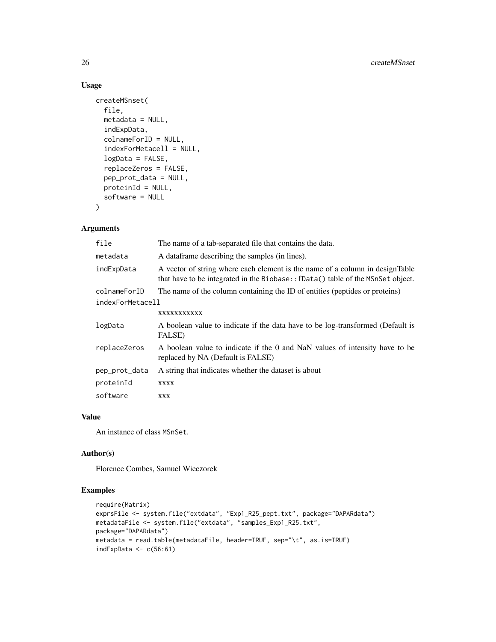#### Usage

```
createMSnset(
  file,
  metadata = NULL,
  indExpData,
  colnameForID = NULL,
  indexForMetacell = NULL,
  logData = FALSE,
  replaceZeros = FALSE,
  pep_prot_data = NULL,
  proteinId = NULL,
  software = NULL
\mathcal{L}
```
# Arguments

| file             | The name of a tab-separated file that contains the data.                                                                                                         |
|------------------|------------------------------------------------------------------------------------------------------------------------------------------------------------------|
| metadata         | A data frame describing the samples (in lines).                                                                                                                  |
| indExpData       | A vector of string where each element is the name of a column in design Table<br>that have to be integrated in the Biobase:: fData() table of the MSnSet object. |
| colnameForID     | The name of the column containing the ID of entities (peptides or proteins)                                                                                      |
| indexForMetacell |                                                                                                                                                                  |
|                  | XXXXXXXXXXX                                                                                                                                                      |
| logData          | A boolean value to indicate if the data have to be log-transformed (Default is<br>FALSE)                                                                         |
| replaceZeros     | A boolean value to indicate if the 0 and NaN values of intensity have to be<br>replaced by NA (Default is FALSE)                                                 |
| pep_prot_data    | A string that indicates whether the dataset is about                                                                                                             |
| proteinId        | XXXX                                                                                                                                                             |
| software         | XXX                                                                                                                                                              |
|                  |                                                                                                                                                                  |

# Value

An instance of class MSnSet.

#### Author(s)

Florence Combes, Samuel Wieczorek

```
require(Matrix)
exprsFile <- system.file("extdata", "Exp1_R25_pept.txt", package="DAPARdata")
metadataFile <- system.file("extdata", "samples_Exp1_R25.txt",
package="DAPARdata")
metadata = read.table(metadataFile, header=TRUE, sep="\t", as.is=TRUE)
indExpData \leq c(56:61)
```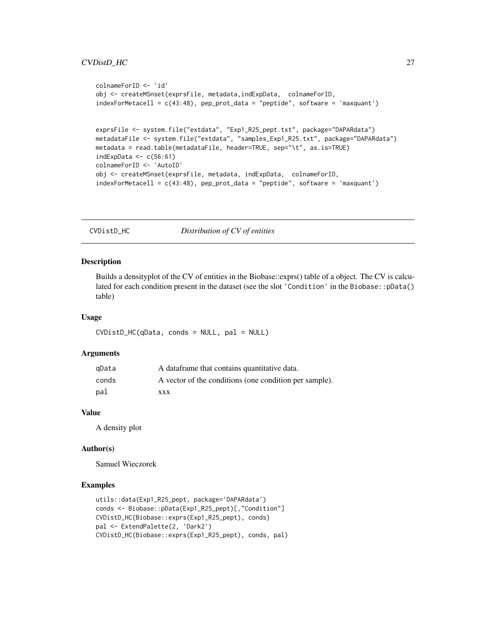#### <span id="page-26-0"></span>CVDistD\_HC 27

```
colnameForID <- 'id'
obj <- createMSnset(exprsFile, metadata,indExpData, colnameForID,
indexFor Metacell = c(43:48), pep\_prot\_data = "peptide", software = 'maxquant')exprsFile <- system.file("extdata", "Exp1_R25_pept.txt", package="DAPARdata")
metadataFile <- system.file("extdata", "samples_Exp1_R25.txt", package="DAPARdata")
metadata = read.table(metadataFile, header=TRUE, sep="\t", as.is=TRUE)
indExpData \leq c(56:61)
colnameForID <- 'AutoID'
obj <- createMSnset(exprsFile, metadata, indExpData, colnameForID,
indexForMetacell = c(43:48), pep_prot_data = "peptide", software = 'maxquant')
```
CVDistD\_HC *Distribution of CV of entities*

#### Description

Builds a densityplot of the CV of entities in the Biobase::exprs() table of a object. The CV is calculated for each condition present in the dataset (see the slot 'Condition' in the Biobase::pData() table)

#### Usage

CVDistD\_HC(qData, conds = NULL, pal = NULL)

#### Arguments

| qData | A data frame that contains quantitative data.          |
|-------|--------------------------------------------------------|
| conds | A vector of the conditions (one condition per sample). |
| pal   | xxx                                                    |

#### Value

A density plot

#### Author(s)

Samuel Wieczorek

```
utils::data(Exp1_R25_pept, package='DAPARdata')
conds <- Biobase::pData(Exp1_R25_pept)[,"Condition"]
CVDistD_HC(Biobase::exprs(Exp1_R25_pept), conds)
pal <- ExtendPalette(2, 'Dark2')
CVDistD_HC(Biobase::exprs(Exp1_R25_pept), conds, pal)
```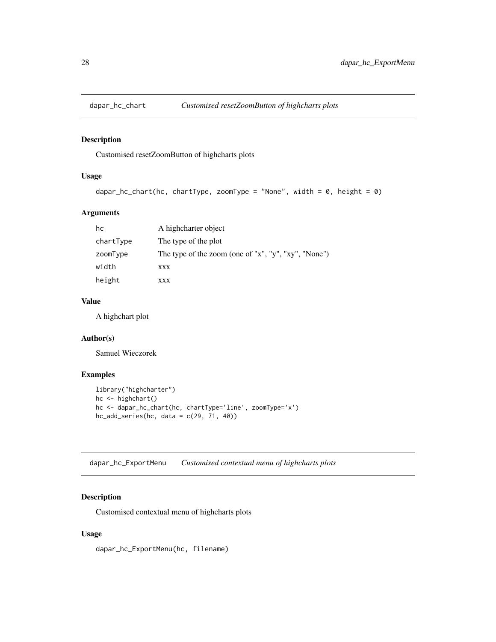<span id="page-27-0"></span>

# Description

Customised resetZoomButton of highcharts plots

# Usage

```
dapar_hc_chart(hc, chartType, zoomType = "None", width = 0, height = 0)
```
# Arguments

| hc        | A highcharter object                                 |
|-----------|------------------------------------------------------|
| chartType | The type of the plot                                 |
| zoomType  | The type of the zoom (one of "x", "y", "xy", "None") |
| width     | XXX                                                  |
| height    | XXX                                                  |

#### Value

A highchart plot

# Author(s)

Samuel Wieczorek

# Examples

```
library("highcharter")
hc <- highchart()
hc <- dapar_hc_chart(hc, chartType='line', zoomType='x')
hc\_add\_series(hc, data = c(29, 71, 40))
```
dapar\_hc\_ExportMenu *Customised contextual menu of highcharts plots*

# Description

Customised contextual menu of highcharts plots

# Usage

dapar\_hc\_ExportMenu(hc, filename)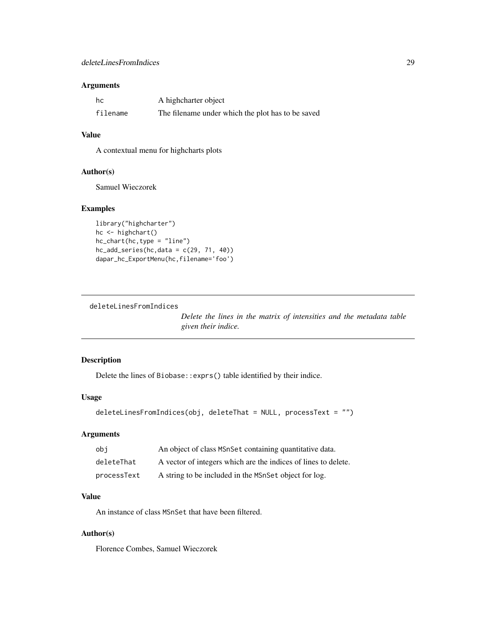#### <span id="page-28-0"></span>Arguments

| hc       | A highcharter object                              |
|----------|---------------------------------------------------|
| filename | The filename under which the plot has to be saved |

#### Value

A contextual menu for highcharts plots

#### Author(s)

Samuel Wieczorek

# Examples

```
library("highcharter")
hc <- highchart()
hc_chart(hc,type = "line")
hc\_add\_series(hc, data = c(29, 71, 40))dapar_hc_ExportMenu(hc,filename='foo')
```
deleteLinesFromIndices

*Delete the lines in the matrix of intensities and the metadata table given their indice.*

# Description

Delete the lines of Biobase::exprs() table identified by their indice.

# Usage

```
deleteLinesFromIndices(obj, deleteThat = NULL, processText = "")
```
#### Arguments

| obi         | An object of class MSnSet containing quantitative data.        |
|-------------|----------------------------------------------------------------|
| deleteThat  | A vector of integers which are the indices of lines to delete. |
| processText | A string to be included in the MSnSet object for log.          |

#### Value

An instance of class MSnSet that have been filtered.

#### Author(s)

Florence Combes, Samuel Wieczorek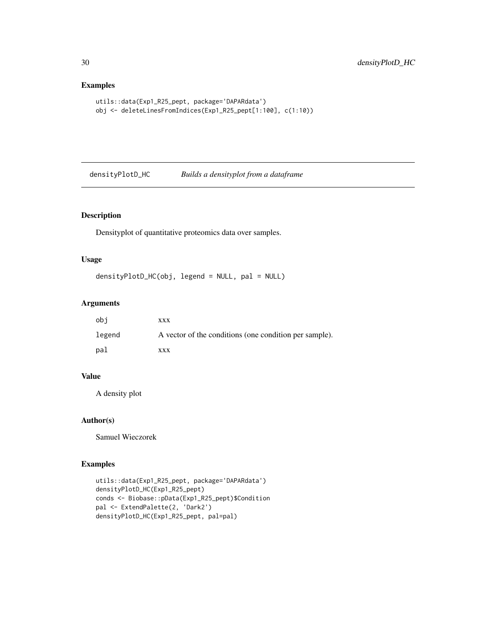# Examples

```
utils::data(Exp1_R25_pept, package='DAPARdata')
obj <- deleteLinesFromIndices(Exp1_R25_pept[1:100], c(1:10))
```
densityPlotD\_HC *Builds a densityplot from a dataframe*

#### Description

Densityplot of quantitative proteomics data over samples.

#### Usage

```
densityPlotD_HC(obj, legend = NULL, pal = NULL)
```
# Arguments

| obi    | XXX                                                    |
|--------|--------------------------------------------------------|
| legend | A vector of the conditions (one condition per sample). |
| pal    | XXX                                                    |

#### Value

A density plot

# Author(s)

Samuel Wieczorek

```
utils::data(Exp1_R25_pept, package='DAPARdata')
densityPlotD_HC(Exp1_R25_pept)
conds <- Biobase::pData(Exp1_R25_pept)$Condition
pal <- ExtendPalette(2, 'Dark2')
densityPlotD_HC(Exp1_R25_pept, pal=pal)
```
<span id="page-29-0"></span>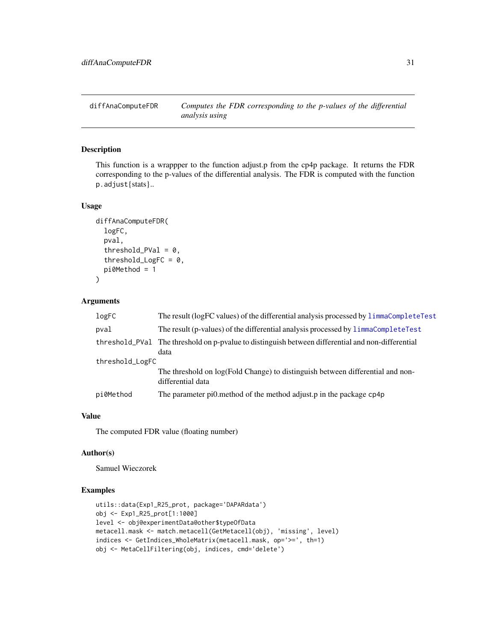<span id="page-30-0"></span>

#### Description

This function is a wrappper to the function adjust.p from the cp4p package. It returns the FDR corresponding to the p-values of the differential analysis. The FDR is computed with the function p.adjust{stats}..

#### Usage

```
diffAnaComputeFDR(
  logFC,
  pval,
  threshold_PVal = 0,
  threshold_LogFC = 0,
  pi0Method = 1
)
```
#### Arguments

| logFC           | The result (logFC values) of the differential analysis processed by limmaCompleteTest                     |  |
|-----------------|-----------------------------------------------------------------------------------------------------------|--|
| pval            | The result (p-values) of the differential analysis processed by limmaCompleteTest                         |  |
|                 | threshold PVal The threshold on p-pyalue to distinguish between differential and non-differential<br>data |  |
| threshold_LogFC |                                                                                                           |  |
|                 | The threshold on log(Fold Change) to distinguish between differential and non-<br>differential data       |  |
| pi0Method       | The parameter pionethod of the method adjust p in the package cp4p                                        |  |

# Value

The computed FDR value (floating number)

#### Author(s)

Samuel Wieczorek

```
utils::data(Exp1_R25_prot, package='DAPARdata')
obj <- Exp1_R25_prot[1:1000]
level <- obj@experimentData@other$typeOfData
metacell.mask <- match.metacell(GetMetacell(obj), 'missing', level)
indices <- GetIndices_WholeMatrix(metacell.mask, op='>=', th=1)
obj <- MetaCellFiltering(obj, indices, cmd='delete')
```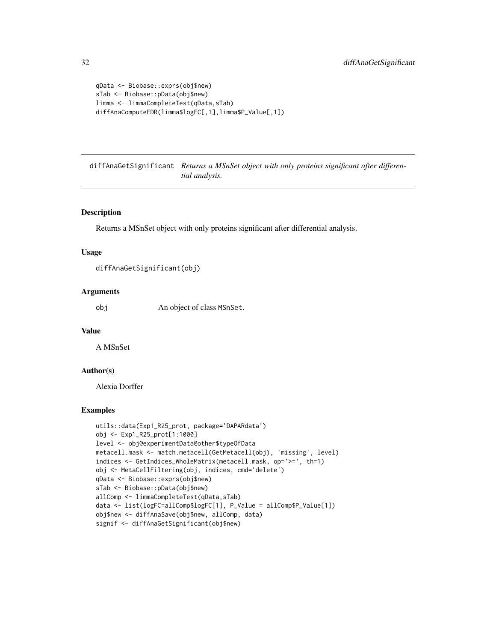```
qData <- Biobase::exprs(obj$new)
sTab <- Biobase::pData(obj$new)
limma <- limmaCompleteTest(qData,sTab)
diffAnaComputeFDR(limma$logFC[,1],limma$P_Value[,1])
```
diffAnaGetSignificant *Returns a MSnSet object with only proteins significant after differential analysis.*

#### Description

Returns a MSnSet object with only proteins significant after differential analysis.

#### Usage

```
diffAnaGetSignificant(obj)
```
#### Arguments

obj An object of class MSnSet.

#### Value

A MSnSet

# Author(s)

Alexia Dorffer

```
utils::data(Exp1_R25_prot, package='DAPARdata')
obj <- Exp1_R25_prot[1:1000]
level <- obj@experimentData@other$typeOfData
metacell.mask <- match.metacell(GetMetacell(obj), 'missing', level)
indices <- GetIndices_WholeMatrix(metacell.mask, op='>=', th=1)
obj <- MetaCellFiltering(obj, indices, cmd='delete')
qData <- Biobase::exprs(obj$new)
sTab <- Biobase::pData(obj$new)
allComp <- limmaCompleteTest(qData,sTab)
data <- list(logFC=allComp$logFC[1], P_Value = allComp$P_Value[1])
obj$new <- diffAnaSave(obj$new, allComp, data)
signif <- diffAnaGetSignificant(obj$new)
```
<span id="page-31-0"></span>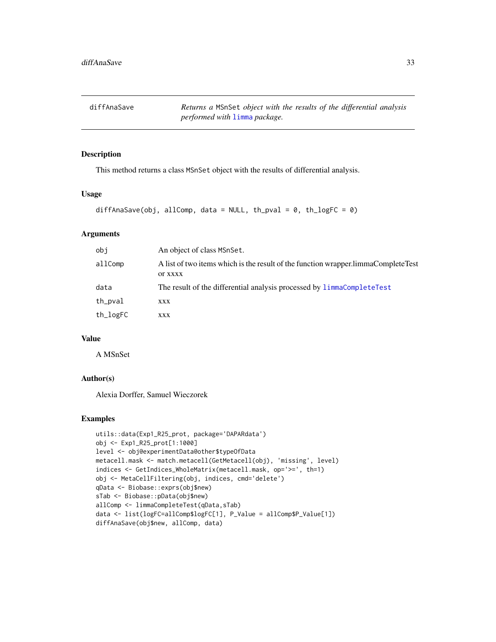<span id="page-32-0"></span>diffAnaSave *Returns a* MSnSet *object with the results of the differential analysis performed with* [limma](#page-0-0) *package.*

#### Description

This method returns a class MSnSet object with the results of differential analysis.

#### Usage

```
diffAnaSave(obj, allComp, data = NULL, th_pval = 0, th_logFC = 0)
```
# Arguments

| obj      | An object of class MSnSet.                                                                           |
|----------|------------------------------------------------------------------------------------------------------|
| allComp  | A list of two items which is the result of the function wrapper. limmaCompleteTest<br><b>OF XXXX</b> |
| data     | The result of the differential analysis processed by limmaCompleteTest                               |
| th_pval  | XXX                                                                                                  |
| th_logFC | XXX                                                                                                  |

# Value

A MSnSet

#### Author(s)

Alexia Dorffer, Samuel Wieczorek

```
utils::data(Exp1_R25_prot, package='DAPARdata')
obj <- Exp1_R25_prot[1:1000]
level <- obj@experimentData@other$typeOfData
metacell.mask <- match.metacell(GetMetacell(obj), 'missing', level)
indices <- GetIndices_WholeMatrix(metacell.mask, op='>=', th=1)
obj <- MetaCellFiltering(obj, indices, cmd='delete')
qData <- Biobase::exprs(obj$new)
sTab <- Biobase::pData(obj$new)
allComp <- limmaCompleteTest(qData,sTab)
data <- list(logFC=allComp$logFC[1], P_Value = allComp$P_Value[1])
diffAnaSave(obj$new, allComp, data)
```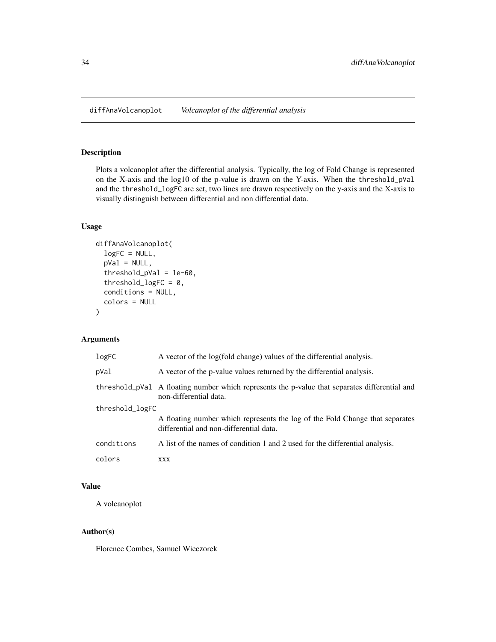<span id="page-33-0"></span>diffAnaVolcanoplot *Volcanoplot of the differential analysis*

#### Description

Plots a volcanoplot after the differential analysis. Typically, the log of Fold Change is represented on the X-axis and the log10 of the p-value is drawn on the Y-axis. When the threshold\_pVal and the threshold\_logFC are set, two lines are drawn respectively on the y-axis and the X-axis to visually distinguish between differential and non differential data.

#### Usage

```
diffAnaVolcanoplot(
  logFC = NULL,
  pVal = NULL,threshold_pVal = 1e-60,
  threshold_logFC = 0,
  conditions = NULL,
  colors = NULL
\mathcal{E}
```
#### Arguments

| logFC           | A vector of the log(fold change) values of the differential analysis.                                                   |  |
|-----------------|-------------------------------------------------------------------------------------------------------------------------|--|
| pVal            | A vector of the p-value values returned by the differential analysis.                                                   |  |
|                 | threshold_pVal A floating number which represents the p-value that separates differential and<br>non-differential data. |  |
| threshold_logFC |                                                                                                                         |  |
|                 | A floating number which represents the log of the Fold Change that separates<br>differential and non-differential data. |  |
| conditions      | A list of the names of condition 1 and 2 used for the differential analysis.                                            |  |
| colors          | XXX                                                                                                                     |  |

# Value

A volcanoplot

#### Author(s)

Florence Combes, Samuel Wieczorek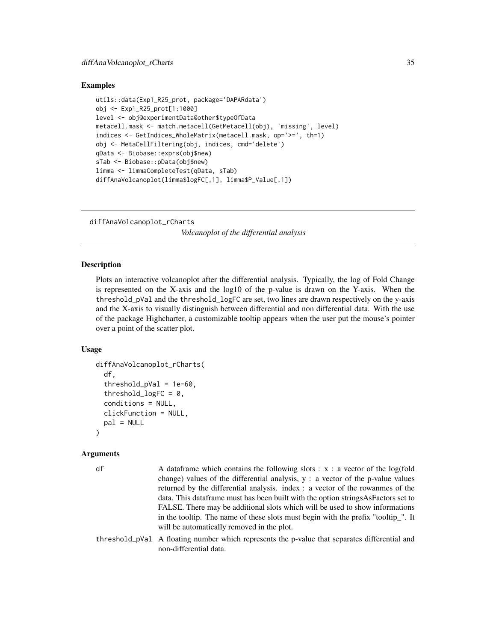#### <span id="page-34-0"></span>Examples

```
utils::data(Exp1_R25_prot, package='DAPARdata')
obj <- Exp1_R25_prot[1:1000]
level <- obj@experimentData@other$typeOfData
metacell.mask <- match.metacell(GetMetacell(obj), 'missing', level)
indices <- GetIndices_WholeMatrix(metacell.mask, op='>=', th=1)
obj <- MetaCellFiltering(obj, indices, cmd='delete')
qData <- Biobase::exprs(obj$new)
sTab <- Biobase::pData(obj$new)
limma <- limmaCompleteTest(qData, sTab)
diffAnaVolcanoplot(limma$logFC[,1], limma$P_Value[,1])
```
diffAnaVolcanoplot\_rCharts

*Volcanoplot of the differential analysis*

#### Description

Plots an interactive volcanoplot after the differential analysis. Typically, the log of Fold Change is represented on the X-axis and the log10 of the p-value is drawn on the Y-axis. When the threshold\_pVal and the threshold\_logFC are set, two lines are drawn respectively on the y-axis and the X-axis to visually distinguish between differential and non differential data. With the use of the package Highcharter, a customizable tooltip appears when the user put the mouse's pointer over a point of the scatter plot.

#### Usage

```
diffAnaVolcanoplot_rCharts(
  df,
  threshold_pVal = 1e-60,
  threshold_logFC = 0,
  conditions = NULL,
  clickFunction = NULL,
  pal = NULL)
```
#### Arguments

| df | A data frame which contains the following slots : $x : a$ vector of the log(fold                                        |
|----|-------------------------------------------------------------------------------------------------------------------------|
|    | change) values of the differential analysis, $y : a$ vector of the p-value values                                       |
|    | returned by the differential analysis. index : a vector of the rowanmes of the                                          |
|    | data. This data frame must has been built with the option strings As Factors set to                                     |
|    | FALSE. There may be additional slots which will be used to show informations                                            |
|    | in the tooltip. The name of these slots must begin with the prefix "tooltip_". It                                       |
|    | will be automatically removed in the plot.                                                                              |
|    | threshold_pVal A floating number which represents the p-value that separates differential and<br>non-differential data. |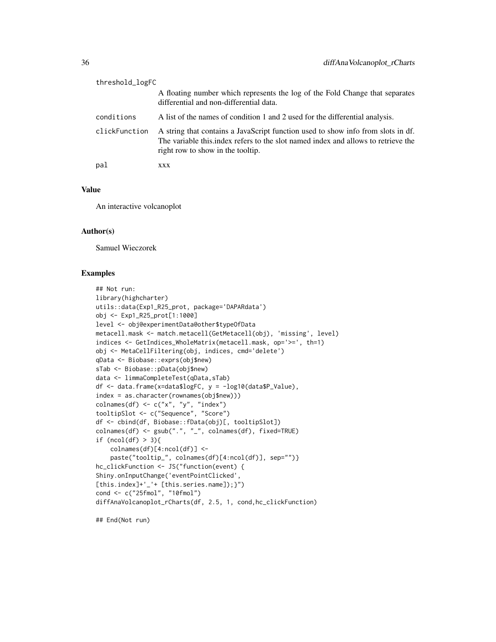| threshold_logFC |                                                                                                                                                                                                             |
|-----------------|-------------------------------------------------------------------------------------------------------------------------------------------------------------------------------------------------------------|
|                 | A floating number which represents the log of the Fold Change that separates<br>differential and non-differential data.                                                                                     |
| conditions      | A list of the names of condition 1 and 2 used for the differential analysis.                                                                                                                                |
| clickFunction   | A string that contains a JavaScript function used to show info from slots in df.<br>The variable this index refers to the slot named index and allows to retrieve the<br>right row to show in the tool tip. |
| pal             | XXX                                                                                                                                                                                                         |

#### Value

An interactive volcanoplot

# Author(s)

Samuel Wieczorek

#### Examples

```
## Not run:
library(highcharter)
utils::data(Exp1_R25_prot, package='DAPARdata')
obj <- Exp1_R25_prot[1:1000]
level <- obj@experimentData@other$typeOfData
metacell.mask <- match.metacell(GetMetacell(obj), 'missing', level)
indices <- GetIndices_WholeMatrix(metacell.mask, op='>=', th=1)
obj <- MetaCellFiltering(obj, indices, cmd='delete')
qData <- Biobase::exprs(obj$new)
sTab <- Biobase::pData(obj$new)
data <- limmaCompleteTest(qData,sTab)
df <- data.frame(x=data$logFC, y = -log10(data$P_Value),
index = as.character(rownames(obj$new)))
colnames(df) \leq c("x", "y", "index")
tooltipSlot <- c("Sequence", "Score")
df <- cbind(df, Biobase::fData(obj)[, tooltipSlot])
colnames(df) <- gsub(".", "_", colnames(df), fixed=TRUE)
if (ncol(df) > 3){
    \text{colnames}(df)[4:\text{ncol}(df)] <-
    paste("tooltip_", colnames(df)[4:ncol(df)], sep="")}
hc_clickFunction <- JS("function(event) {
Shiny.onInputChange('eventPointClicked',
[this.index]+'_'+ [this.series.name]);}")
cond <- c("25fmol", "10fmol")
diffAnaVolcanoplot_rCharts(df, 2.5, 1, cond,hc_clickFunction)
```
## End(Not run)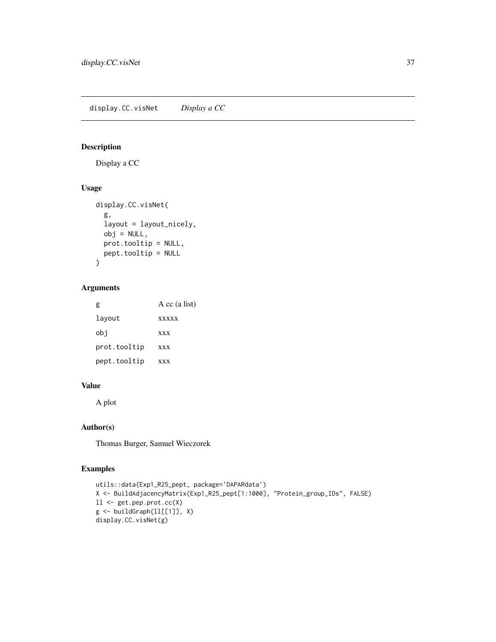# Description

Display a CC

# Usage

```
display.CC.visNet(
  g,
  layout = layout_nicely,
  obj = NULL,prot.tooltip = NULL,
  pept.tooltip = NULL
\mathcal{L}
```
# Arguments

| g            | $A$ cc (a list) |
|--------------|-----------------|
| layout       | <b>xxxxx</b>    |
| obi          | <b>XXX</b>      |
| prot.tooltip | <b>XXX</b>      |
| pept.tooltip | <b>XXX</b>      |

### Value

A plot

## Author(s)

Thomas Burger, Samuel Wieczorek

```
utils::data(Exp1_R25_pept, package='DAPARdata')
X <- BuildAdjacencyMatrix(Exp1_R25_pept[1:1000], "Protein_group_IDs", FALSE)
ll <- get.pep.prot.cc(X)
g \leftarrow \text{buildGraph}(11[[1]], X)display.CC.visNet(g)
```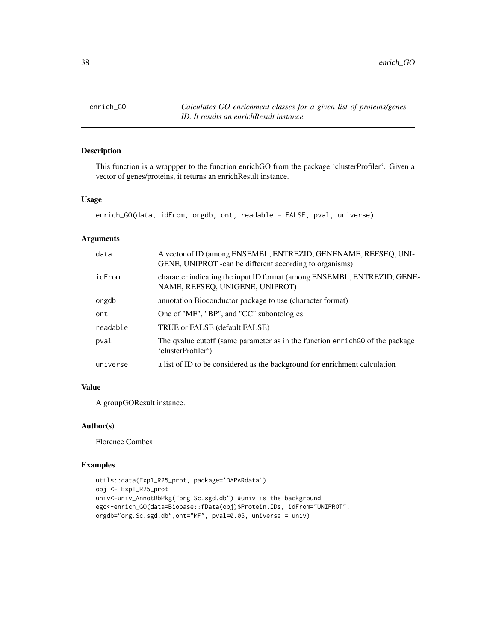enrich\_GO *Calculates GO enrichment classes for a given list of proteins/genes ID. It results an enrichResult instance.*

## Description

This function is a wrappper to the function enrichGO from the package 'clusterProfiler'. Given a vector of genes/proteins, it returns an enrichResult instance.

### Usage

enrich\_GO(data, idFrom, orgdb, ont, readable = FALSE, pval, universe)

### Arguments

| data     | A vector of ID (among ENSEMBL, ENTREZID, GENENAME, REFSEQ, UNI-<br>GENE, UNIPROT - can be different according to organisms) |
|----------|-----------------------------------------------------------------------------------------------------------------------------|
| idFrom   | character indicating the input ID format (among ENSEMBL, ENTREZID, GENE-<br>NAME, REFSEQ, UNIGENE, UNIPROT)                 |
| orgdb    | annotation Bioconductor package to use (character format)                                                                   |
| ont      | One of "MF", "BP", and "CC" subontologies                                                                                   |
| readable | TRUE or FALSE (default FALSE)                                                                                               |
| pval     | The qualue cutoff (same parameter as in the function enrich GO of the package<br>'clusterProfiler')                         |
| universe | a list of ID to be considered as the background for enrichment calculation                                                  |
|          |                                                                                                                             |

## Value

A groupGOResult instance.

#### Author(s)

Florence Combes

```
utils::data(Exp1_R25_prot, package='DAPARdata')
obj <- Exp1_R25_prot
univ<-univ_AnnotDbPkg("org.Sc.sgd.db") #univ is the background
ego<-enrich_GO(data=Biobase::fData(obj)$Protein.IDs, idFrom="UNIPROT",
orgdb="org.Sc.sgd.db",ont="MF", pval=0.05, universe = univ)
```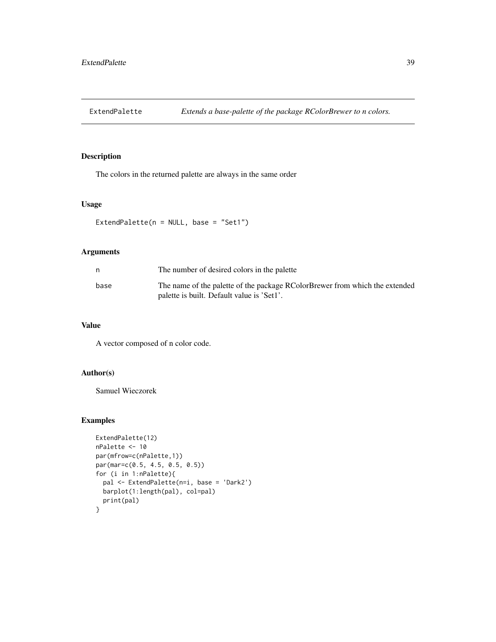## Description

The colors in the returned palette are always in the same order

## Usage

ExtendPalette(n = NULL, base = "Set1")

## Arguments

| n    | The number of desired colors in the palette                                                                               |
|------|---------------------------------------------------------------------------------------------------------------------------|
| base | The name of the palette of the package RColorBrewer from which the extended<br>palette is built. Default value is 'Set1'. |

## Value

A vector composed of n color code.

# Author(s)

Samuel Wieczorek

```
ExtendPalette(12)
nPalette <- 10
par(mfrow=c(nPalette,1))
par(mar=c(0.5, 4.5, 0.5, 0.5))
for (i in 1:nPalette){
  pal <- ExtendPalette(n=i, base = 'Dark2')
  barplot(1:length(pal), col=pal)
  print(pal)
}
```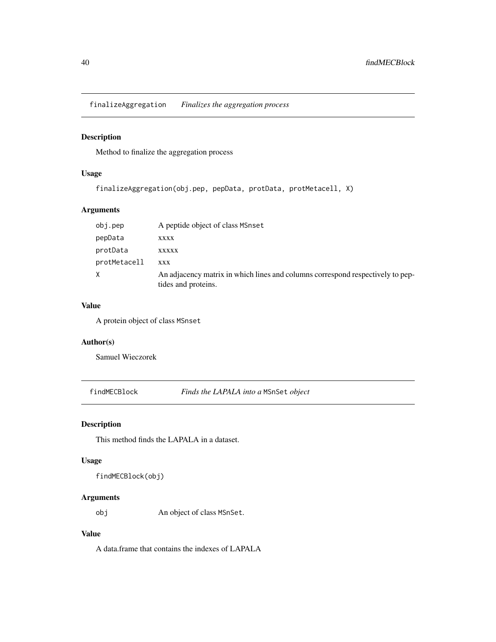finalizeAggregation *Finalizes the aggregation process*

## Description

Method to finalize the aggregation process

# Usage

```
finalizeAggregation(obj.pep, pepData, protData, protMetacell, X)
```
### Arguments

| obj.pep      | A peptide object of class MSnset                                                                      |
|--------------|-------------------------------------------------------------------------------------------------------|
| pepData      | <b>XXXX</b>                                                                                           |
| protData     | <b>XXXXX</b>                                                                                          |
| protMetacell | <b>XXX</b>                                                                                            |
|              | An adjacency matrix in which lines and columns correspond respectively to pep-<br>tides and proteins. |

## Value

A protein object of class MSnset

## Author(s)

Samuel Wieczorek

findMECBlock *Finds the LAPALA into a* MSnSet *object*

# Description

This method finds the LAPALA in a dataset.

## Usage

findMECBlock(obj)

## Arguments

obj An object of class MSnSet.

# Value

A data.frame that contains the indexes of LAPALA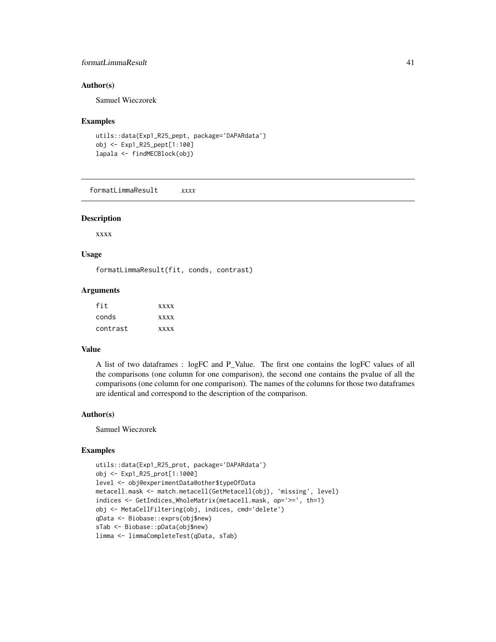## formatLimmaResult 41

### Author(s)

Samuel Wieczorek

#### Examples

```
utils::data(Exp1_R25_pept, package='DAPARdata')
obj <- Exp1_R25_pept[1:100]
lapala <- findMECBlock(obj)
```
formatLimmaResult *xxxx*

### Description

xxxx

### Usage

formatLimmaResult(fit, conds, contrast)

### Arguments

| fit      | <b>XXXX</b> |
|----------|-------------|
| conds    | <b>XXXX</b> |
| contrast | <b>XXXX</b> |

### Value

A list of two dataframes : logFC and P\_Value. The first one contains the logFC values of all the comparisons (one column for one comparison), the second one contains the pvalue of all the comparisons (one column for one comparison). The names of the columns for those two dataframes are identical and correspond to the description of the comparison.

#### Author(s)

Samuel Wieczorek

```
utils::data(Exp1_R25_prot, package='DAPARdata')
obj <- Exp1_R25_prot[1:1000]
level <- obj@experimentData@other$typeOfData
metacell.mask <- match.metacell(GetMetacell(obj), 'missing', level)
indices <- GetIndices_WholeMatrix(metacell.mask, op='>=', th=1)
obj <- MetaCellFiltering(obj, indices, cmd='delete')
qData <- Biobase::exprs(obj$new)
sTab <- Biobase::pData(obj$new)
limma <- limmaCompleteTest(qData, sTab)
```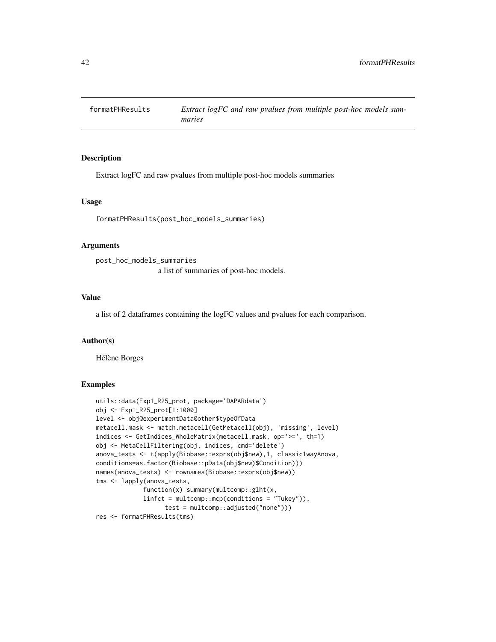### Description

Extract logFC and raw pvalues from multiple post-hoc models summaries

#### Usage

formatPHResults(post\_hoc\_models\_summaries)

#### Arguments

```
post_hoc_models_summaries
                 a list of summaries of post-hoc models.
```
#### Value

a list of 2 dataframes containing the logFC values and pvalues for each comparison.

#### Author(s)

Hélène Borges

```
utils::data(Exp1_R25_prot, package='DAPARdata')
obj <- Exp1_R25_prot[1:1000]
level <- obj@experimentData@other$typeOfData
metacell.mask <- match.metacell(GetMetacell(obj), 'missing', level)
indices <- GetIndices_WholeMatrix(metacell.mask, op='>=', th=1)
obj <- MetaCellFiltering(obj, indices, cmd='delete')
anova_tests <- t(apply(Biobase::exprs(obj$new),1, classic1wayAnova,
conditions=as.factor(Biobase::pData(obj$new)$Condition)))
names(anova_tests) <- rownames(Biobase::exprs(obj$new))
tms <- lapply(anova_tests,
             function(x) summary(multcomp::glht(x,
             linfct = multcomp::mcp(conditions = "Tukey")),
                  test = multcomp::adjusted("none")))
res <- formatPHResults(tms)
```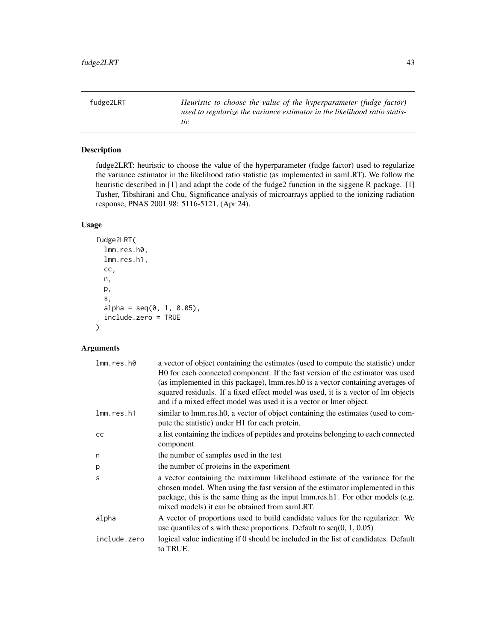fudge2LRT *Heuristic to choose the value of the hyperparameter (fudge factor) used to regularize the variance estimator in the likelihood ratio statistic*

## Description

fudge2LRT: heuristic to choose the value of the hyperparameter (fudge factor) used to regularize the variance estimator in the likelihood ratio statistic (as implemented in samLRT). We follow the heuristic described in [1] and adapt the code of the fudge2 function in the siggene R package. [1] Tusher, Tibshirani and Chu, Significance analysis of microarrays applied to the ionizing radiation response, PNAS 2001 98: 5116-5121, (Apr 24).

### Usage

```
fudge2LRT(
  lmm.res.h0,
 lmm.res.h1,
  cc,
  n,
 p,
  s,
  alpha = seq(0, 1, 0.05),
  include.zero = TRUE
)
```
# Arguments

| lmm.res.h0   | a vector of object containing the estimates (used to compute the statistic) under<br>HO for each connected component. If the fast version of the estimator was used<br>(as implemented in this package), lmm.res.h0 is a vector containing averages of                                            |
|--------------|---------------------------------------------------------------------------------------------------------------------------------------------------------------------------------------------------------------------------------------------------------------------------------------------------|
|              | squared residuals. If a fixed effect model was used, it is a vector of lm objects<br>and if a mixed effect model was used it is a vector or lmer object.                                                                                                                                          |
| lmm.res.h1   | similar to lmm.res.h0, a vector of object containing the estimates (used to com-<br>pute the statistic) under H1 for each protein.                                                                                                                                                                |
| cc           | a list containing the indices of peptides and proteins belonging to each connected<br>component.                                                                                                                                                                                                  |
| n            | the number of samples used in the test                                                                                                                                                                                                                                                            |
| p            | the number of proteins in the experiment                                                                                                                                                                                                                                                          |
| S            | a vector containing the maximum likelihood estimate of the variance for the<br>chosen model. When using the fast version of the estimator implemented in this<br>package, this is the same thing as the input lmm.res.h1. For other models (e.g.<br>mixed models) it can be obtained from samLRT. |
| alpha        | A vector of proportions used to build candidate values for the regularizer. We<br>use quantiles of s with these proportions. Default to $seq(0, 1, 0.05)$                                                                                                                                         |
| include.zero | logical value indicating if 0 should be included in the list of candidates. Default<br>to TRUE.                                                                                                                                                                                                   |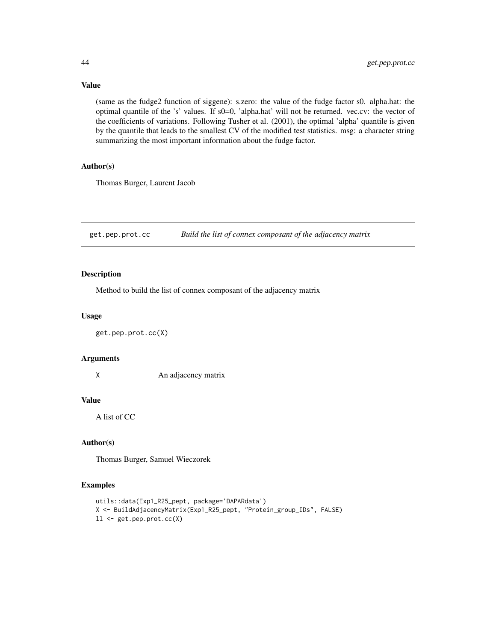(same as the fudge2 function of siggene): s.zero: the value of the fudge factor s0. alpha.hat: the optimal quantile of the 's' values. If s0=0, 'alpha.hat' will not be returned. vec.cv: the vector of the coefficients of variations. Following Tusher et al. (2001), the optimal 'alpha' quantile is given by the quantile that leads to the smallest CV of the modified test statistics. msg: a character string summarizing the most important information about the fudge factor.

### Author(s)

Thomas Burger, Laurent Jacob

get.pep.prot.cc *Build the list of connex composant of the adjacency matrix*

### Description

Method to build the list of connex composant of the adjacency matrix

## Usage

```
get.pep.prot.cc(X)
```
### Arguments

X An adjacency matrix

## Value

A list of CC

#### Author(s)

Thomas Burger, Samuel Wieczorek

## Examples

```
utils::data(Exp1_R25_pept, package='DAPARdata')
X <- BuildAdjacencyMatrix(Exp1_R25_pept, "Protein_group_IDs", FALSE)
ll <- get.pep.prot.cc(X)
```
# Value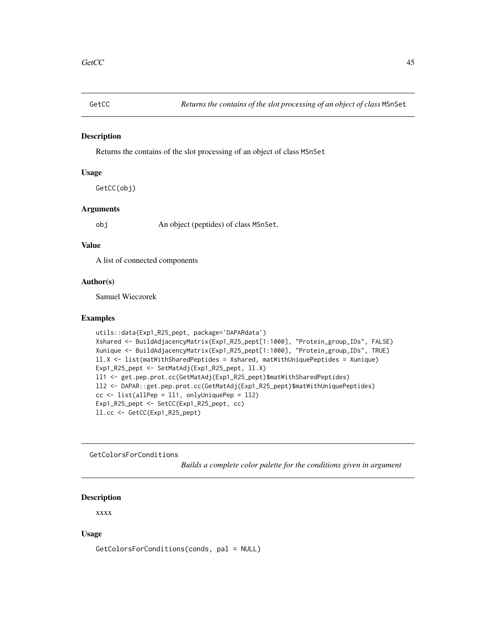#### Description

Returns the contains of the slot processing of an object of class MSnSet

### Usage

GetCC(obj)

### Arguments

obj An object (peptides) of class MSnSet.

### Value

A list of connected components

#### Author(s)

Samuel Wieczorek

#### Examples

```
utils::data(Exp1_R25_pept, package='DAPARdata')
Xshared <- BuildAdjacencyMatrix(Exp1_R25_pept[1:1000], "Protein_group_IDs", FALSE)
Xunique <- BuildAdjacencyMatrix(Exp1_R25_pept[1:1000], "Protein_group_IDs", TRUE)
ll.X <- list(matWithSharedPeptides = Xshared, matWithUniquePeptides = Xunique)
Exp1_R25_pept <- SetMatAdj(Exp1_R25_pept, ll.X)
ll1 <- get.pep.prot.cc(GetMatAdj(Exp1_R25_pept)$matWithSharedPeptides)
ll2 <- DAPAR::get.pep.prot.cc(GetMatAdj(Exp1_R25_pept)$matWithUniquePeptides)
cc <- list(allPep = ll1, onlyUniquePep = ll2)
Exp1_R25_pept <- SetCC(Exp1_R25_pept, cc)
ll.cc <- GetCC(Exp1_R25_pept)
```
GetColorsForConditions

*Builds a complete color palette for the conditions given in argument*

## Description

xxxx

## Usage

GetColorsForConditions(conds, pal = NULL)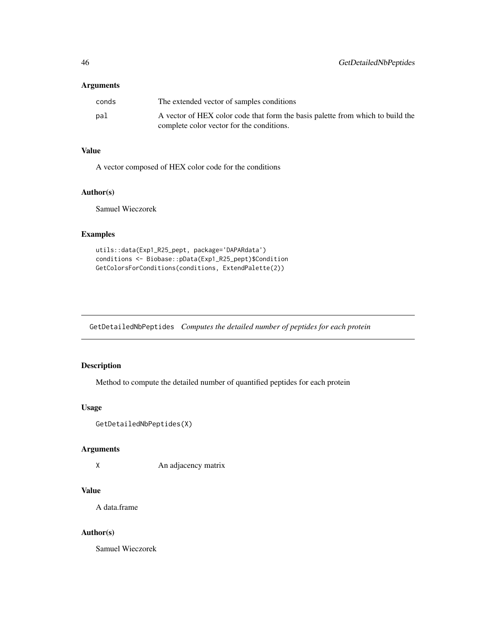## Arguments

| conds | The extended vector of samples conditions                                      |
|-------|--------------------------------------------------------------------------------|
| pal   | A vector of HEX color code that form the basis palette from which to build the |
|       | complete color vector for the conditions.                                      |

## Value

A vector composed of HEX color code for the conditions

## Author(s)

Samuel Wieczorek

# Examples

```
utils::data(Exp1_R25_pept, package='DAPARdata')
conditions <- Biobase::pData(Exp1_R25_pept)$Condition
GetColorsForConditions(conditions, ExtendPalette(2))
```
GetDetailedNbPeptides *Computes the detailed number of peptides for each protein*

## Description

Method to compute the detailed number of quantified peptides for each protein

### Usage

```
GetDetailedNbPeptides(X)
```
#### Arguments

X An adjacency matrix

# Value

A data.frame

### Author(s)

Samuel Wieczorek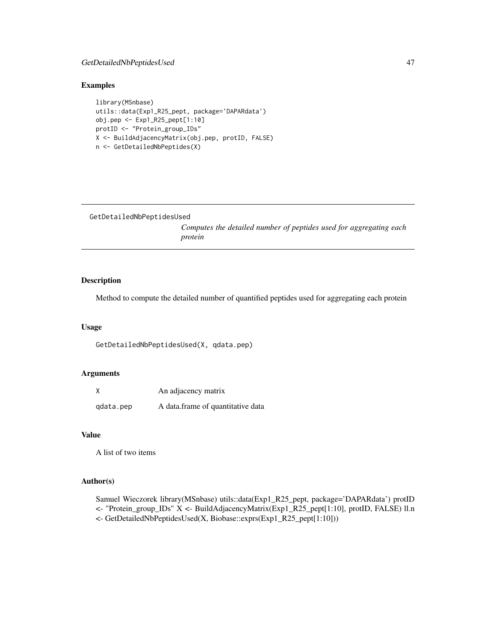## GetDetailedNbPeptidesUsed 47

## Examples

```
library(MSnbase)
utils::data(Exp1_R25_pept, package='DAPARdata')
obj.pep <- Exp1_R25_pept[1:10]
protID <- "Protein_group_IDs"
X <- BuildAdjacencyMatrix(obj.pep, protID, FALSE)
n <- GetDetailedNbPeptides(X)
```

```
GetDetailedNbPeptidesUsed
```
*Computes the detailed number of peptides used for aggregating each protein*

# Description

Method to compute the detailed number of quantified peptides used for aggregating each protein

#### Usage

```
GetDetailedNbPeptidesUsed(X, qdata.pep)
```
### Arguments

| Χ         | An adjacency matrix               |
|-----------|-----------------------------------|
| qdata.pep | A data.frame of quantitative data |

### Value

A list of two items

# Author(s)

Samuel Wieczorek library(MSnbase) utils::data(Exp1\_R25\_pept, package='DAPARdata') protID <- "Protein\_group\_IDs" X <- BuildAdjacencyMatrix(Exp1\_R25\_pept[1:10], protID, FALSE) ll.n <- GetDetailedNbPeptidesUsed(X, Biobase::exprs(Exp1\_R25\_pept[1:10]))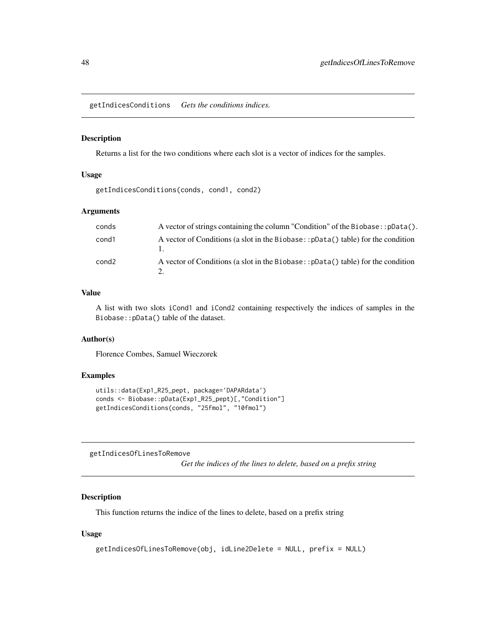getIndicesConditions *Gets the conditions indices.*

#### Description

Returns a list for the two conditions where each slot is a vector of indices for the samples.

### Usage

getIndicesConditions(conds, cond1, cond2)

#### Arguments

| conds | A vector of strings containing the column "Condition" of the Biobase: : pData().  |
|-------|-----------------------------------------------------------------------------------|
| cond1 | A vector of Conditions (a slot in the Biobase: : pData() table) for the condition |
| cond2 | A vector of Conditions (a slot in the Biobase::pData() table) for the condition   |

#### Value

A list with two slots iCond1 and iCond2 containing respectively the indices of samples in the Biobase::pData() table of the dataset.

# Author(s)

Florence Combes, Samuel Wieczorek

### Examples

```
utils::data(Exp1_R25_pept, package='DAPARdata')
conds <- Biobase::pData(Exp1_R25_pept)[,"Condition"]
getIndicesConditions(conds, "25fmol", "10fmol")
```
getIndicesOfLinesToRemove

*Get the indices of the lines to delete, based on a prefix string*

# Description

This function returns the indice of the lines to delete, based on a prefix string

#### Usage

```
getIndicesOfLinesToRemove(obj, idLine2Delete = NULL, prefix = NULL)
```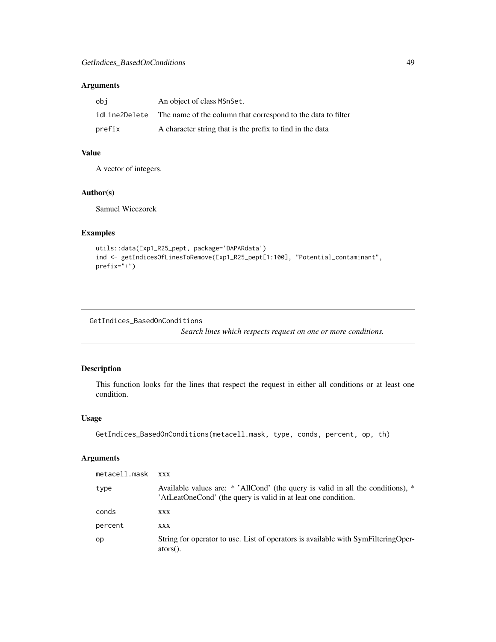## Arguments

| obi    | An object of class MSnSet.                                                 |
|--------|----------------------------------------------------------------------------|
|        | idLine2Delete The name of the column that correspond to the data to filter |
| prefix | A character string that is the prefix to find in the data                  |

# Value

A vector of integers.

## Author(s)

Samuel Wieczorek

# Examples

```
utils::data(Exp1_R25_pept, package='DAPARdata')
ind <- getIndicesOfLinesToRemove(Exp1_R25_pept[1:100], "Potential_contaminant",
prefix="+")
```
GetIndices\_BasedOnConditions

*Search lines which respects request on one or more conditions.*

## Description

This function looks for the lines that respect the request in either all conditions or at least one condition.

## Usage

```
GetIndices_BasedOnConditions(metacell.mask, type, conds, percent, op, th)
```
## Arguments

| metacell.mask | <b>XXX</b>                                                                                                                                       |
|---------------|--------------------------------------------------------------------------------------------------------------------------------------------------|
| type          | Available values are: * 'AllCond' (the query is valid in all the conditions), *<br>'AtLeatOneCond' (the query is valid in at leat one condition. |
| conds         | XXX                                                                                                                                              |
| percent       | <b>XXX</b>                                                                                                                                       |
| op            | String for operator to use. List of operators is available with SymFilteringOper-<br>$ators()$ .                                                 |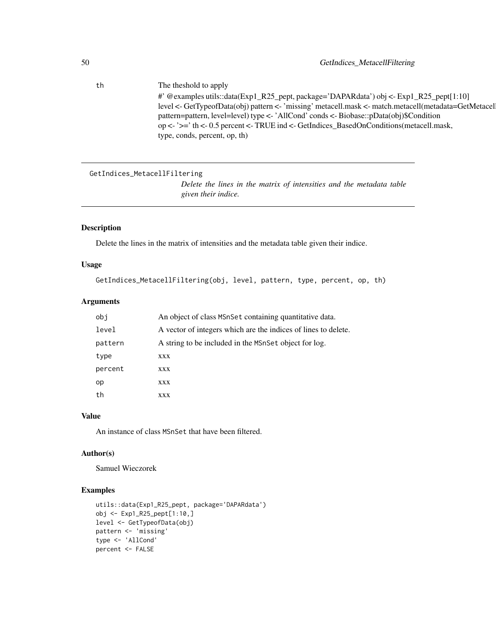th The theshold to apply #' @examples utils::data(Exp1\_R25\_pept, package='DAPARdata') obj <- Exp1\_R25\_pept[1:10] level <- GetTypeofData(obj) pattern <- 'missing' metacell.mask <- match.metacell(metadata=GetMetacel pattern=pattern, level=level) type <- 'AllCond' conds <- Biobase::pData(obj)\$Condition op <- '>=' th <- 0.5 percent <- TRUE ind <- GetIndices\_BasedOnConditions(metacell.mask, type, conds, percent, op, th)

```
GetIndices_MetacellFiltering
```
*Delete the lines in the matrix of intensities and the metadata table given their indice.*

## Description

Delete the lines in the matrix of intensities and the metadata table given their indice.

### Usage

```
GetIndices_MetacellFiltering(obj, level, pattern, type, percent, op, th)
```
#### Arguments

| obi     | An object of class MSnSet containing quantitative data.        |
|---------|----------------------------------------------------------------|
| level   | A vector of integers which are the indices of lines to delete. |
| pattern | A string to be included in the MSnSet object for log.          |
| type    | XXX                                                            |
| percent | XXX                                                            |
| op      | XXX                                                            |
| th      | XXX                                                            |

## Value

An instance of class MSnSet that have been filtered.

### Author(s)

Samuel Wieczorek

```
utils::data(Exp1_R25_pept, package='DAPARdata')
obj <- Exp1_R25_pept[1:10,]
level <- GetTypeofData(obj)
pattern <- 'missing'
type <- 'AllCond'
percent <- FALSE
```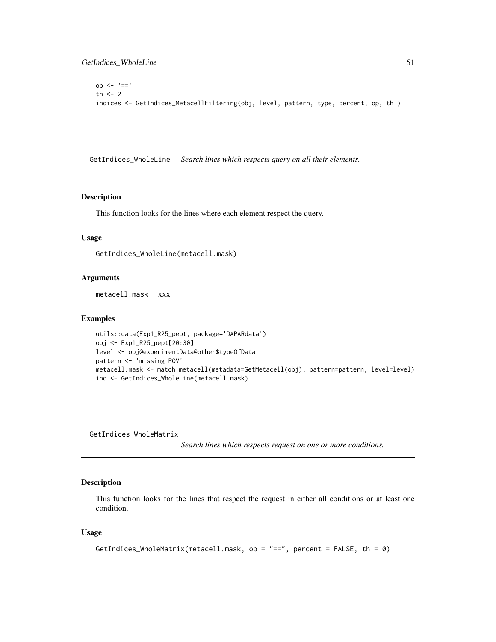```
op <- '=='
th <-2indices <- GetIndices_MetacellFiltering(obj, level, pattern, type, percent, op, th )
```
GetIndices\_WholeLine *Search lines which respects query on all their elements.*

## Description

This function looks for the lines where each element respect the query.

### Usage

GetIndices\_WholeLine(metacell.mask)

#### Arguments

metacell.mask xxx

#### Examples

```
utils::data(Exp1_R25_pept, package='DAPARdata')
obj <- Exp1_R25_pept[20:30]
level <- obj@experimentData@other$typeOfData
pattern <- 'missing POV'
metacell.mask <- match.metacell(metadata=GetMetacell(obj), pattern=pattern, level=level)
ind <- GetIndices_WholeLine(metacell.mask)
```
GetIndices\_WholeMatrix

*Search lines which respects request on one or more conditions.*

# Description

This function looks for the lines that respect the request in either all conditions or at least one condition.

#### Usage

```
GetIndices_WholeMatrix(metacell.mask, op = "==", percent = FALSE, th = 0)
```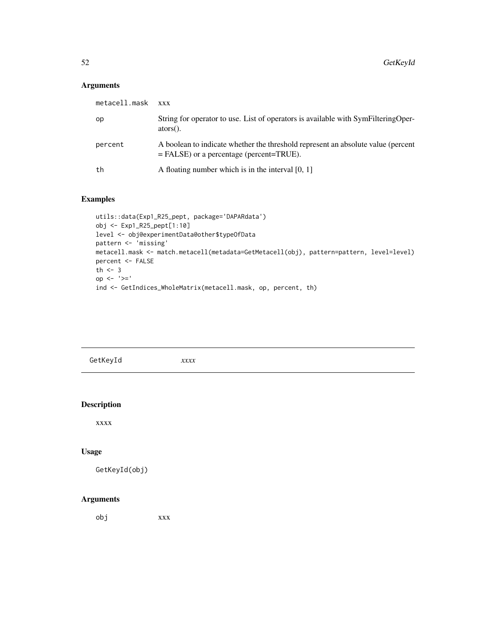# Arguments

| metacell.mask | <b>XXX</b>                                                                                                                     |
|---------------|--------------------------------------------------------------------------------------------------------------------------------|
| op            | String for operator to use. List of operators is available with SymFilteringOper-<br>$ators()$ .                               |
| percent       | A boolean to indicate whether the threshold represent an absolute value (percent<br>$=$ FALSE) or a percentage (percent=TRUE). |
| th            | A floating number which is in the interval $[0, 1]$                                                                            |

## Examples

```
utils::data(Exp1_R25_pept, package='DAPARdata')
obj <- Exp1_R25_pept[1:10]
level <- obj@experimentData@other$typeOfData
pattern <- 'missing'
metacell.mask <- match.metacell(metadata=GetMetacell(obj), pattern=pattern, level=level)
percent <- FALSE
th <-3op <- '>='
ind <- GetIndices_WholeMatrix(metacell.mask, op, percent, th)
```

| GetKeyId<br>xxx |
|-----------------|
|-----------------|

## Description

xxxx

# Usage

```
GetKeyId(obj)
```
## Arguments

obj xxx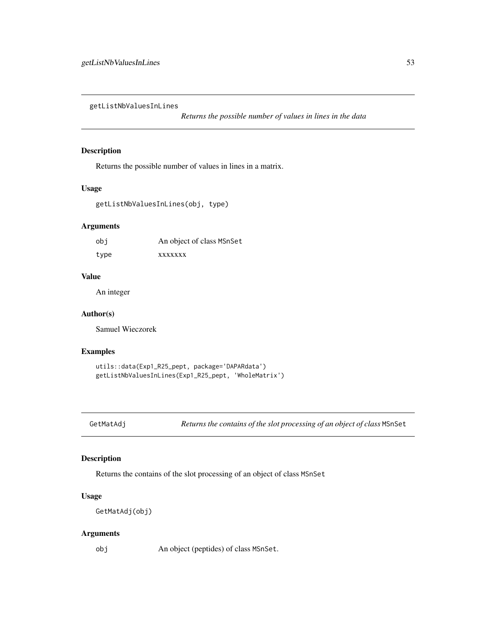getListNbValuesInLines

*Returns the possible number of values in lines in the data*

## Description

Returns the possible number of values in lines in a matrix.

#### Usage

getListNbValuesInLines(obj, type)

#### Arguments

| obi  | An object of class MSnSet |
|------|---------------------------|
| type | <b>XXXXXXX</b>            |

### Value

An integer

## Author(s)

Samuel Wieczorek

### Examples

```
utils::data(Exp1_R25_pept, package='DAPARdata')
getListNbValuesInLines(Exp1_R25_pept, 'WholeMatrix')
```
GetMatAdj *Returns the contains of the slot processing of an object of class* MSnSet

## Description

Returns the contains of the slot processing of an object of class MSnSet

## Usage

```
GetMatAdj(obj)
```
## Arguments

obj An object (peptides) of class MSnSet.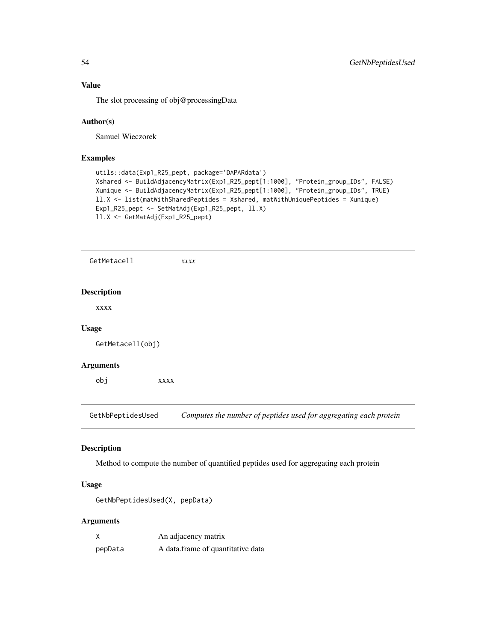# Value

The slot processing of obj@processingData

## Author(s)

Samuel Wieczorek

## Examples

```
utils::data(Exp1_R25_pept, package='DAPARdata')
Xshared <- BuildAdjacencyMatrix(Exp1_R25_pept[1:1000], "Protein_group_IDs", FALSE)
Xunique <- BuildAdjacencyMatrix(Exp1_R25_pept[1:1000], "Protein_group_IDs", TRUE)
ll.X <- list(matWithSharedPeptides = Xshared, matWithUniquePeptides = Xunique)
Exp1_R25_pept <- SetMatAdj(Exp1_R25_pept, ll.X)
ll.X <- GetMatAdj(Exp1_R25_pept)
```

| GetMetacell        |      | xxx                                                               |
|--------------------|------|-------------------------------------------------------------------|
| <b>Description</b> |      |                                                                   |
| XXXX               |      |                                                                   |
| <b>Usage</b>       |      |                                                                   |
| GetMetacell(obj)   |      |                                                                   |
| <b>Arguments</b>   |      |                                                                   |
| obj                | XXXX |                                                                   |
| GetNbPeptidesUsed  |      | Computes the number of peptides used for aggregating each protein |

# Description

Method to compute the number of quantified peptides used for aggregating each protein

# Usage

```
GetNbPeptidesUsed(X, pepData)
```
# Arguments

| Χ       | An adjacency matrix               |
|---------|-----------------------------------|
| pepData | A data frame of quantitative data |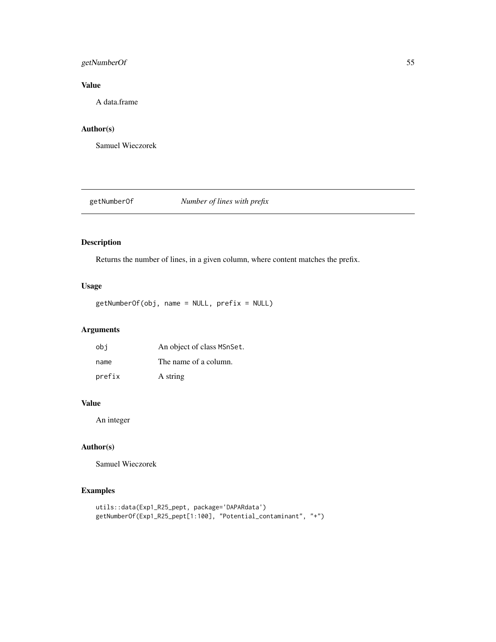## getNumberOf 55

# Value

A data.frame

# Author(s)

Samuel Wieczorek

getNumberOf *Number of lines with prefix*

## Description

Returns the number of lines, in a given column, where content matches the prefix.

## Usage

getNumberOf(obj, name = NULL, prefix = NULL)

# Arguments

| obi    | An object of class MSnSet. |
|--------|----------------------------|
| name   | The name of a column.      |
| prefix | A string                   |

# Value

An integer

## Author(s)

Samuel Wieczorek

```
utils::data(Exp1_R25_pept, package='DAPARdata')
getNumberOf(Exp1_R25_pept[1:100], "Potential_contaminant", "+")
```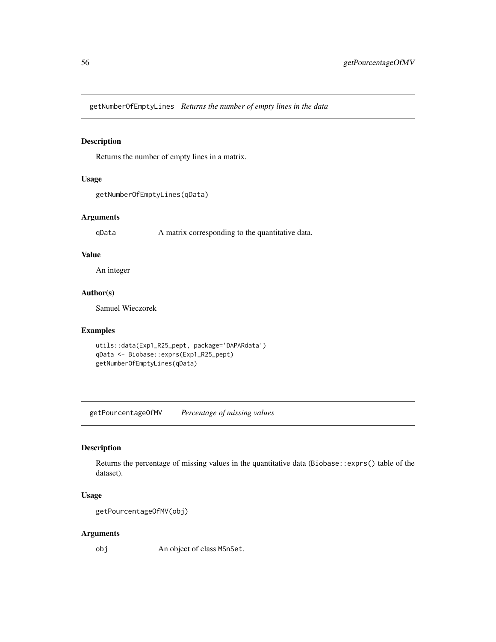getNumberOfEmptyLines *Returns the number of empty lines in the data*

### Description

Returns the number of empty lines in a matrix.

## Usage

```
getNumberOfEmptyLines(qData)
```
# Arguments

qData A matrix corresponding to the quantitative data.

### Value

An integer

## Author(s)

Samuel Wieczorek

# Examples

```
utils::data(Exp1_R25_pept, package='DAPARdata')
qData <- Biobase::exprs(Exp1_R25_pept)
getNumberOfEmptyLines(qData)
```
getPourcentageOfMV *Percentage of missing values*

## Description

Returns the percentage of missing values in the quantitative data (Biobase::exprs() table of the dataset).

## Usage

```
getPourcentageOfMV(obj)
```
### Arguments

obj An object of class MSnSet.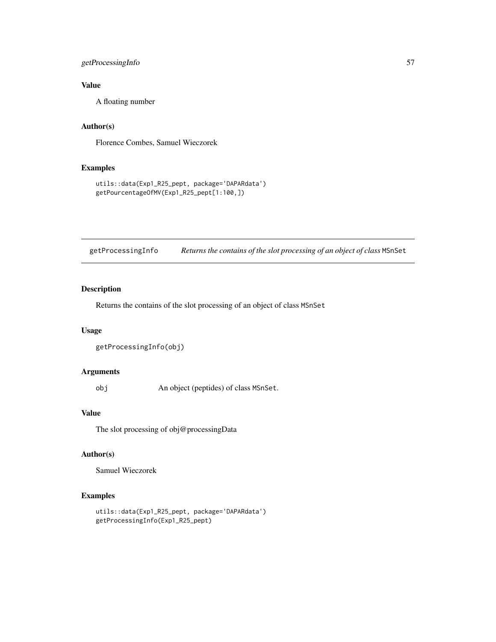## getProcessingInfo 57

# Value

A floating number

# Author(s)

Florence Combes, Samuel Wieczorek

## Examples

```
utils::data(Exp1_R25_pept, package='DAPARdata')
getPourcentageOfMV(Exp1_R25_pept[1:100,])
```
getProcessingInfo *Returns the contains of the slot processing of an object of class* MSnSet

## Description

Returns the contains of the slot processing of an object of class MSnSet

# Usage

```
getProcessingInfo(obj)
```
### Arguments

obj An object (peptides) of class MSnSet.

# Value

The slot processing of obj@processingData

# Author(s)

Samuel Wieczorek

```
utils::data(Exp1_R25_pept, package='DAPARdata')
getProcessingInfo(Exp1_R25_pept)
```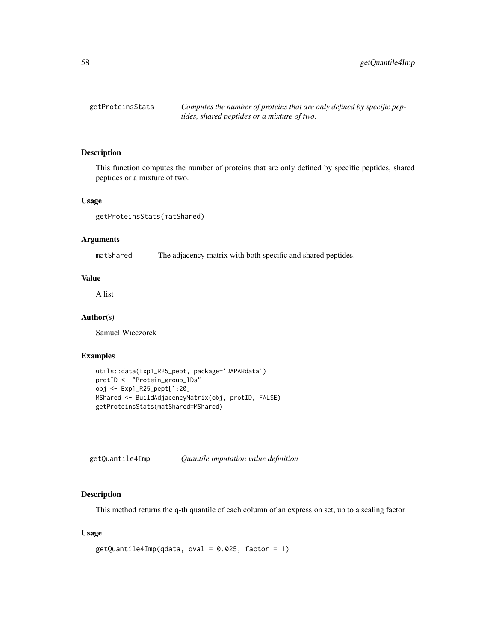getProteinsStats *Computes the number of proteins that are only defined by specific peptides, shared peptides or a mixture of two.*

## Description

This function computes the number of proteins that are only defined by specific peptides, shared peptides or a mixture of two.

#### Usage

getProteinsStats(matShared)

#### Arguments

matShared The adjacency matrix with both specific and shared peptides.

### Value

A list

# Author(s)

Samuel Wieczorek

### Examples

```
utils::data(Exp1_R25_pept, package='DAPARdata')
protID <- "Protein_group_IDs"
obj <- Exp1_R25_pept[1:20]
MShared <- BuildAdjacencyMatrix(obj, protID, FALSE)
getProteinsStats(matShared=MShared)
```
getQuantile4Imp *Quantile imputation value definition*

## Description

This method returns the q-th quantile of each column of an expression set, up to a scaling factor

### Usage

```
getQuantile4Imp(qdata, qval = 0.025, factor = 1)
```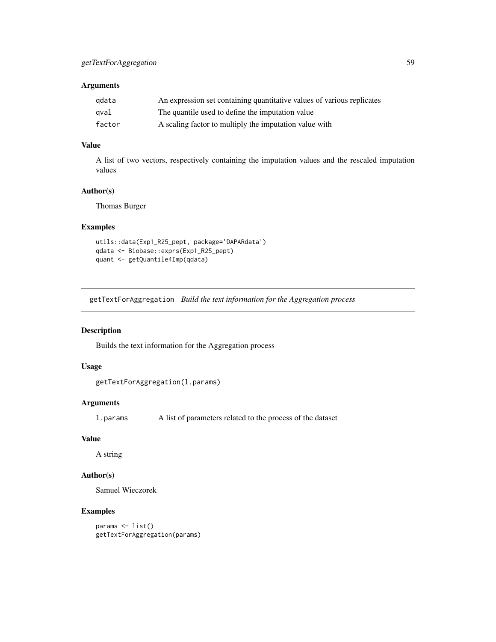## Arguments

| adata  | An expression set containing quantitative values of various replicates |
|--------|------------------------------------------------------------------------|
| qval   | The quantile used to define the imputation value                       |
| factor | A scaling factor to multiply the imputation value with                 |

# Value

A list of two vectors, respectively containing the imputation values and the rescaled imputation values

### Author(s)

Thomas Burger

## Examples

```
utils::data(Exp1_R25_pept, package='DAPARdata')
qdata <- Biobase::exprs(Exp1_R25_pept)
quant <- getQuantile4Imp(qdata)
```
getTextForAggregation *Build the text information for the Aggregation process*

# Description

Builds the text information for the Aggregation process

## Usage

```
getTextForAggregation(l.params)
```
# Arguments

l.params A list of parameters related to the process of the dataset

## Value

A string

### Author(s)

Samuel Wieczorek

# Examples

params <- list() getTextForAggregation(params)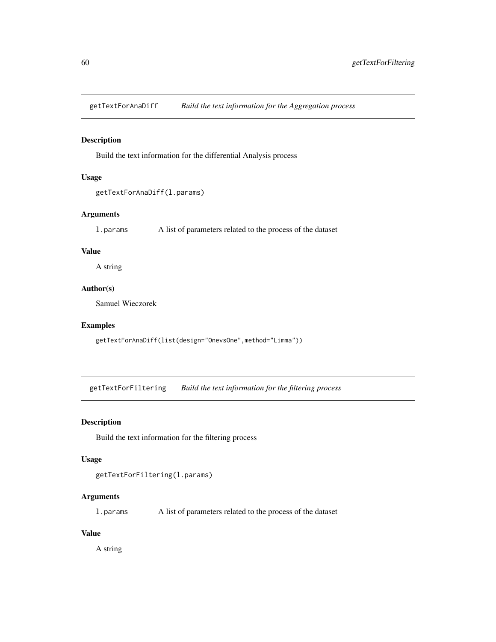getTextForAnaDiff *Build the text information for the Aggregation process*

## Description

Build the text information for the differential Analysis process

# Usage

```
getTextForAnaDiff(l.params)
```
## Arguments

l.params A list of parameters related to the process of the dataset

## Value

A string

## Author(s)

Samuel Wieczorek

## Examples

```
getTextForAnaDiff(list(design="OnevsOne",method="Limma"))
```
getTextForFiltering *Build the text information for the filtering process*

## Description

Build the text information for the filtering process

#### Usage

```
getTextForFiltering(l.params)
```
## Arguments

l.params A list of parameters related to the process of the dataset

### Value

A string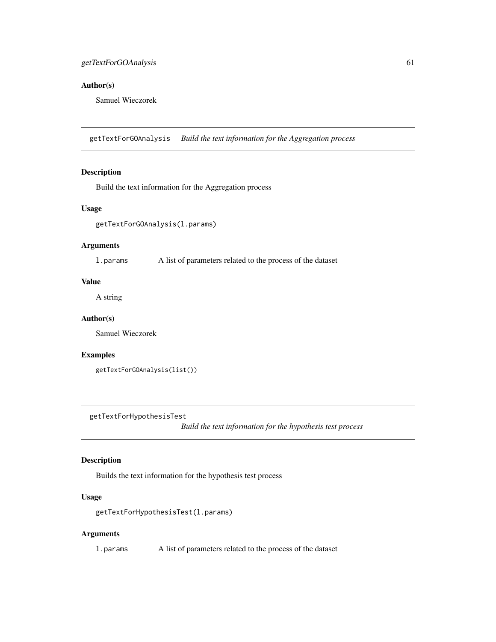## getTextForGOAnalysis 61

## Author(s)

Samuel Wieczorek

getTextForGOAnalysis *Build the text information for the Aggregation process*

## Description

Build the text information for the Aggregation process

### Usage

getTextForGOAnalysis(l.params)

# Arguments

l.params A list of parameters related to the process of the dataset

# Value

A string

### Author(s)

Samuel Wieczorek

#### Examples

getTextForGOAnalysis(list())

getTextForHypothesisTest

*Build the text information for the hypothesis test process*

## Description

Builds the text information for the hypothesis test process

## Usage

```
getTextForHypothesisTest(l.params)
```
## Arguments

l.params A list of parameters related to the process of the dataset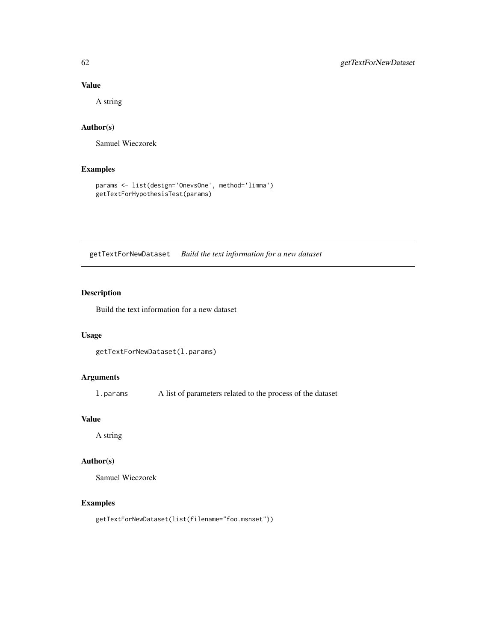## Value

A string

## Author(s)

Samuel Wieczorek

# Examples

```
params <- list(design='OnevsOne', method='limma')
getTextForHypothesisTest(params)
```
getTextForNewDataset *Build the text information for a new dataset*

# Description

Build the text information for a new dataset

### Usage

```
getTextForNewDataset(l.params)
```
## Arguments

l.params A list of parameters related to the process of the dataset

# Value

A string

# Author(s)

Samuel Wieczorek

## Examples

getTextForNewDataset(list(filename="foo.msnset"))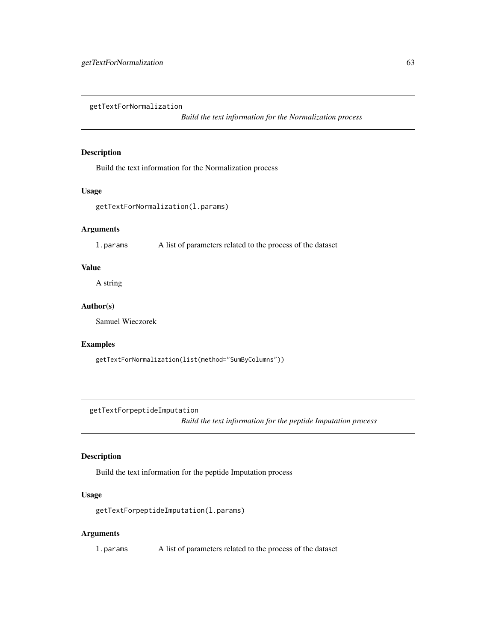getTextForNormalization

*Build the text information for the Normalization process*

## Description

Build the text information for the Normalization process

### Usage

getTextForNormalization(l.params)

## Arguments

l.params A list of parameters related to the process of the dataset

## Value

A string

# Author(s)

Samuel Wieczorek

### Examples

getTextForNormalization(list(method="SumByColumns"))

getTextForpeptideImputation

*Build the text information for the peptide Imputation process*

### Description

Build the text information for the peptide Imputation process

## Usage

getTextForpeptideImputation(l.params)

### Arguments

l.params A list of parameters related to the process of the dataset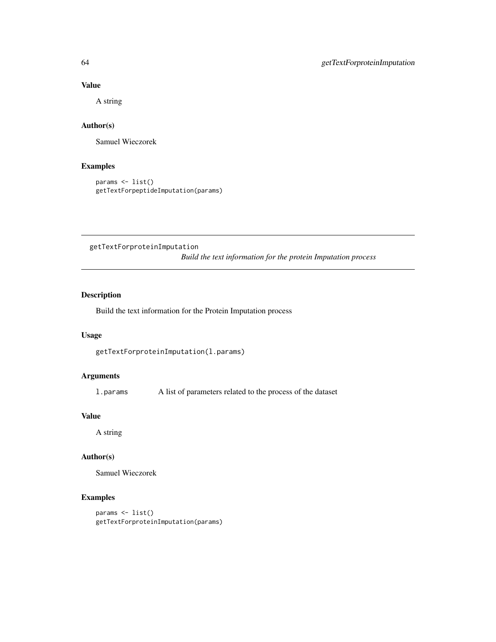## Value

A string

# Author(s)

Samuel Wieczorek

# Examples

```
params <- list()
getTextForpeptideImputation(params)
```
getTextForproteinImputation *Build the text information for the protein Imputation process*

# Description

Build the text information for the Protein Imputation process

### Usage

getTextForproteinImputation(l.params)

### Arguments

l.params A list of parameters related to the process of the dataset

## Value

A string

### Author(s)

Samuel Wieczorek

# Examples

params <- list() getTextForproteinImputation(params)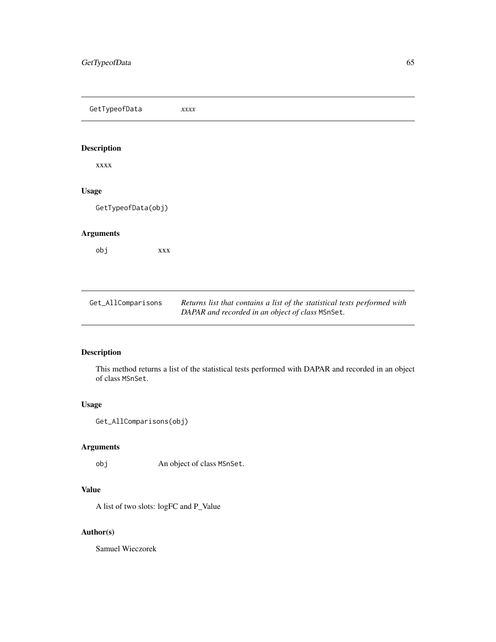GetTypeofData *xxxx* Description xxxx Usage GetTypeofData(obj) Arguments obj xxx Get\_AllComparisons *Returns list that contains a list of the statistical tests performed with DAPAR and recorded in an object of class* MSnSet*.*

# Description

This method returns a list of the statistical tests performed with DAPAR and recorded in an object of class MSnSet.

# Usage

```
Get_AllComparisons(obj)
```
## Arguments

obj An object of class MSnSet.

## Value

A list of two slots: logFC and P\_Value

# Author(s)

Samuel Wieczorek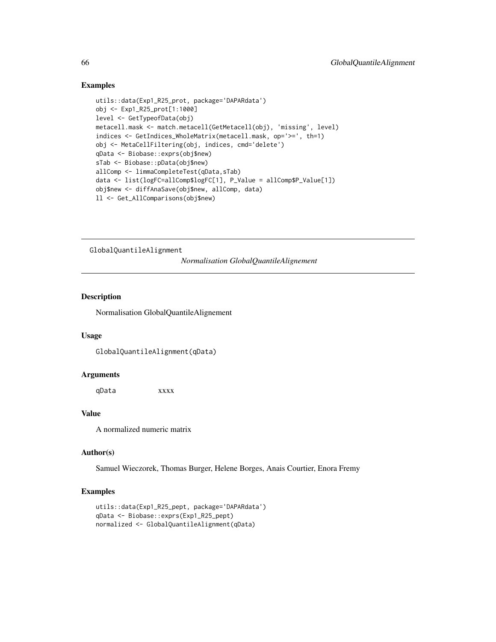### Examples

```
utils::data(Exp1_R25_prot, package='DAPARdata')
obj <- Exp1_R25_prot[1:1000]
level <- GetTypeofData(obj)
metacell.mask <- match.metacell(GetMetacell(obj), 'missing', level)
indices <- GetIndices_WholeMatrix(metacell.mask, op='>=', th=1)
obj <- MetaCellFiltering(obj, indices, cmd='delete')
qData <- Biobase::exprs(obj$new)
sTab <- Biobase::pData(obj$new)
allComp <- limmaCompleteTest(qData,sTab)
data <- list(logFC=allComp$logFC[1], P_Value = allComp$P_Value[1])
obj$new <- diffAnaSave(obj$new, allComp, data)
ll <- Get_AllComparisons(obj$new)
```
GlobalQuantileAlignment

*Normalisation GlobalQuantileAlignement*

### Description

Normalisation GlobalQuantileAlignement

#### Usage

GlobalQuantileAlignment(qData)

## Arguments

qData xxxx

## Value

A normalized numeric matrix

#### Author(s)

Samuel Wieczorek, Thomas Burger, Helene Borges, Anais Courtier, Enora Fremy

```
utils::data(Exp1_R25_pept, package='DAPARdata')
qData <- Biobase::exprs(Exp1_R25_pept)
normalized <- GlobalQuantileAlignment(qData)
```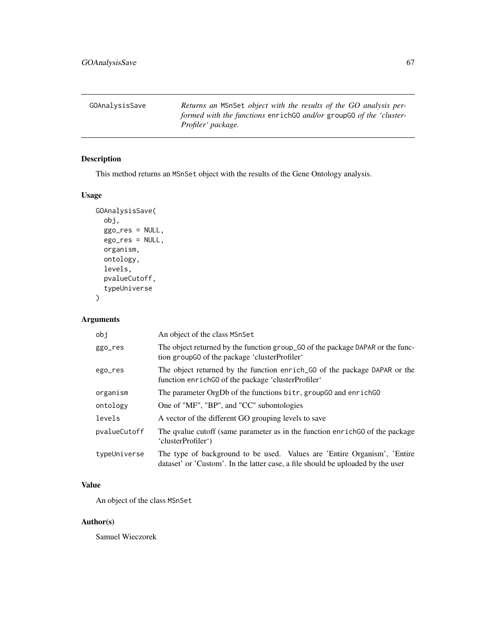GOAnalysisSave *Returns an* MSnSet *object with the results of the GO analysis performed with the functions* enrichGO *and/or* groupGO *of the 'cluster-Profiler' package.*

# Description

This method returns an MSnSet object with the results of the Gene Ontology analysis.

## Usage

```
GOAnalysisSave(
 obj,
  ggo_res = NULL,
  ego_res = NULL,
 organism,
 ontology,
  levels,
  pvalueCutoff,
  typeUniverse
)
```
## Arguments

| obi          | An object of the class MSnSet                                                                                                                               |
|--------------|-------------------------------------------------------------------------------------------------------------------------------------------------------------|
| ggo_res      | The object returned by the function group_GO of the package DAPAR or the func-<br>tion group GO of the package 'cluster Profiler'                           |
| ego_res      | The object returned by the function enrich GO of the package DAPAR or the<br>function enrich GO of the package 'cluster Profiler'                           |
| organism     | The parameter OrgDb of the functions bitr, groupGO and enrichGO                                                                                             |
| ontology     | One of "MF", "BP", and "CC" subontologies                                                                                                                   |
| levels       | A vector of the different GO grouping levels to save                                                                                                        |
| pvalueCutoff | The qualue cutoff (same parameter as in the function enrich GO of the package<br>'clusterProfiler')                                                         |
| typeUniverse | The type of background to be used. Values are 'Entire Organism', 'Entire<br>dataset' or 'Custom'. In the latter case, a file should be uploaded by the user |

# Value

An object of the class MSnSet

# Author(s)

Samuel Wieczorek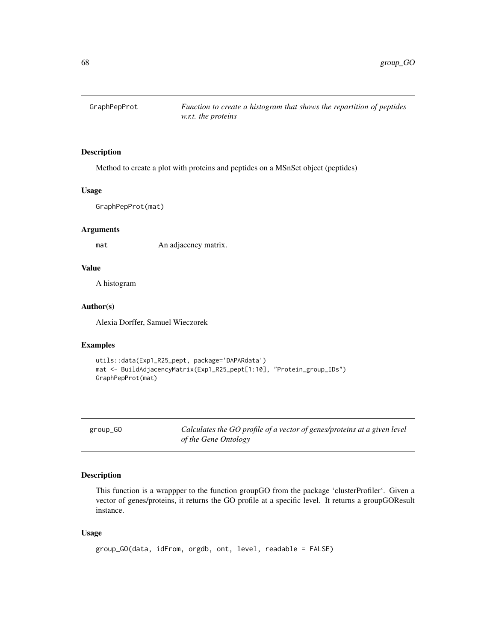## Description

Method to create a plot with proteins and peptides on a MSnSet object (peptides)

#### Usage

GraphPepProt(mat)

#### Arguments

mat An adjacency matrix.

### Value

A histogram

## Author(s)

Alexia Dorffer, Samuel Wieczorek

## Examples

```
utils::data(Exp1_R25_pept, package='DAPARdata')
mat <- BuildAdjacencyMatrix(Exp1_R25_pept[1:10], "Protein_group_IDs")
GraphPepProt(mat)
```
group\_GO *Calculates the GO profile of a vector of genes/proteins at a given level of the Gene Ontology*

### Description

This function is a wrappper to the function groupGO from the package 'clusterProfiler'. Given a vector of genes/proteins, it returns the GO profile at a specific level. It returns a groupGOResult instance.

#### Usage

```
group_GO(data, idFrom, orgdb, ont, level, readable = FALSE)
```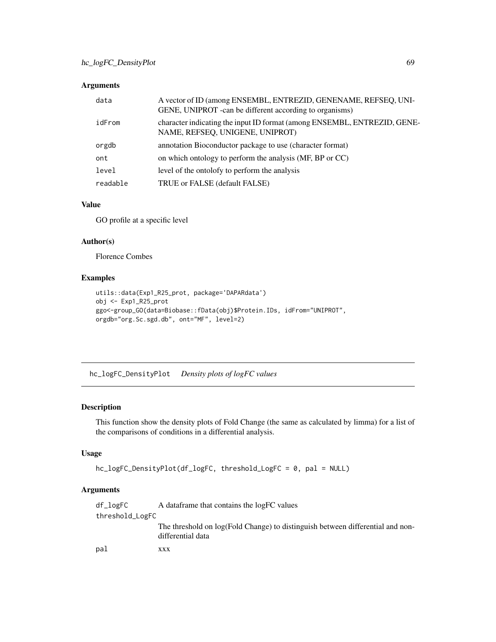# Arguments

| data     | A vector of ID (among ENSEMBL, ENTREZID, GENENAME, REFSEQ, UNI-<br>GENE, UNIPROT - can be different according to organisms) |
|----------|-----------------------------------------------------------------------------------------------------------------------------|
| idFrom   | character indicating the input ID format (among ENSEMBL, ENTREZID, GENE-<br>NAME, REFSEQ, UNIGENE, UNIPROT)                 |
| orgdb    | annotation Bioconductor package to use (character format)                                                                   |
| ont      | on which ontology to perform the analysis (MF, BP or CC)                                                                    |
| level    | level of the ontolofy to perform the analysis                                                                               |
| readable | TRUE or FALSE (default FALSE)                                                                                               |

### Value

GO profile at a specific level

### Author(s)

Florence Combes

## Examples

```
utils::data(Exp1_R25_prot, package='DAPARdata')
obj <- Exp1_R25_prot
ggo<-group_GO(data=Biobase::fData(obj)$Protein.IDs, idFrom="UNIPROT",
orgdb="org.Sc.sgd.db", ont="MF", level=2)
```
hc\_logFC\_DensityPlot *Density plots of logFC values*

## Description

This function show the density plots of Fold Change (the same as calculated by limma) for a list of the comparisons of conditions in a differential analysis.

### Usage

```
hc_logFC_DensityPlot(df_logFC, threshold_LogFC = 0, pal = NULL)
```
## Arguments

| df_logFC        | A data frame that contains the logFC values                                                         |
|-----------------|-----------------------------------------------------------------------------------------------------|
| threshold_LogFC |                                                                                                     |
|                 | The threshold on log(Fold Change) to distinguish between differential and non-<br>differential data |
| pal             | XXX                                                                                                 |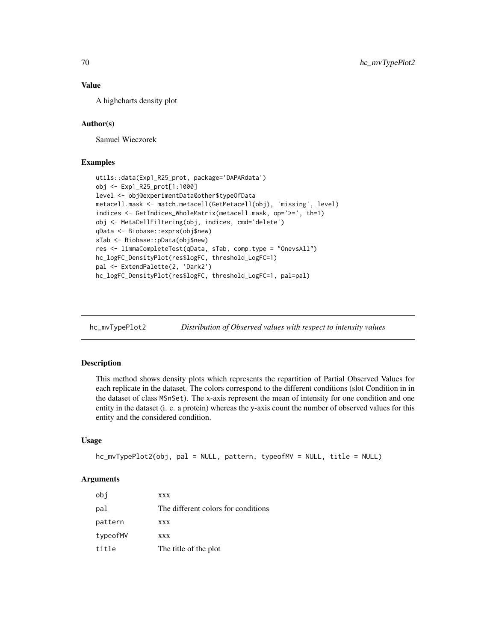## Value

A highcharts density plot

### Author(s)

Samuel Wieczorek

### Examples

```
utils::data(Exp1_R25_prot, package='DAPARdata')
obj <- Exp1_R25_prot[1:1000]
level <- obj@experimentData@other$typeOfData
metacell.mask <- match.metacell(GetMetacell(obj), 'missing', level)
indices <- GetIndices_WholeMatrix(metacell.mask, op='>=', th=1)
obj <- MetaCellFiltering(obj, indices, cmd='delete')
qData <- Biobase::exprs(obj$new)
sTab <- Biobase::pData(obj$new)
res <- limmaCompleteTest(qData, sTab, comp.type = "OnevsAll")
hc_logFC_DensityPlot(res$logFC, threshold_LogFC=1)
pal <- ExtendPalette(2, 'Dark2')
hc_logFC_DensityPlot(res$logFC, threshold_LogFC=1, pal=pal)
```
hc\_mvTypePlot2 *Distribution of Observed values with respect to intensity values*

### Description

This method shows density plots which represents the repartition of Partial Observed Values for each replicate in the dataset. The colors correspond to the different conditions (slot Condition in in the dataset of class MSnSet). The x-axis represent the mean of intensity for one condition and one entity in the dataset (i. e. a protein) whereas the y-axis count the number of observed values for this entity and the considered condition.

### Usage

```
hc_mvTypePlot2(obj, pal = NULL, pattern, typeofMV = NULL, title = NULL)
```
#### Arguments

| obi      | <b>XXX</b>                          |
|----------|-------------------------------------|
| pal      | The different colors for conditions |
| pattern  | <b>XXX</b>                          |
| typeofMV | <b>XXX</b>                          |
| title    | The title of the plot               |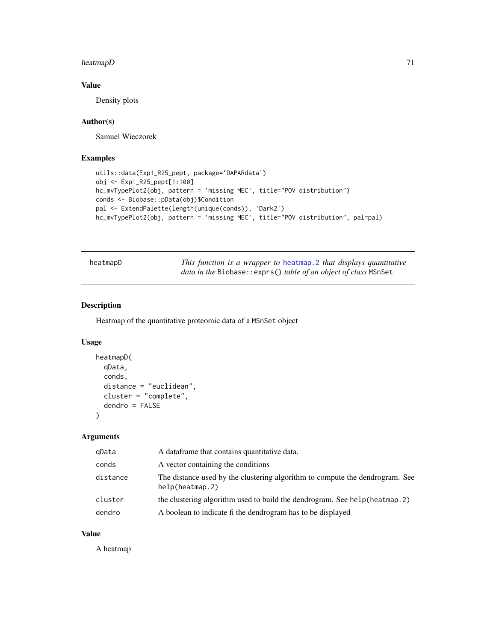## heatmapD 71

# Value

Density plots

### Author(s)

Samuel Wieczorek

### Examples

```
utils::data(Exp1_R25_pept, package='DAPARdata')
obj <- Exp1_R25_pept[1:100]
hc_mvTypePlot2(obj, pattern = 'missing MEC', title="POV distribution")
conds <- Biobase::pData(obj)$Condition
pal <- ExtendPalette(length(unique(conds)), 'Dark2')
hc_mvTypePlot2(obj, pattern = 'missing MEC', title="POV distribution", pal=pal)
```

| heatmapD |
|----------|
|----------|

This function is a wrapper to heatmap. 2 that displays quantitative *data in the* Biobase::exprs() *table of an object of class* MSnSet

### Description

Heatmap of the quantitative proteomic data of a MSnSet object

#### Usage

```
heatmapD(
  qData,
  conds,
  distance = "euclidean",
  cluster = "complete",
  dendro = FALSE
)
```
## Arguments

| gData    | A dataframe that contains quantitative data.                                                    |
|----------|-------------------------------------------------------------------------------------------------|
| conds    | A vector containing the conditions                                                              |
| distance | The distance used by the clustering algorithm to compute the dendrogram. See<br>help(heatmap.2) |
| cluster  | the clustering algorithm used to build the dendrogram. See help (heatmap. 2)                    |
| dendro   | A boolean to indicate fi the dendrogram has to be displayed                                     |

### Value

A heatmap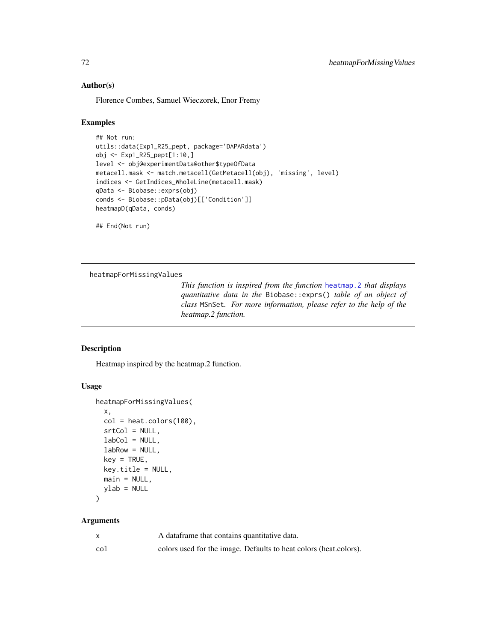### Author(s)

Florence Combes, Samuel Wieczorek, Enor Fremy

### Examples

```
## Not run:
utils::data(Exp1_R25_pept, package='DAPARdata')
obj <- Exp1_R25_pept[1:10,]
level <- obj@experimentData@other$typeOfData
metacell.mask <- match.metacell(GetMetacell(obj), 'missing', level)
indices <- GetIndices_WholeLine(metacell.mask)
qData <- Biobase::exprs(obj)
conds <- Biobase::pData(obj)[['Condition']]
heatmapD(qData, conds)
```
## End(Not run)

heatmapForMissingValues

*This function is inspired from the function* [heatmap.2](#page-0-0) *that displays quantitative data in the* Biobase::exprs() *table of an object of class* MSnSet*. For more information, please refer to the help of the heatmap.2 function.*

## Description

Heatmap inspired by the heatmap.2 function.

### Usage

```
heatmapForMissingValues(
  x,
 col = heat.colors(100),
  srtCol = NULL,
  labCol = NULL,labRow = NULL,
 key = TRUE,key.title = NULL,
 main = NULL,
 ylab = NULL
)
```
### Arguments

|     | A dataframe that contains quantitative data.                      |
|-----|-------------------------------------------------------------------|
| col | colors used for the image. Defaults to heat colors (heat colors). |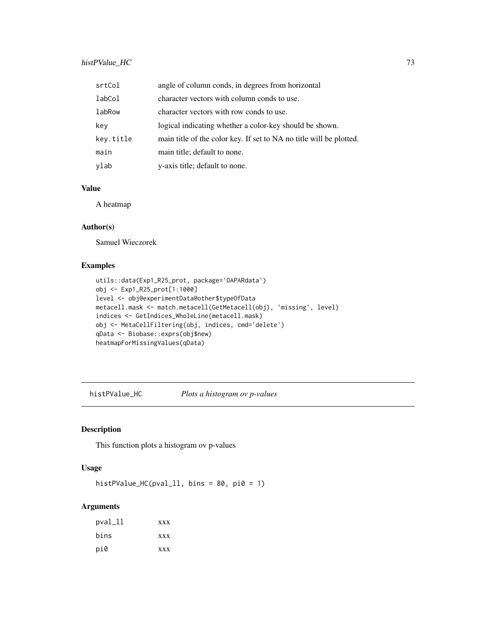# histPValue\_HC 73

| srtCol    | angle of column conds, in degrees from horizontal                   |
|-----------|---------------------------------------------------------------------|
| labCol    | character vectors with column conds to use.                         |
| labRow    | character vectors with row conds to use.                            |
| key       | logical indicating whether a color-key should be shown.             |
| key.title | main title of the color key. If set to NA no title will be plotted. |
| main      | main title; default to none.                                        |
| ylab      | y-axis title; default to none.                                      |

## Value

A heatmap

# Author(s)

Samuel Wieczorek

# Examples

```
utils::data(Exp1_R25_prot, package='DAPARdata')
obj <- Exp1_R25_prot[1:1000]
level <- obj@experimentData@other$typeOfData
metacell.mask <- match.metacell(GetMetacell(obj), 'missing', level)
indices <- GetIndices_WholeLine(metacell.mask)
obj <- MetaCellFiltering(obj, indices, cmd='delete')
qData <- Biobase::exprs(obj$new)
heatmapForMissingValues(qData)
```
histPValue\_HC *Plots a histogram ov p-values*

#### Description

This function plots a histogram ov p-values

# Usage

```
histPValue_HC(pval_ll, bins = 80, pi0 = 1)
```

| pval_ll | <b>XXX</b> |
|---------|------------|
| bins    | <b>XXX</b> |
| pi0     | <b>XXX</b> |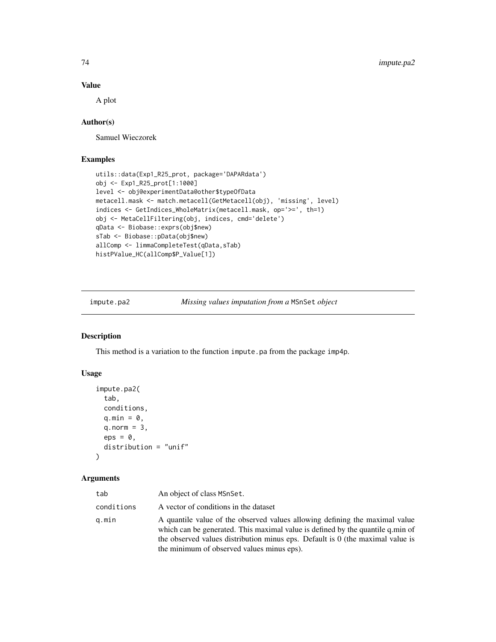#### Value

A plot

# Author(s)

Samuel Wieczorek

# Examples

```
utils::data(Exp1_R25_prot, package='DAPARdata')
obj <- Exp1_R25_prot[1:1000]
level <- obj@experimentData@other$typeOfData
metacell.mask <- match.metacell(GetMetacell(obj), 'missing', level)
indices <- GetIndices_WholeMatrix(metacell.mask, op='>=', th=1)
obj <- MetaCellFiltering(obj, indices, cmd='delete')
qData <- Biobase::exprs(obj$new)
sTab <- Biobase::pData(obj$new)
allComp <- limmaCompleteTest(qData,sTab)
histPValue_HC(allComp$P_Value[1])
```
impute.pa2 *Missing values imputation from a* MSnSet *object*

#### Description

This method is a variation to the function impute.pa from the package imp4p.

#### Usage

```
impute.pa2(
  tab,
  conditions,
  q.min = \theta,
  q.norm = 3,
  eps = 0,
  distribution = "unif"
\lambda
```

| tab        | An object of class MSnSet.                                                                                                                                                                                                                                                                    |
|------------|-----------------------------------------------------------------------------------------------------------------------------------------------------------------------------------------------------------------------------------------------------------------------------------------------|
| conditions | A vector of conditions in the dataset                                                                                                                                                                                                                                                         |
| q.min      | A quantile value of the observed values allowing defining the maximal value<br>which can be generated. This maximal value is defined by the quantile q min of<br>the observed values distribution minus eps. Default is 0 (the maximal value is<br>the minimum of observed values minus eps). |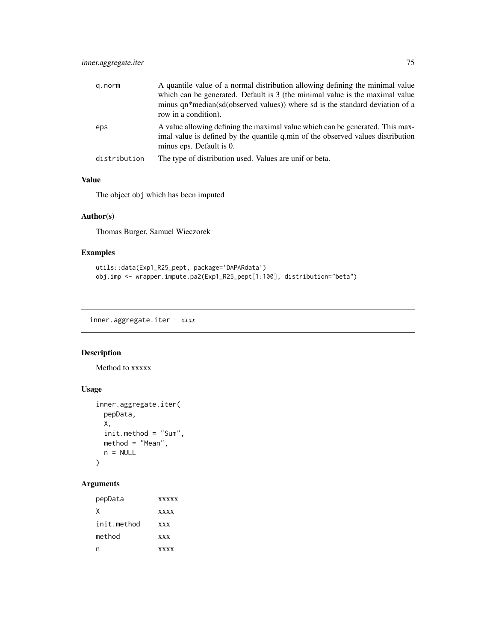| g.norm       | A quantile value of a normal distribution allowing defining the minimal value<br>which can be generated. Default is 3 (the minimal value is the maximal value<br>minus qn*median(sd(observed values)) where sd is the standard deviation of a<br>row in a condition). |
|--------------|-----------------------------------------------------------------------------------------------------------------------------------------------------------------------------------------------------------------------------------------------------------------------|
| eps          | A value allowing defining the maximal value which can be generated. This max-<br>imal value is defined by the quantile q min of the observed values distribution<br>minus eps. Default is 0.                                                                          |
| distribution | The type of distribution used. Values are unif or beta.                                                                                                                                                                                                               |

# Value

The object obj which has been imputed

# Author(s)

Thomas Burger, Samuel Wieczorek

# Examples

```
utils::data(Exp1_R25_pept, package='DAPARdata')
obj.imp <- wrapper.impute.pa2(Exp1_R25_pept[1:100], distribution="beta")
```
inner.aggregate.iter *xxxx*

# Description

Method to xxxxx

# Usage

```
inner.aggregate.iter(
 pepData,
 X,
 init.method = "Sum",
 method = "Mean",
 n = NULL)
```

| pepData     | <b>XXXXX</b> |
|-------------|--------------|
| χ           | <b>XXXX</b>  |
| init.method | <b>XXX</b>   |
| method      | <b>XXX</b>   |
|             | <b>XXXX</b>  |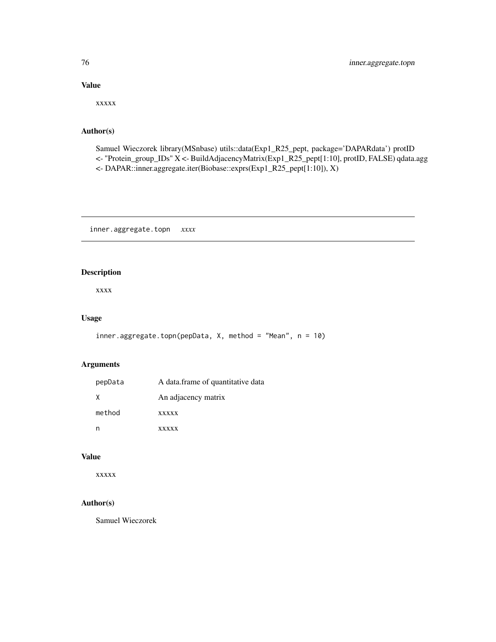# Value

xxxxx

## Author(s)

Samuel Wieczorek library(MSnbase) utils::data(Exp1\_R25\_pept, package='DAPARdata') protID <- "Protein\_group\_IDs" X <- BuildAdjacencyMatrix(Exp1\_R25\_pept[1:10], protID, FALSE) qdata.agg <- DAPAR::inner.aggregate.iter(Biobase::exprs(Exp1\_R25\_pept[1:10]), X)

inner.aggregate.topn *xxxx*

#### Description

xxxx

# Usage

```
inner.aggregate.topn(pepData, X, method = "Mean", n = 10)
```
# Arguments

| pepData | A data.frame of quantitative data |
|---------|-----------------------------------|
| X       | An adjacency matrix               |
| method  | <b>XXXXX</b>                      |
|         | <b>XXXXX</b>                      |

#### Value

xxxxx

# Author(s)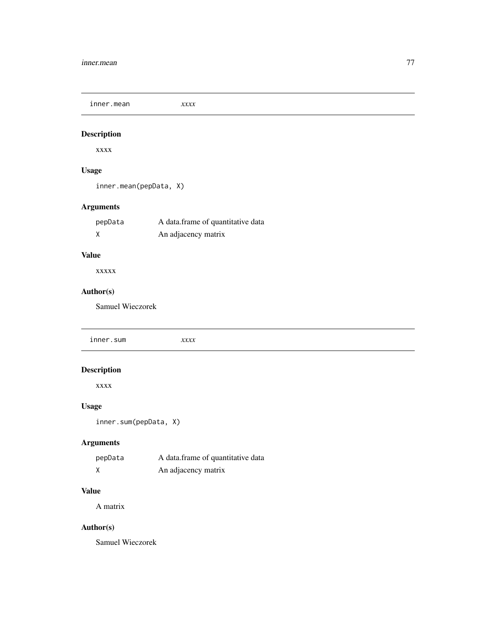#### inner.mean 77

inner.mean *xxxx*

# Description

xxxx

# Usage

inner.mean(pepData, X)

# Arguments

| pepData | A data frame of quantitative data |
|---------|-----------------------------------|
|         | An adjacency matrix               |

# Value

xxxxx

# Author(s)

Samuel Wieczorek

inner.sum *xxxx* Description xxxx Usage inner.sum(pepData, X)

# Arguments

| pepData | A data frame of quantitative data |
|---------|-----------------------------------|
|         | An adjacency matrix               |

# Value

A matrix

# Author(s)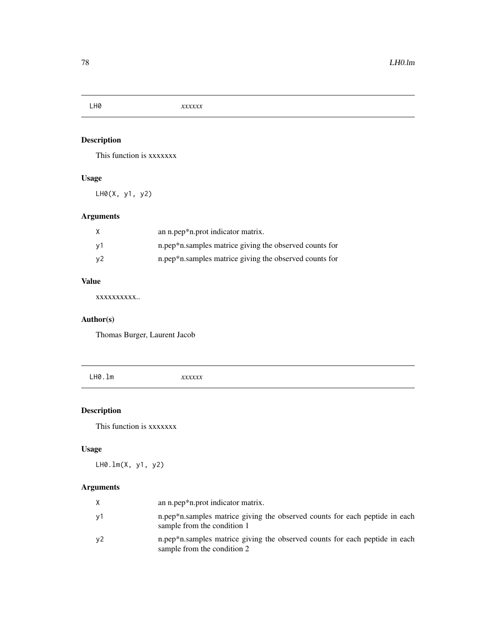# Description

This function is xxxxxxx

# Usage

LH0(X, y1, y2)

# Arguments

| X  | an n.pep*n.prot indicator matrix.                      |
|----|--------------------------------------------------------|
| ν1 | n.pep*n.samples matrice giving the observed counts for |
| y2 | n.pep*n.samples matrice giving the observed counts for |

# Value

xxxxxxxxxx..

# Author(s)

Thomas Burger, Laurent Jacob

LH0.lm *xxxxxx*

# Description

This function is xxxxxxx

# Usage

LH0.lm(X, y1, y2)

| X  | an n.pep*n.prot indicator matrix.                                                                          |
|----|------------------------------------------------------------------------------------------------------------|
| y1 | n.pep*n.samples matrice giving the observed counts for each peptide in each<br>sample from the condition 1 |
| y2 | n.pep*n.samples matrice giving the observed counts for each peptide in each<br>sample from the condition 2 |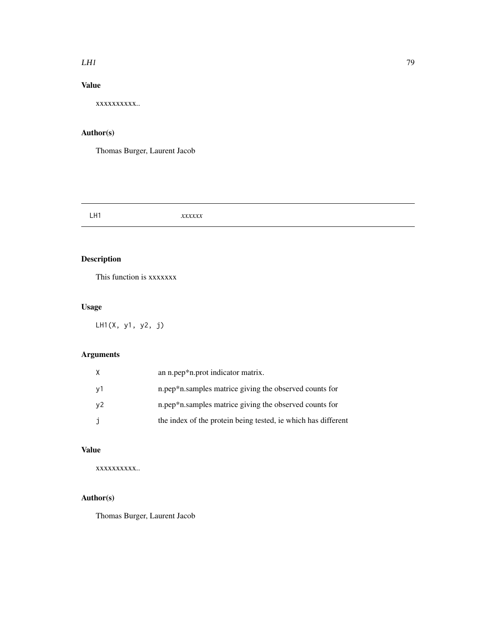#### $LH1$  79

# Value

xxxxxxxxxx..

# Author(s)

Thomas Burger, Laurent Jacob

LH1 *xxxxxx*

# Description

This function is xxxxxxx

# Usage

LH1(X, y1, y2, j)

# Arguments

| X  | an n.pep*n.prot indicator matrix.                             |
|----|---------------------------------------------------------------|
| y1 | n.pep*n.samples matrice giving the observed counts for        |
| y2 | n.pep*n.samples matrice giving the observed counts for        |
| j  | the index of the protein being tested, ie which has different |

# Value

xxxxxxxxxx..

# Author(s)

Thomas Burger, Laurent Jacob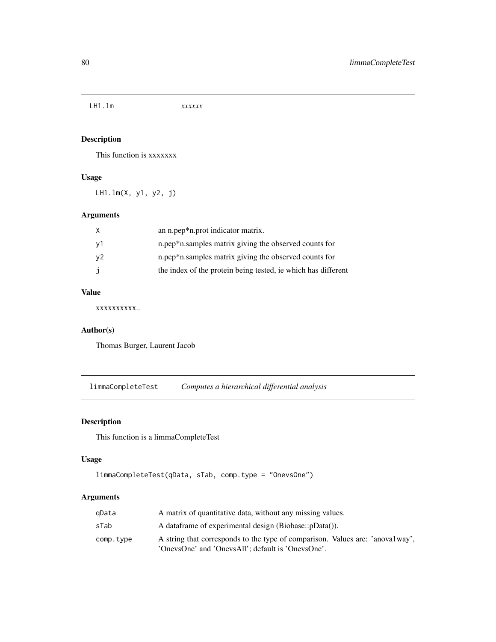LH1.lm *xxxxxx*

# Description

This function is xxxxxxx

# Usage

LH1.lm(X, y1, y2, j)

# Arguments

|    | an n.pep*n.prot indicator matrix.                             |
|----|---------------------------------------------------------------|
| v1 | n.pep*n.samples matrix giving the observed counts for         |
| y2 | n.pep*n.samples matrix giving the observed counts for         |
|    | the index of the protein being tested, ie which has different |

# Value

xxxxxxxxxx..

# Author(s)

Thomas Burger, Laurent Jacob

limmaCompleteTest *Computes a hierarchical differential analysis*

# Description

This function is a limmaCompleteTest

#### Usage

```
limmaCompleteTest(qData, sTab, comp.type = "OnevsOne")
```

| qData     | A matrix of quantitative data, without any missing values.                                                                         |  |
|-----------|------------------------------------------------------------------------------------------------------------------------------------|--|
| sTab      | A dataframe of experimental design (Biobase::pData()).                                                                             |  |
| comp.type | A string that corresponds to the type of comparison. Values are: 'anovalway',<br>'OnevsOne' and 'OnevsAll'; default is 'OnevsOne'. |  |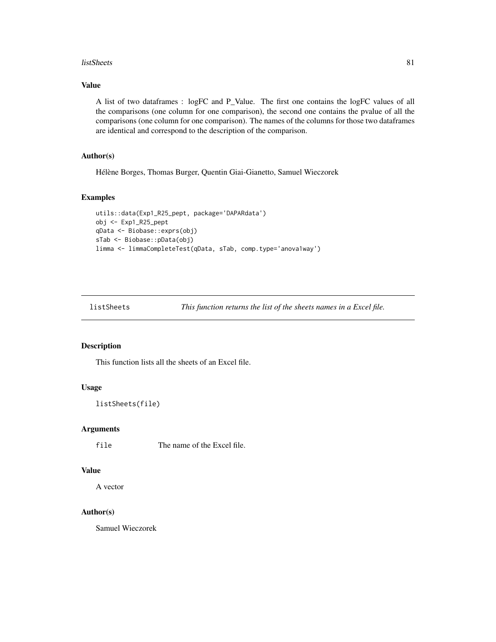#### listSheets 81

#### Value

A list of two dataframes : logFC and P\_Value. The first one contains the logFC values of all the comparisons (one column for one comparison), the second one contains the pvalue of all the comparisons (one column for one comparison). The names of the columns for those two dataframes are identical and correspond to the description of the comparison.

#### Author(s)

Hélène Borges, Thomas Burger, Quentin Giai-Gianetto, Samuel Wieczorek

#### Examples

```
utils::data(Exp1_R25_pept, package='DAPARdata')
obj <- Exp1_R25_pept
qData <- Biobase::exprs(obj)
sTab <- Biobase::pData(obj)
limma <- limmaCompleteTest(qData, sTab, comp.type='anova1way')
```
listSheets *This function returns the list of the sheets names in a Excel file.*

#### Description

This function lists all the sheets of an Excel file.

# Usage

```
listSheets(file)
```
#### Arguments

file The name of the Excel file.

#### Value

A vector

# Author(s)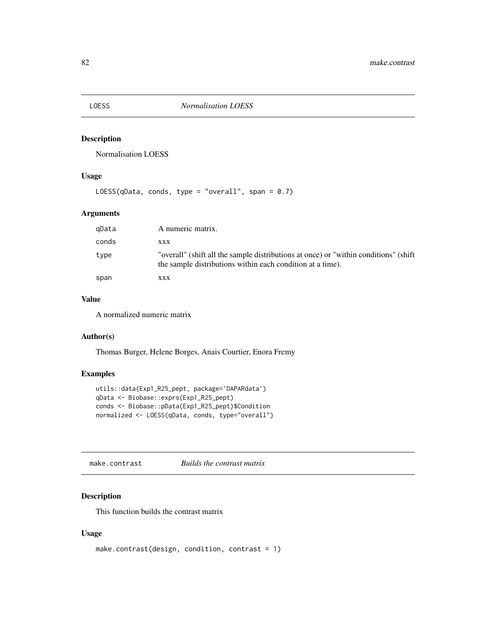# Description

Normalisation LOESS

# Usage

```
LOESS(qData, conds, type = "overall", span = 0.7)
```
# Arguments

| gData | A numeric matrix.                                                                                                                                   |
|-------|-----------------------------------------------------------------------------------------------------------------------------------------------------|
| conds | XXX                                                                                                                                                 |
| type  | "overall" (shift all the sample distributions at once) or "within conditions" (shift)<br>the sample distributions within each condition at a time). |
| span  | XXX                                                                                                                                                 |

#### Value

A normalized numeric matrix

# Author(s)

Thomas Burger, Helene Borges, Anais Courtier, Enora Fremy

# Examples

```
utils::data(Exp1_R25_pept, package='DAPARdata')
qData <- Biobase::exprs(Exp1_R25_pept)
conds <- Biobase::pData(Exp1_R25_pept)$Condition
normalized <- LOESS(qData, conds, type="overall")
```
make.contrast *Builds the contrast matrix*

#### Description

This function builds the contrast matrix

```
make.contrast(design, condition, contrast = 1)
```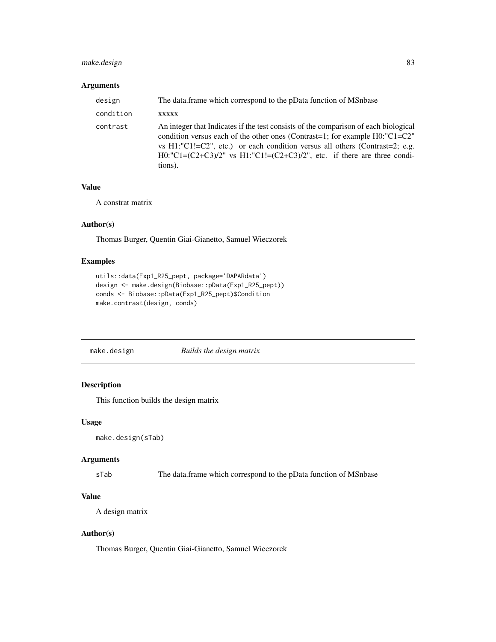# make.design 83

#### Arguments

| design    | The data frame which correspond to the pData function of MSnbase                                                                                                                                                                                                                                                                                    |
|-----------|-----------------------------------------------------------------------------------------------------------------------------------------------------------------------------------------------------------------------------------------------------------------------------------------------------------------------------------------------------|
| condition | XXXXX                                                                                                                                                                                                                                                                                                                                               |
| contrast  | An integer that Indicates if the test consists of the comparison of each biological<br>condition versus each of the other ones (Contrast=1; for example H0:"C1=C2"<br>vs $H1$ : "C1!=C2", etc.) or each condition versus all others (Contrast=2; e.g.<br>H0:"C1= $(C2+C3)/2$ " vs H1:"C1!= $(C2+C3)/2$ ", etc. if there are three condi-<br>tions). |

# Value

A constrat matrix

#### Author(s)

Thomas Burger, Quentin Giai-Gianetto, Samuel Wieczorek

#### Examples

```
utils::data(Exp1_R25_pept, package='DAPARdata')
design <- make.design(Biobase::pData(Exp1_R25_pept))
conds <- Biobase::pData(Exp1_R25_pept)$Condition
make.contrast(design, conds)
```

| make.design | Builds the design matrix |
|-------------|--------------------------|
|-------------|--------------------------|

# Description

This function builds the design matrix

#### Usage

```
make.design(sTab)
```
#### Arguments

sTab The data.frame which correspond to the pData function of MSnbase

# Value

A design matrix

#### Author(s)

Thomas Burger, Quentin Giai-Gianetto, Samuel Wieczorek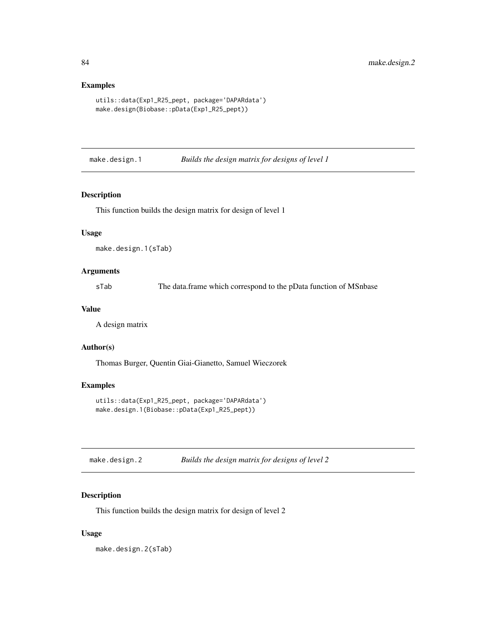# Examples

```
utils::data(Exp1_R25_pept, package='DAPARdata')
make.design(Biobase::pData(Exp1_R25_pept))
```
make.design.1 *Builds the design matrix for designs of level 1*

#### Description

This function builds the design matrix for design of level 1

#### Usage

make.design.1(sTab)

#### Arguments

sTab The data.frame which correspond to the pData function of MSnbase

#### Value

A design matrix

#### Author(s)

Thomas Burger, Quentin Giai-Gianetto, Samuel Wieczorek

#### Examples

```
utils::data(Exp1_R25_pept, package='DAPARdata')
make.design.1(Biobase::pData(Exp1_R25_pept))
```

| make.design.2 | Builds the design matrix for designs of level 2 |
|---------------|-------------------------------------------------|
|---------------|-------------------------------------------------|

# Description

This function builds the design matrix for design of level 2

#### Usage

make.design.2(sTab)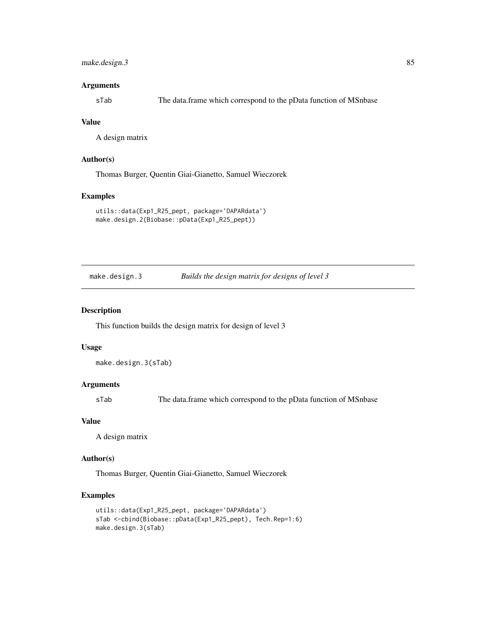# make.design.3 85

#### Arguments

sTab The data.frame which correspond to the pData function of MSnbase

#### Value

A design matrix

#### Author(s)

Thomas Burger, Quentin Giai-Gianetto, Samuel Wieczorek

#### Examples

```
utils::data(Exp1_R25_pept, package='DAPARdata')
make.design.2(Biobase::pData(Exp1_R25_pept))
```
make.design.3 *Builds the design matrix for designs of level 3*

#### Description

This function builds the design matrix for design of level 3

#### Usage

```
make.design.3(sTab)
```
#### Arguments

sTab The data.frame which correspond to the pData function of MSnbase

#### Value

A design matrix

#### Author(s)

Thomas Burger, Quentin Giai-Gianetto, Samuel Wieczorek

#### Examples

```
utils::data(Exp1_R25_pept, package='DAPARdata')
sTab <-cbind(Biobase::pData(Exp1_R25_pept), Tech.Rep=1:6)
make.design.3(sTab)
```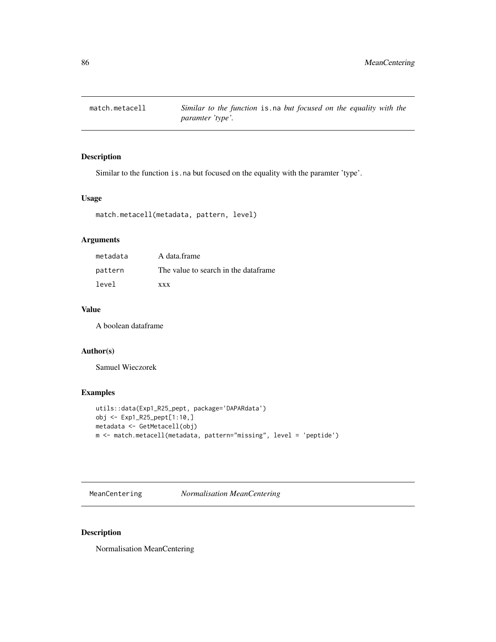# Description

Similar to the function is.na but focused on the equality with the paramter 'type'.

#### Usage

match.metacell(metadata, pattern, level)

# Arguments

| metadata | A data.frame                          |
|----------|---------------------------------------|
| pattern  | The value to search in the dataframe. |
| level    | <b>XXX</b>                            |

#### Value

A boolean dataframe

#### Author(s)

Samuel Wieczorek

# Examples

```
utils::data(Exp1_R25_pept, package='DAPARdata')
obj <- Exp1_R25_pept[1:10,]
metadata <- GetMetacell(obj)
m <- match.metacell(metadata, pattern="missing", level = 'peptide')
```
MeanCentering *Normalisation MeanCentering*

# Description

Normalisation MeanCentering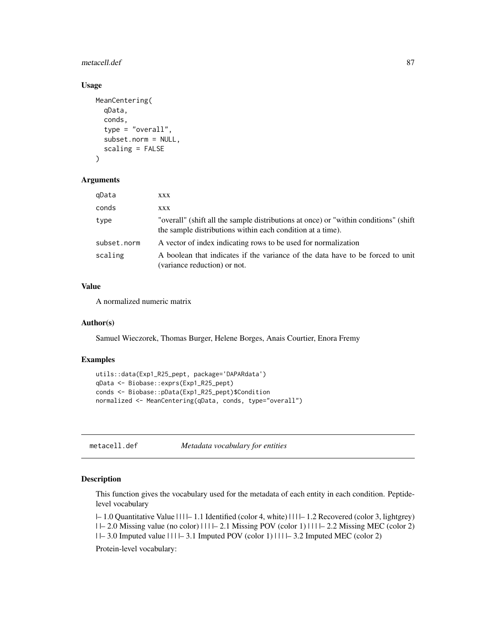#### metacell.def 87

#### Usage

```
MeanCentering(
  qData,
  conds,
  type = "overall",
  subset.norm = NULL,
  scaling = FALSE
)
```
#### Arguments

| qData       | XXX                                                                                                                                                 |
|-------------|-----------------------------------------------------------------------------------------------------------------------------------------------------|
| conds       | <b>XXX</b>                                                                                                                                          |
| type        | "overall" (shift all the sample distributions at once) or "within conditions" (shift)<br>the sample distributions within each condition at a time). |
| subset.norm | A vector of index indicating rows to be used for normalization                                                                                      |
| scaling     | A boolean that indicates if the variance of the data have to be forced to unit<br>(variance reduction) or not.                                      |

# Value

A normalized numeric matrix

#### Author(s)

Samuel Wieczorek, Thomas Burger, Helene Borges, Anais Courtier, Enora Fremy

#### Examples

```
utils::data(Exp1_R25_pept, package='DAPARdata')
qData <- Biobase::exprs(Exp1_R25_pept)
conds <- Biobase::pData(Exp1_R25_pept)$Condition
normalized <- MeanCentering(qData, conds, type="overall")
```
metacell.def *Metadata vocabulary for entities*

#### Description

This function gives the vocabulary used for the metadata of each entity in each condition. Peptidelevel vocabulary

|– 1.0 Quantitative Value | | | |– 1.1 Identified (color 4, white) | | | |– 1.2 Recovered (color 3, lightgrey) | |– 2.0 Missing value (no color) | | | |– 2.1 Missing POV (color 1) | | | |– 2.2 Missing MEC (color 2)  $| \cdot |- 3.0$  Imputed value  $| \cdot | |- 3.1$  Imputed POV (color 1)  $| \cdot | |- 3.2$  Imputed MEC (color 2)

Protein-level vocabulary: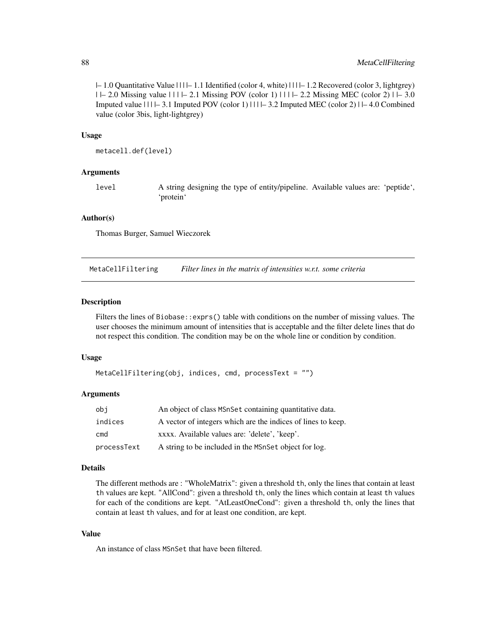|– 1.0 Quantitative Value | | | |– 1.1 Identified (color 4, white) | | | |– 1.2 Recovered (color 3, lightgrey) | |– 2.0 Missing value | | | |– 2.1 Missing POV (color 1) | | | |– 2.2 Missing MEC (color 2) | |– 3.0 Imputed value  $|11| - 3.1$  Imputed POV (color 1)  $|11| - 3.2$  Imputed MEC (color 2)  $|1 - 4.0$  Combined value (color 3bis, light-lightgrey)

#### Usage

metacell.def(level)

#### Arguments

level A string designing the type of entity/pipeline. Available values are: 'peptide', 'protein'

#### Author(s)

Thomas Burger, Samuel Wieczorek

MetaCellFiltering *Filter lines in the matrix of intensities w.r.t. some criteria*

#### Description

Filters the lines of Biobase::exprs() table with conditions on the number of missing values. The user chooses the minimum amount of intensities that is acceptable and the filter delete lines that do not respect this condition. The condition may be on the whole line or condition by condition.

#### Usage

```
MetaCellFiltering(obj, indices, cmd, processText = "")
```
#### Arguments

| obi         | An object of class MSnSet containing quantitative data.      |
|-------------|--------------------------------------------------------------|
| indices     | A vector of integers which are the indices of lines to keep. |
| cmd         | xxxx. Available values are: 'delete', 'keep'.                |
| processText | A string to be included in the MSnSet object for log.        |

#### Details

The different methods are : "WholeMatrix": given a threshold th, only the lines that contain at least th values are kept. "AllCond": given a threshold th, only the lines which contain at least th values for each of the conditions are kept. "AtLeastOneCond": given a threshold th, only the lines that contain at least th values, and for at least one condition, are kept.

#### Value

An instance of class MSnSet that have been filtered.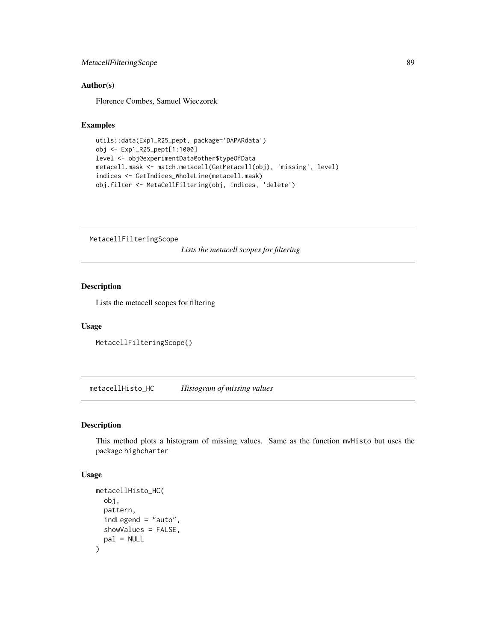# MetacellFilteringScope 89

#### Author(s)

Florence Combes, Samuel Wieczorek

# Examples

```
utils::data(Exp1_R25_pept, package='DAPARdata')
obj <- Exp1_R25_pept[1:1000]
level <- obj@experimentData@other$typeOfData
metacell.mask <- match.metacell(GetMetacell(obj), 'missing', level)
indices <- GetIndices_WholeLine(metacell.mask)
obj.filter <- MetaCellFiltering(obj, indices, 'delete')
```
MetacellFilteringScope

*Lists the metacell scopes for filtering*

# Description

Lists the metacell scopes for filtering

#### Usage

MetacellFilteringScope()

metacellHisto\_HC *Histogram of missing values*

#### Description

This method plots a histogram of missing values. Same as the function mvHisto but uses the package highcharter

```
metacellHisto_HC(
  obj,
 pattern,
  indLegend = "auto",
  showValues = FALSE,
  pal = NULL)
```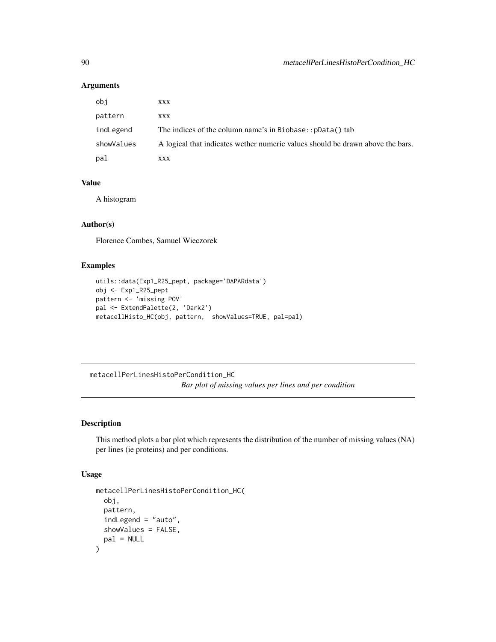#### Arguments

| obi        | XXX                                                                            |
|------------|--------------------------------------------------------------------------------|
| pattern    | <b>XXX</b>                                                                     |
| indLegend  | The indices of the column name's in Biobase:: pData() tab                      |
| showValues | A logical that indicates wether numeric values should be drawn above the bars. |
| pal        | XXX                                                                            |

# Value

A histogram

#### Author(s)

Florence Combes, Samuel Wieczorek

# Examples

```
utils::data(Exp1_R25_pept, package='DAPARdata')
obj <- Exp1_R25_pept
pattern <- 'missing POV'
pal <- ExtendPalette(2, 'Dark2')
metacellHisto_HC(obj, pattern, showValues=TRUE, pal=pal)
```
metacellPerLinesHistoPerCondition\_HC *Bar plot of missing values per lines and per condition*

# Description

This method plots a bar plot which represents the distribution of the number of missing values (NA) per lines (ie proteins) and per conditions.

```
metacellPerLinesHistoPerCondition_HC(
 obj,
 pattern,
 indLegend = "auto",
 showValues = FALSE,
 pal = NULL)
```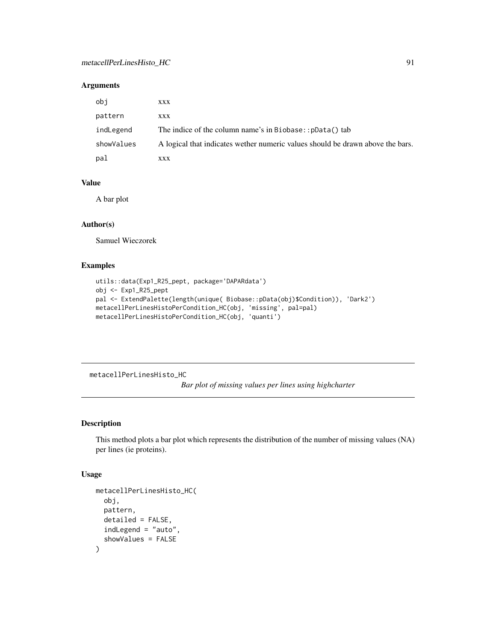#### Arguments

| obi        | XXX                                                                            |
|------------|--------------------------------------------------------------------------------|
| pattern    | XXX                                                                            |
| indLegend  | The indice of the column name's in Biobase:: pData() tab                       |
| showValues | A logical that indicates wether numeric values should be drawn above the bars. |
| pal        | XXX                                                                            |

#### Value

A bar plot

#### Author(s)

Samuel Wieczorek

# Examples

```
utils::data(Exp1_R25_pept, package='DAPARdata')
obj <- Exp1_R25_pept
pal <- ExtendPalette(length(unique( Biobase::pData(obj)$Condition)), 'Dark2')
metacellPerLinesHistoPerCondition_HC(obj, 'missing', pal=pal)
metacellPerLinesHistoPerCondition_HC(obj, 'quanti')
```
metacellPerLinesHisto\_HC

*Bar plot of missing values per lines using highcharter*

# Description

This method plots a bar plot which represents the distribution of the number of missing values (NA) per lines (ie proteins).

```
metacellPerLinesHisto_HC(
  obj,
 pattern,
 detailed = FALSE,
  indLegend = "auto",
  showValues = FALSE
)
```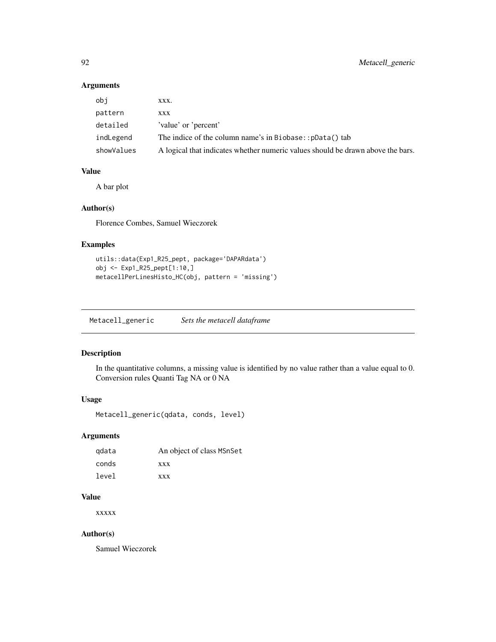# Arguments

| obi        | XXX.                                                                            |
|------------|---------------------------------------------------------------------------------|
| pattern    | XXX                                                                             |
| detailed   | 'value' or 'percent'                                                            |
| indLegend  | The indice of the column name's in Biobase:: pData() tab                        |
| showValues | A logical that indicates whether numeric values should be drawn above the bars. |

#### Value

A bar plot

#### Author(s)

Florence Combes, Samuel Wieczorek

# Examples

```
utils::data(Exp1_R25_pept, package='DAPARdata')
obj <- Exp1_R25_pept[1:10,]
metacellPerLinesHisto_HC(obj, pattern = 'missing')
```
Metacell\_generic *Sets the metacell dataframe*

#### Description

In the quantitative columns, a missing value is identified by no value rather than a value equal to 0. Conversion rules Quanti Tag NA or 0 NA

#### Usage

Metacell\_generic(qdata, conds, level)

# Arguments

| gdata | An object of class MSnSet |
|-------|---------------------------|
| conds | <b>XXX</b>                |
| level | <b>XXX</b>                |

# Value

xxxxx

# Author(s)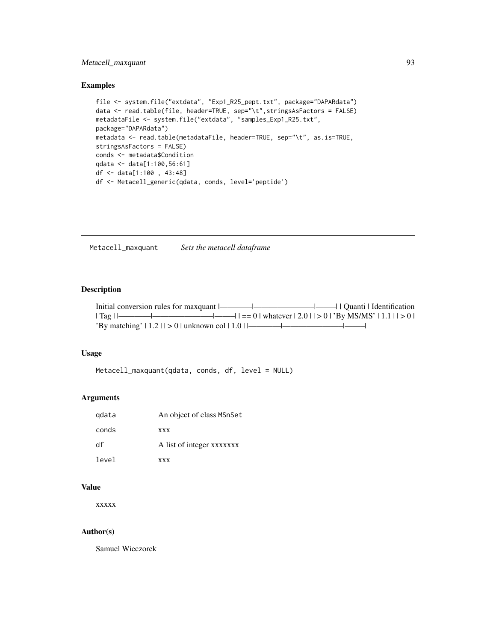# Metacell\_maxquant 93

#### Examples

```
file <- system.file("extdata", "Exp1_R25_pept.txt", package="DAPARdata")
data <- read.table(file, header=TRUE, sep="\t",stringsAsFactors = FALSE)
metadataFile <- system.file("extdata", "samples_Exp1_R25.txt",
package="DAPARdata")
metadata <- read.table(metadataFile, header=TRUE, sep="\t", as.is=TRUE,
stringsAsFactors = FALSE)
conds <- metadata$Condition
qdata <- data[1:100,56:61]
df <- data[1:100 , 43:48]
df <- Metacell_generic(qdata, conds, level='peptide')
```
Metacell\_maxquant *Sets the metacell dataframe*

# Description

|                                                       | $ \text{Tag} $ $ \text{Im} $ $ \text{Im} $ $ \text{Im} $ $ \text{Im} $ $ \text{Im} $ $ \text{Im} $ $ \text{Im} $ $ \text{Im} $ $ \text{Im} $ $ \text{Im} $ $ \text{Im} $ $ \text{Im} $ $ \text{Im} $ $ \text{Im} $ $ \text{Im} $ $ \text{Im} $ $ \text{Im} $ $ \text{Im} $ $ \text{Im} $ $ \text{Im} $ $ \text{Im} $ $ \text{Im} $ $ \text{Im} $ $ \text{Im} $ $ \text{Im} $ $ \text{Im} $ $ \text{Im$ |
|-------------------------------------------------------|--------------------------------------------------------------------------------------------------------------------------------------------------------------------------------------------------------------------------------------------------------------------------------------------------------------------------------------------------------------------------------------------------------|
| 'By matching' $  1.2   1 > 0  $ unknown col $  1.0  $ |                                                                                                                                                                                                                                                                                                                                                                                                        |

#### Usage

```
Metacell_maxquant(qdata, conds, df, level = NULL)
```
# Arguments

| gdata | An object of class MSnSet |
|-------|---------------------------|
| conds | <b>XXX</b>                |
| df    | A list of integer xxxxxxx |
| level | <b>XXX</b>                |

#### Value

xxxxx

# Author(s)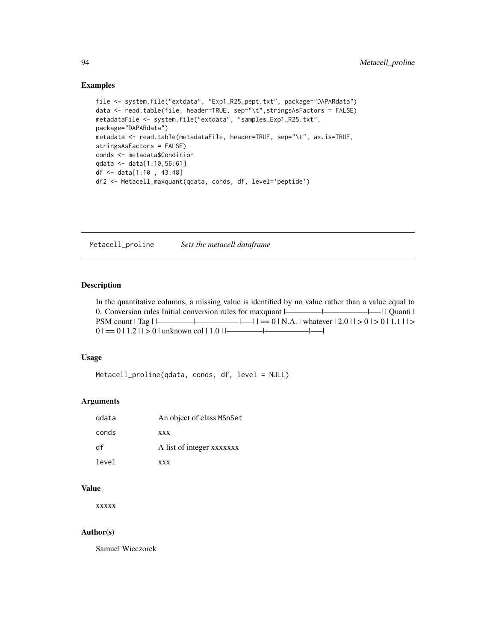#### Examples

```
file <- system.file("extdata", "Exp1_R25_pept.txt", package="DAPARdata")
data <- read.table(file, header=TRUE, sep="\t",stringsAsFactors = FALSE)
metadataFile <- system.file("extdata", "samples_Exp1_R25.txt",
package="DAPARdata")
metadata <- read.table(metadataFile, header=TRUE, sep="\t", as.is=TRUE,
stringsAsFactors = FALSE)
conds <- metadata$Condition
qdata <- data[1:10,56:61]
df <- data[1:10 , 43:48]
df2 <- Metacell_maxquant(qdata, conds, df, level='peptide')
```
Metacell\_proline *Sets the metacell dataframe*

#### Description

In the quantitative columns, a missing value is identified by no value rather than a value equal to 0. Conversion rules Initial conversion rules for maxquant  $\frac{|-}{|}$   $\frac{|-}{|}$  | Quanti | PSM count  $|Tag|$   $|\longrightarrow$   $| = 0 | N.A. | whatever | 2.0 | > 0 | 1.1 | >$  $0$  | == 0 | 1.2 | | > 0 | unknown col | 1.0 | |—————|————|——|

#### Usage

```
Metacell_proline(qdata, conds, df, level = NULL)
```
# Arguments

| gdata | An object of class MSnSet |
|-------|---------------------------|
| conds | <b>XXX</b>                |
| df    | A list of integer xxxxxxx |
| level | <b>XXX</b>                |

# Value

xxxxx

#### Author(s)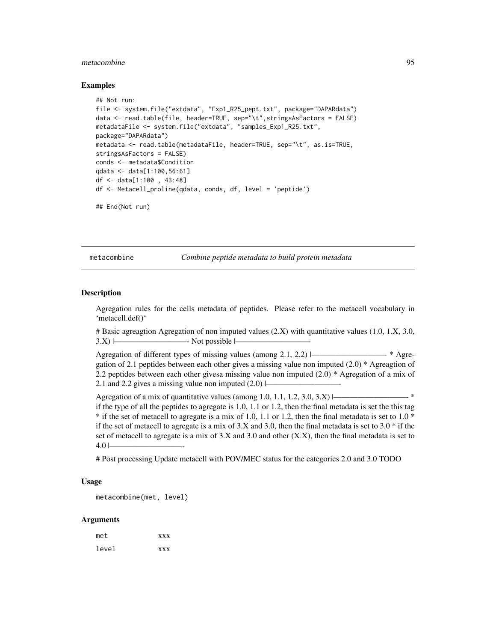#### metacombine 95

#### Examples

```
## Not run:
file <- system.file("extdata", "Exp1_R25_pept.txt", package="DAPARdata")
data <- read.table(file, header=TRUE, sep="\t",stringsAsFactors = FALSE)
metadataFile <- system.file("extdata", "samples_Exp1_R25.txt",
package="DAPARdata")
metadata <- read.table(metadataFile, header=TRUE, sep="\t", as.is=TRUE,
stringsAsFactors = FALSE)
conds <- metadata$Condition
qdata <- data[1:100,56:61]
df <- data[1:100 , 43:48]
df <- Metacell_proline(qdata, conds, df, level = 'peptide')
## End(Not run)
```
metacombine *Combine peptide metadata to build protein metadata*

#### Description

Agregation rules for the cells metadata of peptides. Please refer to the metacell vocabulary in 'metacell.def()'

# Basic agreagtion Agregation of non imputed values (2.X) with quantitative values (1.0, 1.X, 3.0,  $3.X$ )  $\longmapsto$  Not possible  $\longmapsto$ 

Agregation of different types of missing values (among 2.1, 2.2) |—————————- \* Agregation of 2.1 peptides between each other gives a missing value non imputed (2.0) \* Agreagtion of 2.2 peptides between each other givesa missing value non imputed (2.0) \* Agregation of a mix of 2.1 and 2.2 gives a missing value non imputed  $(2.0)$   $\vdash$ 

Agregation of a mix of quantitative values (among 1.0, 1.1, 1.2, 3.0, 3.X)  $\Box$  \* if the type of all the peptides to agregate is 1.0, 1.1 or 1.2, then the final metadata is set the this tag  $*$  if the set of metacell to agregate is a mix of 1.0, 1.1 or 1.2, then the final metadata is set to 1.0  $*$ if the set of metacell to agregate is a mix of  $3.X$  and  $3.0$ , then the final metadata is set to  $3.0 *$  if the set of metacell to agregate is a mix of  $3.X$  and  $3.0$  and other  $(X.X)$ , then the final metadata is set to  $4.0 -$ 

# Post processing Update metacell with POV/MEC status for the categories 2.0 and 3.0 TODO

#### Usage

metacombine(met, level)

| met   | <b>XXX</b> |
|-------|------------|
| level | <b>XXX</b> |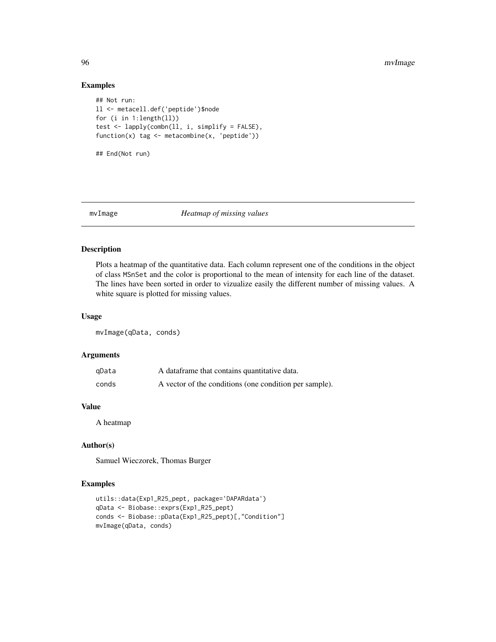# Examples

```
## Not run:
ll <- metacell.def('peptide')$node
for (i in 1:length(ll))
test <- lapply(combn(ll, i, simplify = FALSE),
function(x) tag <- metacombine(x, 'peptide'))
## End(Not run)
```
mvImage *Heatmap of missing values*

# Description

Plots a heatmap of the quantitative data. Each column represent one of the conditions in the object of class MSnSet and the color is proportional to the mean of intensity for each line of the dataset. The lines have been sorted in order to vizualize easily the different number of missing values. A white square is plotted for missing values.

#### Usage

mvImage(qData, conds)

#### Arguments

| qData | A dataframe that contains quantitative data.           |
|-------|--------------------------------------------------------|
| conds | A vector of the conditions (one condition per sample). |

#### Value

A heatmap

# Author(s)

Samuel Wieczorek, Thomas Burger

#### Examples

```
utils::data(Exp1_R25_pept, package='DAPARdata')
qData <- Biobase::exprs(Exp1_R25_pept)
conds <- Biobase::pData(Exp1_R25_pept)[,"Condition"]
mvImage(qData, conds)
```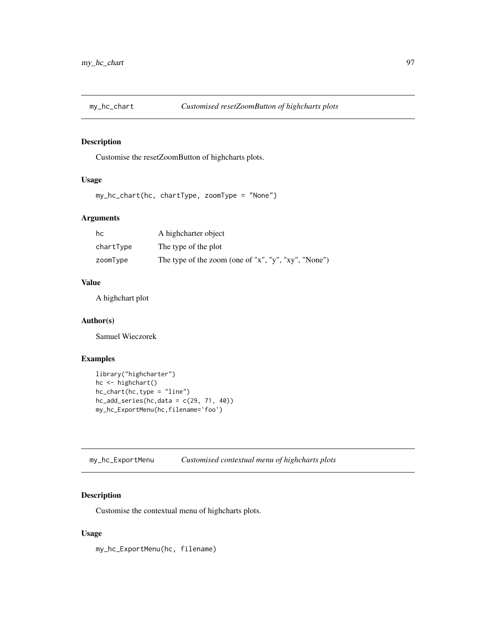# Description

Customise the resetZoomButton of highcharts plots.

#### Usage

```
my_hc_chart(hc, chartType, zoomType = "None")
```
# Arguments

| hc        | A highcharter object                                 |
|-----------|------------------------------------------------------|
| chartType | The type of the plot                                 |
| zoomType  | The type of the zoom (one of "x", "y", "xy", "None") |

#### Value

A highchart plot

#### Author(s)

Samuel Wieczorek

# Examples

```
library("highcharter")
hc <- highchart()
hc_chart(hc,type = "line")
hc\_add\_series(hc, data = c(29, 71, 40))my_hc_ExportMenu(hc,filename='foo')
```
my\_hc\_ExportMenu *Customised contextual menu of highcharts plots*

# Description

Customise the contextual menu of highcharts plots.

# Usage

my\_hc\_ExportMenu(hc, filename)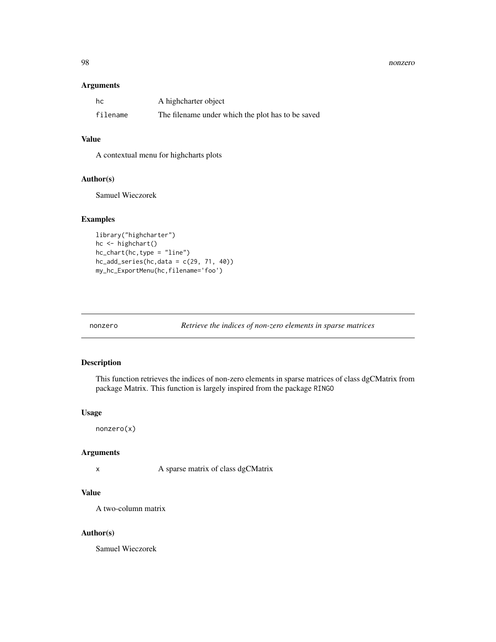#### estado e a contra de seu alternador de la contrada de la contrada de la contrada de la contrada de la contrada de la contrada de la contrada de la contrada de la contrada de la contrada de la contrada de la contrada de la

#### Arguments

| hc       | A highcharter object                              |
|----------|---------------------------------------------------|
| filename | The filename under which the plot has to be saved |

# Value

A contextual menu for highcharts plots

#### Author(s)

Samuel Wieczorek

# Examples

```
library("highcharter")
hc <- highchart()
hc_{\text{chart}}(hc, type = "line")hc\_add\_series(hc, data = c(29, 71, 40))my_hc_ExportMenu(hc,filename='foo')
```
nonzero *Retrieve the indices of non-zero elements in sparse matrices*

#### Description

This function retrieves the indices of non-zero elements in sparse matrices of class dgCMatrix from package Matrix. This function is largely inspired from the package RINGO

#### Usage

nonzero(x)

#### Arguments

x A sparse matrix of class dgCMatrix

#### Value

A two-column matrix

#### Author(s)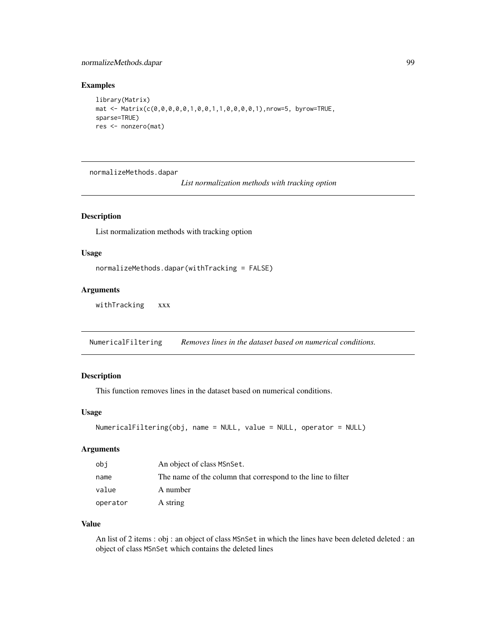# normalizeMethods.dapar 99

#### Examples

```
library(Matrix)
mat <- Matrix(c(0,0,0,0,0,1,0,0,1,1,0,0,0,0,1),nrow=5, byrow=TRUE,
sparse=TRUE)
res <- nonzero(mat)
```
normalizeMethods.dapar

*List normalization methods with tracking option*

#### Description

List normalization methods with tracking option

#### Usage

```
normalizeMethods.dapar(withTracking = FALSE)
```
# Arguments

withTracking xxx

NumericalFiltering *Removes lines in the dataset based on numerical conditions.*

# Description

This function removes lines in the dataset based on numerical conditions.

#### Usage

```
NumericalFiltering(obj, name = NULL, value = NULL, operator = NULL)
```
#### Arguments

| obi      | An object of class MSnSet.                                   |
|----------|--------------------------------------------------------------|
| name     | The name of the column that correspond to the line to filter |
| value    | A number                                                     |
| operator | A string                                                     |

#### Value

An list of 2 items : obj : an object of class MSnSet in which the lines have been deleted deleted : an object of class MSnSet which contains the deleted lines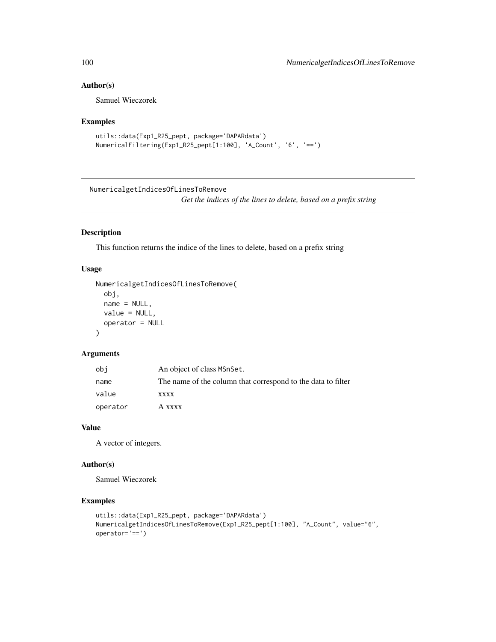#### Author(s)

Samuel Wieczorek

## Examples

```
utils::data(Exp1_R25_pept, package='DAPARdata')
NumericalFiltering(Exp1_R25_pept[1:100], 'A_Count', '6', '==')
```
NumericalgetIndicesOfLinesToRemove

*Get the indices of the lines to delete, based on a prefix string*

# Description

This function returns the indice of the lines to delete, based on a prefix string

#### Usage

```
NumericalgetIndicesOfLinesToRemove(
  obj,
  name = NULL,value = NULL,
  operator = NULL
\lambda
```
#### Arguments

| obi      | An object of class MSnSet.                                   |
|----------|--------------------------------------------------------------|
| name     | The name of the column that correspond to the data to filter |
| value    | <b>XXXX</b>                                                  |
| operator | A xxxx                                                       |

#### Value

A vector of integers.

#### Author(s)

Samuel Wieczorek

#### Examples

```
utils::data(Exp1_R25_pept, package='DAPARdata')
NumericalgetIndicesOfLinesToRemove(Exp1_R25_pept[1:100], "A_Count", value="6",
operator='==')
```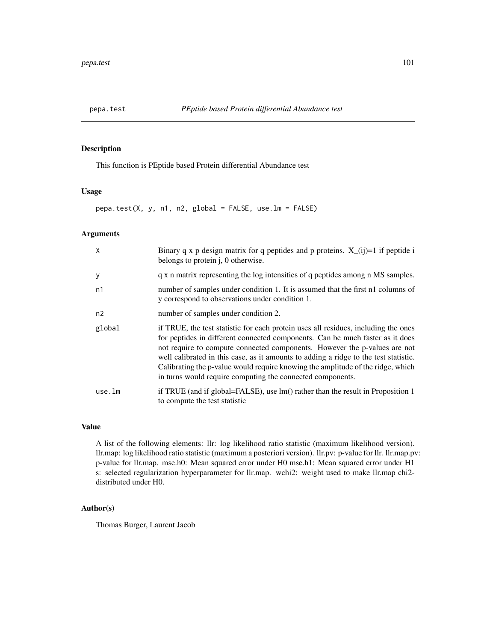## Description

This function is PEptide based Protein differential Abundance test

# Usage

pepa.test(X, y, n1, n2, global = FALSE, use.lm = FALSE)

# Arguments

| X      | Binary q x p design matrix for q peptides and p proteins. $X_{(i)}=1$ if peptide i<br>belongs to protein j, 0 otherwise.                                                                                                                                                                                                                                                                                                                                                                  |
|--------|-------------------------------------------------------------------------------------------------------------------------------------------------------------------------------------------------------------------------------------------------------------------------------------------------------------------------------------------------------------------------------------------------------------------------------------------------------------------------------------------|
| y      | q x n matrix representing the log intensities of q peptides among n MS samples.                                                                                                                                                                                                                                                                                                                                                                                                           |
| n1     | number of samples under condition 1. It is assumed that the first n1 columns of<br>y correspond to observations under condition 1.                                                                                                                                                                                                                                                                                                                                                        |
| n2     | number of samples under condition 2.                                                                                                                                                                                                                                                                                                                                                                                                                                                      |
| global | if TRUE, the test statistic for each protein uses all residues, including the ones<br>for peptides in different connected components. Can be much faster as it does<br>not require to compute connected components. However the p-values are not<br>well calibrated in this case, as it amounts to adding a ridge to the test statistic.<br>Calibrating the p-value would require knowing the amplitude of the ridge, which<br>in turns would require computing the connected components. |
| use.lm | if TRUE (and if global=FALSE), use lm() rather than the result in Proposition 1<br>to compute the test statistic                                                                                                                                                                                                                                                                                                                                                                          |

# Value

A list of the following elements: llr: log likelihood ratio statistic (maximum likelihood version). llr.map: log likelihood ratio statistic (maximum a posteriori version). llr.pv: p-value for llr. llr.map.pv: p-value for llr.map. mse.h0: Mean squared error under H0 mse.h1: Mean squared error under H1 s: selected regularization hyperparameter for llr.map. wchi2: weight used to make llr.map chi2 distributed under H0.

# Author(s)

Thomas Burger, Laurent Jacob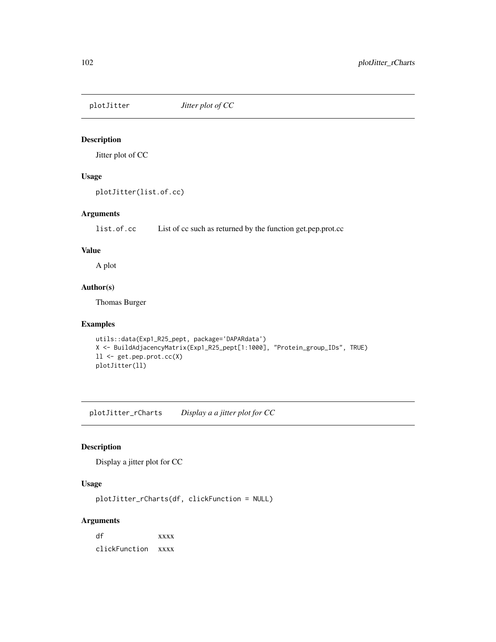# Description

Jitter plot of CC

# Usage

```
plotJitter(list.of.cc)
```
# Arguments

list.of.cc List of cc such as returned by the function get.pep.prot.cc

#### Value

A plot

# Author(s)

Thomas Burger

#### Examples

```
utils::data(Exp1_R25_pept, package='DAPARdata')
X <- BuildAdjacencyMatrix(Exp1_R25_pept[1:1000], "Protein_group_IDs", TRUE)
ll <- get.pep.prot.cc(X)
plotJitter(ll)
```
plotJitter\_rCharts *Display a a jitter plot for CC*

# Description

Display a jitter plot for CC

#### Usage

plotJitter\_rCharts(df, clickFunction = NULL)

# Arguments

df xxxx clickFunction xxxx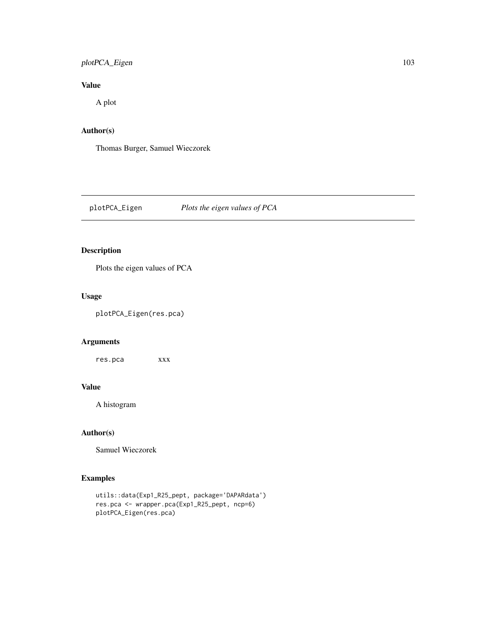# plotPCA\_Eigen 103

# Value

A plot

# Author(s)

Thomas Burger, Samuel Wieczorek

plotPCA\_Eigen *Plots the eigen values of PCA*

# Description

Plots the eigen values of PCA

# Usage

plotPCA\_Eigen(res.pca)

# Arguments

res.pca xxx

#### Value

A histogram

# Author(s)

Samuel Wieczorek

# Examples

```
utils::data(Exp1_R25_pept, package='DAPARdata')
res.pca <- wrapper.pca(Exp1_R25_pept, ncp=6)
plotPCA_Eigen(res.pca)
```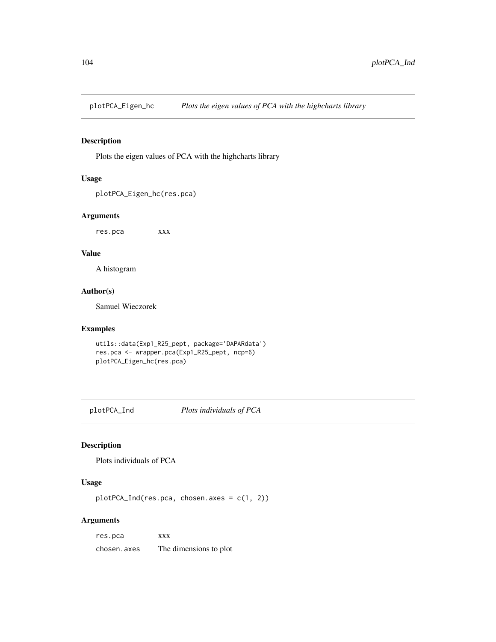plotPCA\_Eigen\_hc *Plots the eigen values of PCA with the highcharts library*

# Description

Plots the eigen values of PCA with the highcharts library

# Usage

plotPCA\_Eigen\_hc(res.pca)

#### Arguments

res.pca xxx

#### Value

A histogram

# Author(s)

Samuel Wieczorek

# Examples

```
utils::data(Exp1_R25_pept, package='DAPARdata')
res.pca <- wrapper.pca(Exp1_R25_pept, ncp=6)
plotPCA_Eigen_hc(res.pca)
```
plotPCA\_Ind *Plots individuals of PCA*

# Description

Plots individuals of PCA

# Usage

plotPCA\_Ind(res.pca, chosen.axes = c(1, 2))

# Arguments

res.pca xxx chosen.axes The dimensions to plot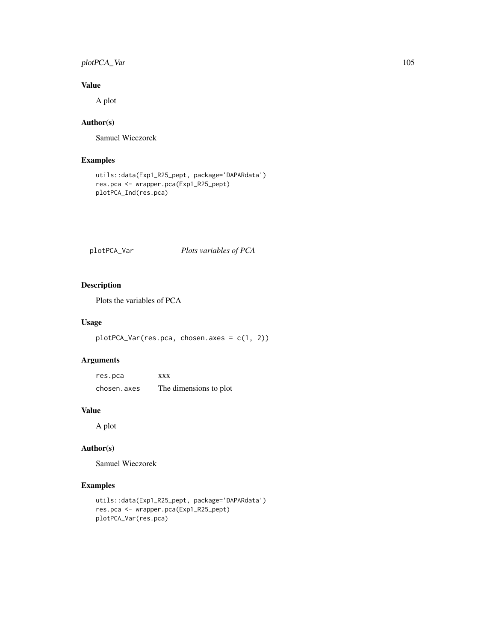# plotPCA\_Var 105

# Value

A plot

# Author(s)

Samuel Wieczorek

# Examples

```
utils::data(Exp1_R25_pept, package='DAPARdata')
res.pca <- wrapper.pca(Exp1_R25_pept)
plotPCA_Ind(res.pca)
```
plotPCA\_Var *Plots variables of PCA*

# Description

Plots the variables of PCA

#### Usage

plotPCA\_Var(res.pca, chosen.axes = c(1, 2))

# Arguments

res.pca xxx chosen.axes The dimensions to plot

# Value

A plot

# Author(s)

Samuel Wieczorek

# Examples

```
utils::data(Exp1_R25_pept, package='DAPARdata')
res.pca <- wrapper.pca(Exp1_R25_pept)
plotPCA_Var(res.pca)
```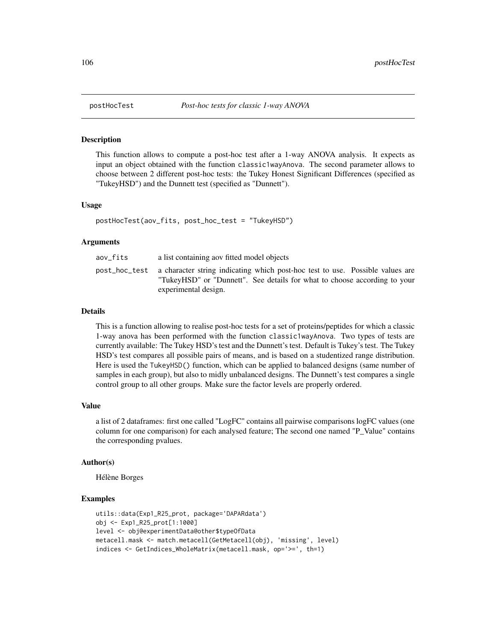#### Description

This function allows to compute a post-hoc test after a 1-way ANOVA analysis. It expects as input an object obtained with the function classic1wayAnova. The second parameter allows to choose between 2 different post-hoc tests: the Tukey Honest Significant Differences (specified as "TukeyHSD") and the Dunnett test (specified as "Dunnett").

#### Usage

```
postHocTest(aov_fits, post_hoc_test = "TukeyHSD")
```
#### Arguments

| aov fits | a list containing aov fitted model objects                                                                                                                                                       |
|----------|--------------------------------------------------------------------------------------------------------------------------------------------------------------------------------------------------|
|          | post_hoc_test a character string indicating which post-hoc test to use. Possible values are<br>"TukeyHSD" or "Dunnett". See details for what to choose according to your<br>experimental design. |

#### Details

This is a function allowing to realise post-hoc tests for a set of proteins/peptides for which a classic 1-way anova has been performed with the function classic1wayAnova. Two types of tests are currently available: The Tukey HSD's test and the Dunnett's test. Default is Tukey's test. The Tukey HSD's test compares all possible pairs of means, and is based on a studentized range distribution. Here is used the TukeyHSD() function, which can be applied to balanced designs (same number of samples in each group), but also to midly unbalanced designs. The Dunnett's test compares a single control group to all other groups. Make sure the factor levels are properly ordered.

#### Value

a list of 2 dataframes: first one called "LogFC" contains all pairwise comparisons logFC values (one column for one comparison) for each analysed feature; The second one named "P\_Value" contains the corresponding pvalues.

#### Author(s)

Hélène Borges

# Examples

```
utils::data(Exp1_R25_prot, package='DAPARdata')
obj <- Exp1_R25_prot[1:1000]
level <- obj@experimentData@other$typeOfData
metacell.mask <- match.metacell(GetMetacell(obj), 'missing', level)
indices <- GetIndices_WholeMatrix(metacell.mask, op='>=', th=1)
```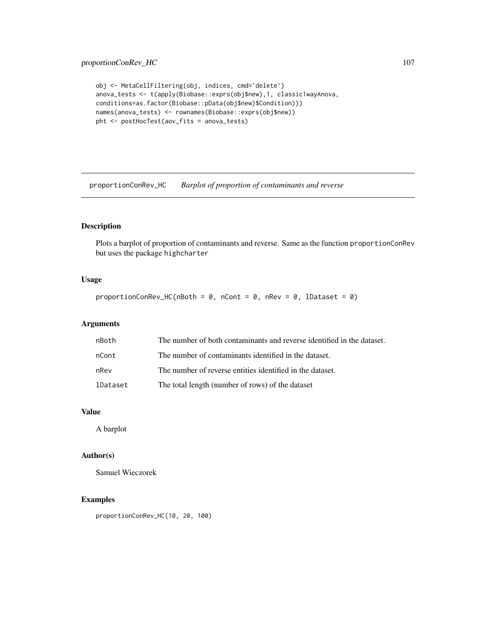# proportionConRev\_HC 107

```
obj <- MetaCellFiltering(obj, indices, cmd='delete')
anova_tests <- t(apply(Biobase::exprs(obj$new),1, classic1wayAnova,
conditions=as.factor(Biobase::pData(obj$new)$Condition)))
names(anova_tests) <- rownames(Biobase::exprs(obj$new))
pht <- postHocTest(aov_fits = anova_tests)
```
proportionConRev\_HC *Barplot of proportion of contaminants and reverse*

# Description

Plots a barplot of proportion of contaminants and reverse. Same as the function proportionConRev but uses the package highcharter

# Usage

proportionConRev\_HC(nBoth =  $\theta$ , nCont =  $\theta$ , nRev =  $\theta$ , lDataset =  $\theta$ )

#### Arguments

| nBoth    | The number of both contaminants and reverse identified in the dataset. |
|----------|------------------------------------------------------------------------|
| nCont    | The number of contaminants identified in the dataset.                  |
| nRev     | The number of reverse entities identified in the dataset.              |
| lDataset | The total length (number of rows) of the dataset                       |

#### Value

A barplot

#### Author(s)

Samuel Wieczorek

# Examples

proportionConRev\_HC(10, 20, 100)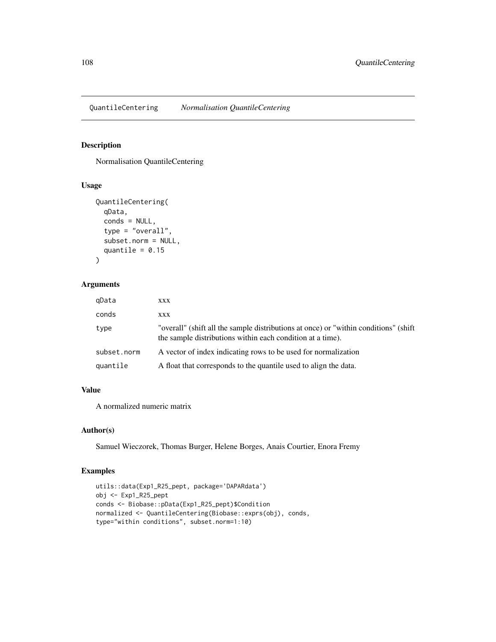QuantileCentering *Normalisation QuantileCentering*

#### Description

Normalisation QuantileCentering

#### Usage

```
QuantileCentering(
  qData,
  conds = NULL,
  type = "overall",
  subset.norm = NULL,
  quantile = 0.15\mathcal{L}
```
#### Arguments

| gData       | XXX                                                                                                                                                |
|-------------|----------------------------------------------------------------------------------------------------------------------------------------------------|
| conds       | XXX                                                                                                                                                |
| type        | "overall" (shift all the sample distributions at once) or "within conditions" (shift<br>the sample distributions within each condition at a time). |
| subset.norm | A vector of index indicating rows to be used for normalization                                                                                     |
| quantile    | A float that corresponds to the quantile used to align the data.                                                                                   |

# Value

A normalized numeric matrix

#### Author(s)

Samuel Wieczorek, Thomas Burger, Helene Borges, Anais Courtier, Enora Fremy

#### Examples

```
utils::data(Exp1_R25_pept, package='DAPARdata')
obj <- Exp1_R25_pept
conds <- Biobase::pData(Exp1_R25_pept)$Condition
normalized <- QuantileCentering(Biobase::exprs(obj), conds,
type="within conditions", subset.norm=1:10)
```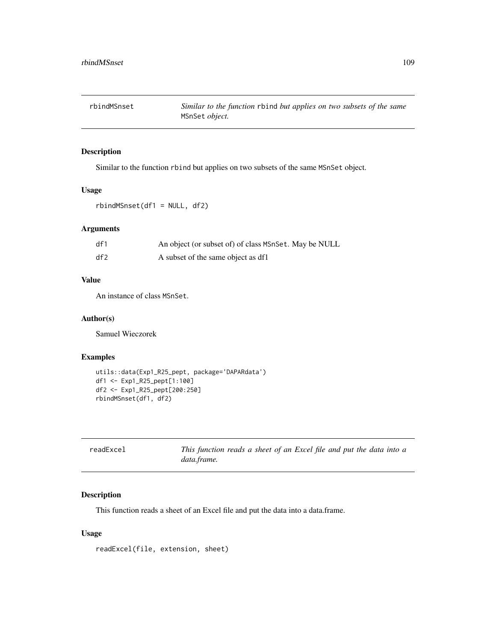rbindMSnset *Similar to the function* rbind *but applies on two subsets of the same* MSnSet *object.*

# Description

Similar to the function rbind but applies on two subsets of the same MSnSet object.

## Usage

rbindMSnset(df1 = NULL, df2)

# Arguments

| df1 | An object (or subset of) of class MSnSet. May be NULL |
|-----|-------------------------------------------------------|
| df2 | A subset of the same object as df1                    |

# Value

An instance of class MSnSet.

#### Author(s)

Samuel Wieczorek

# Examples

```
utils::data(Exp1_R25_pept, package='DAPARdata')
df1 <- Exp1_R25_pept[1:100]
df2 <- Exp1_R25_pept[200:250]
rbindMSnset(df1, df2)
```

| readExcel | This function reads a sheet of an Excel file and put the data into a |  |  |  |  |  |  |
|-----------|----------------------------------------------------------------------|--|--|--|--|--|--|
|           | data.frame.                                                          |  |  |  |  |  |  |

# Description

This function reads a sheet of an Excel file and put the data into a data.frame.

## Usage

readExcel(file, extension, sheet)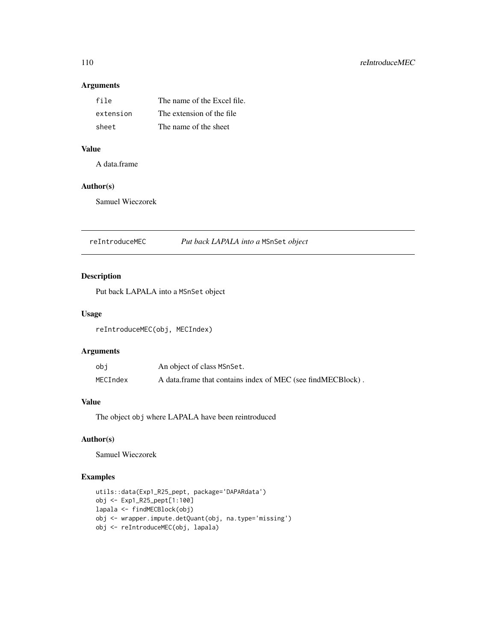# Arguments

| file      | The name of the Excel file. |
|-----------|-----------------------------|
| extension | The extension of the file.  |
| sheet     | The name of the sheet       |

# Value

A data.frame

# Author(s)

Samuel Wieczorek

reIntroduceMEC *Put back LAPALA into a* MSnSet *object*

# Description

Put back LAPALA into a MSnSet object

# Usage

reIntroduceMEC(obj, MECIndex)

# Arguments

| obj      | An object of class MSnSet.                                   |
|----------|--------------------------------------------------------------|
| MECIndex | A data frame that contains index of MEC (see find MECBlock). |

# Value

The object obj where LAPALA have been reintroduced

# Author(s)

Samuel Wieczorek

```
utils::data(Exp1_R25_pept, package='DAPARdata')
obj <- Exp1_R25_pept[1:100]
lapala <- findMECBlock(obj)
obj <- wrapper.impute.detQuant(obj, na.type='missing')
obj <- reIntroduceMEC(obj, lapala)
```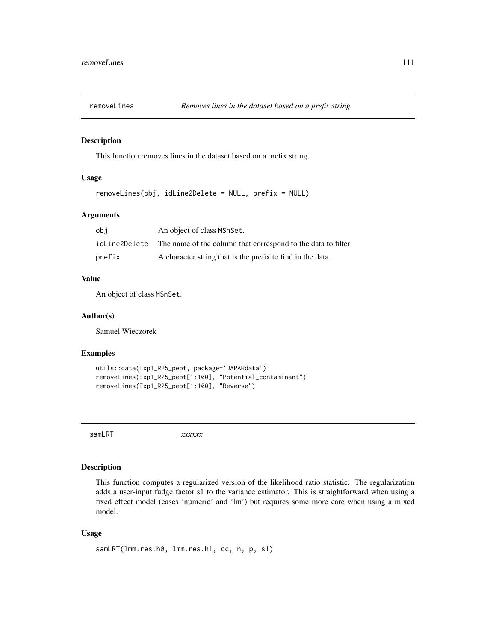## Description

This function removes lines in the dataset based on a prefix string.

# Usage

```
removeLines(obj, idLine2Delete = NULL, prefix = NULL)
```
# Arguments

| obi           | An object of class MSnSet.                                   |
|---------------|--------------------------------------------------------------|
| idLine2Delete | The name of the column that correspond to the data to filter |
| prefix        | A character string that is the prefix to find in the data    |

# Value

An object of class MSnSet.

## Author(s)

Samuel Wieczorek

## Examples

```
utils::data(Exp1_R25_pept, package='DAPARdata')
removeLines(Exp1_R25_pept[1:100], "Potential_contaminant")
removeLines(Exp1_R25_pept[1:100], "Reverse")
```
samLRT *xxxxxx*

# Description

This function computes a regularized version of the likelihood ratio statistic. The regularization adds a user-input fudge factor s1 to the variance estimator. This is straightforward when using a fixed effect model (cases 'numeric' and 'lm') but requires some more care when using a mixed model.

## Usage

```
samLRT(lmm.res.h0, lmm.res.h1, cc, n, p, s1)
```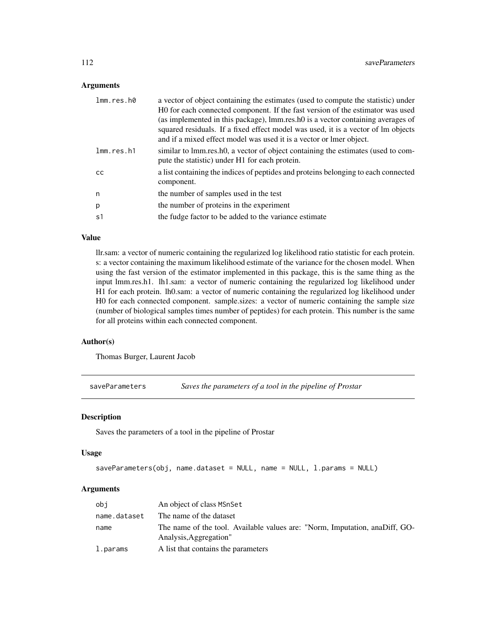# Arguments

| lmm.res.h0 | a vector of object containing the estimates (used to compute the statistic) under  |
|------------|------------------------------------------------------------------------------------|
|            | HO for each connected component. If the fast version of the estimator was used     |
|            | (as implemented in this package), lmm.res.h0 is a vector containing averages of    |
|            | squared residuals. If a fixed effect model was used, it is a vector of lm objects  |
|            | and if a mixed effect model was used it is a vector or lmer object.                |
| lmm.res.h1 | similar to lmm.res.h0, a vector of object containing the estimates (used to com-   |
|            | pute the statistic) under H1 for each protein.                                     |
| CC.        | a list containing the indices of peptides and proteins belonging to each connected |
|            | component.                                                                         |
| n          | the number of samples used in the test                                             |
| p          | the number of proteins in the experiment                                           |
| s1         | the fudge factor to be added to the variance estimate                              |
|            |                                                                                    |

# Value

llr.sam: a vector of numeric containing the regularized log likelihood ratio statistic for each protein. s: a vector containing the maximum likelihood estimate of the variance for the chosen model. When using the fast version of the estimator implemented in this package, this is the same thing as the input lmm.res.h1. lh1.sam: a vector of numeric containing the regularized log likelihood under H1 for each protein. lh0.sam: a vector of numeric containing the regularized log likelihood under H0 for each connected component. sample.sizes: a vector of numeric containing the sample size (number of biological samples times number of peptides) for each protein. This number is the same for all proteins within each connected component.

## Author(s)

Thomas Burger, Laurent Jacob

saveParameters *Saves the parameters of a tool in the pipeline of Prostar*

#### Description

Saves the parameters of a tool in the pipeline of Prostar

## Usage

```
saveParameters(obj, name.dataset = NULL, name = NULL, l.params = NULL)
```
#### Arguments

| obi          | An object of class MSnSet                                                                             |
|--------------|-------------------------------------------------------------------------------------------------------|
| name.dataset | The name of the dataset                                                                               |
| name         | The name of the tool. Available values are: "Norm, Imputation, anaDiff, GO-<br>Analysis, Aggregation" |
| l.params     | A list that contains the parameters                                                                   |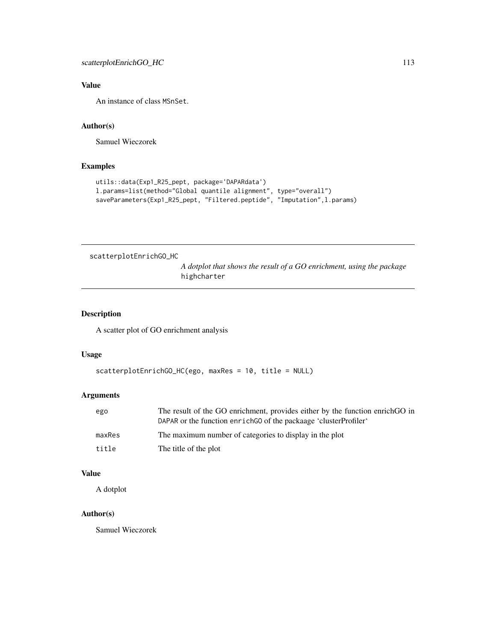# Value

An instance of class MSnSet.

# Author(s)

Samuel Wieczorek

# Examples

```
utils::data(Exp1_R25_pept, package='DAPARdata')
l.params=list(method="Global quantile alignment", type="overall")
saveParameters(Exp1_R25_pept, "Filtered.peptide", "Imputation",l.params)
```
scatterplotEnrichGO\_HC

*A dotplot that shows the result of a GO enrichment, using the package* highcharter

# Description

A scatter plot of GO enrichment analysis

## Usage

```
scatterplotEnrichGO_HC(ego, maxRes = 10, title = NULL)
```
# Arguments

| ego    | The result of the GO enrichment, provides either by the function enrich GO in<br>DAPAR or the function enrich GO of the packaage 'cluster Profiler' |
|--------|-----------------------------------------------------------------------------------------------------------------------------------------------------|
| maxRes | The maximum number of categories to display in the plot                                                                                             |
| title  | The title of the plot                                                                                                                               |

# Value

A dotplot

# Author(s)

Samuel Wieczorek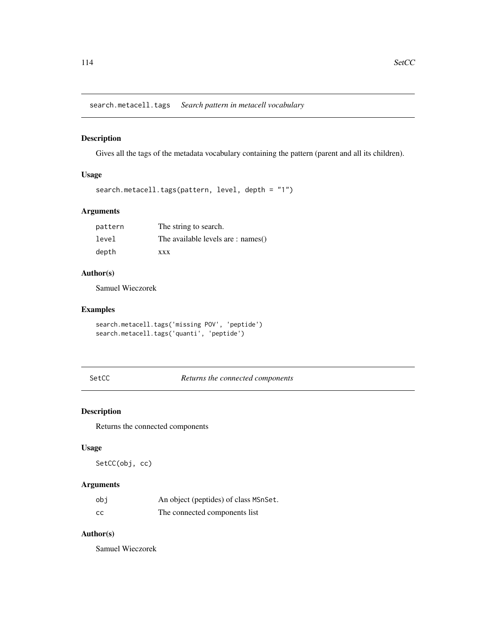search.metacell.tags *Search pattern in metacell vocabulary*

# Description

Gives all the tags of the metadata vocabulary containing the pattern (parent and all its children).

# Usage

```
search.metacell.tags(pattern, level, depth = "1")
```
# Arguments

| pattern | The string to search.                |
|---------|--------------------------------------|
| level   | The available levels are : $names()$ |
| depth   | <b>XXX</b>                           |

# Author(s)

Samuel Wieczorek

# Examples

```
search.metacell.tags('missing POV', 'peptide')
search.metacell.tags('quanti', 'peptide')
```
SetCC *Returns the connected components*

# Description

Returns the connected components

# Usage

SetCC(obj, cc)

# Arguments

| obi | An object (peptides) of class MSnSet. |
|-----|---------------------------------------|
| cc  | The connected components list         |

# Author(s)

Samuel Wieczorek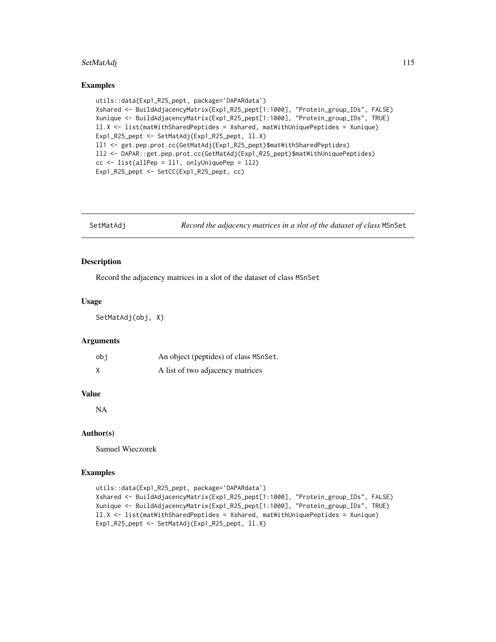#### SetMatAdj 115

#### Examples

```
utils::data(Exp1_R25_pept, package='DAPARdata')
Xshared <- BuildAdjacencyMatrix(Exp1_R25_pept[1:1000], "Protein_group_IDs", FALSE)
Xunique <- BuildAdjacencyMatrix(Exp1_R25_pept[1:1000], "Protein_group_IDs", TRUE)
ll.X <- list(matWithSharedPeptides = Xshared, matWithUniquePeptides = Xunique)
Exp1_R25_pept <- SetMatAdj(Exp1_R25_pept, ll.X)
ll1 <- get.pep.prot.cc(GetMatAdj(Exp1_R25_pept)$matWithSharedPeptides)
ll2 <- DAPAR::get.pep.prot.cc(GetMatAdj(Exp1_R25_pept)$matWithUniquePeptides)
cc <- list(allPep = ll1, onlyUniquePep = ll2)
Exp1_R25_pept <- SetCC(Exp1_R25_pept, cc)
```
SetMatAdj *Record the adjacency matrices in a slot of the dataset of class* MSnSet

## Description

Record the adjacency matrices in a slot of the dataset of class MSnSet

#### Usage

SetMatAdj(obj, X)

## Arguments

| obi | An object (peptides) of class MSnSet. |
|-----|---------------------------------------|
|     | A list of two adjacency matrices      |

#### Value

NA

# Author(s)

Samuel Wieczorek

```
utils::data(Exp1_R25_pept, package='DAPARdata')
Xshared <- BuildAdjacencyMatrix(Exp1_R25_pept[1:1000], "Protein_group_IDs", FALSE)
Xunique <- BuildAdjacencyMatrix(Exp1_R25_pept[1:1000], "Protein_group_IDs", TRUE)
ll.X <- list(matWithSharedPeptides = Xshared, matWithUniquePeptides = Xunique)
Exp1_R25_pept <- SetMatAdj(Exp1_R25_pept, ll.X)
```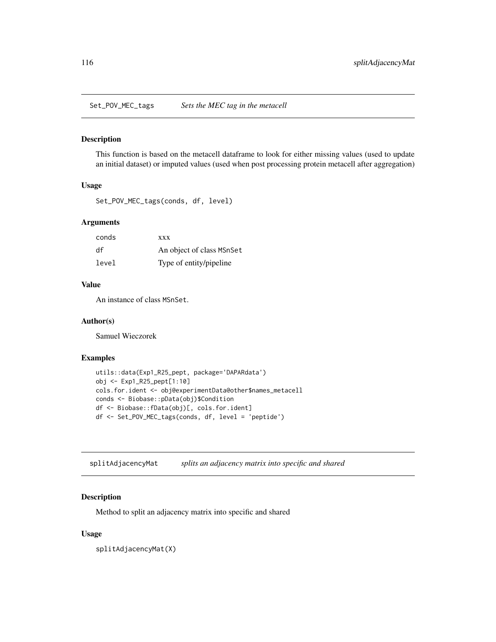Set\_POV\_MEC\_tags *Sets the MEC tag in the metacell*

#### Description

This function is based on the metacell dataframe to look for either missing values (used to update an initial dataset) or imputed values (used when post processing protein metacell after aggregation)

# Usage

Set\_POV\_MEC\_tags(conds, df, level)

# Arguments

| conds | <b>XXX</b>                |
|-------|---------------------------|
| df    | An object of class MSnSet |
| level | Type of entity/pipeline   |

## Value

An instance of class MSnSet.

# Author(s)

Samuel Wieczorek

# Examples

```
utils::data(Exp1_R25_pept, package='DAPARdata')
obj <- Exp1_R25_pept[1:10]
cols.for.ident <- obj@experimentData@other$names_metacell
conds <- Biobase::pData(obj)$Condition
df <- Biobase::fData(obj)[, cols.for.ident]
df <- Set_POV_MEC_tags(conds, df, level = 'peptide')
```
splitAdjacencyMat *splits an adjacency matrix into specific and shared*

# Description

Method to split an adjacency matrix into specific and shared

## Usage

splitAdjacencyMat(X)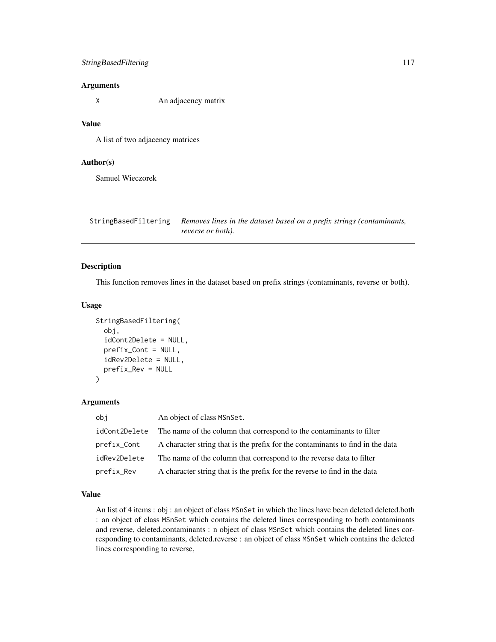# Arguments

X An adjacency matrix

## Value

A list of two adjacency matrices

## Author(s)

Samuel Wieczorek

StringBasedFiltering *Removes lines in the dataset based on a prefix strings (contaminants, reverse or both).*

## Description

This function removes lines in the dataset based on prefix strings (contaminants, reverse or both).

## Usage

```
StringBasedFiltering(
  obj,
  idCont2Delete = NULL,
  prefix_Cont = NULL,
  idRev2Delete = NULL,
  prefix_Rev = NULL
)
```
## Arguments

| obj           | An object of class MSnSet.                                                     |
|---------------|--------------------------------------------------------------------------------|
| idCont2Delete | The name of the column that correspond to the contaminants to filter           |
| prefix_Cont   | A character string that is the prefix for the contaminants to find in the data |
| idRev2Delete  | The name of the column that correspond to the reverse data to filter           |
| prefix_Rev    | A character string that is the prefix for the reverse to find in the data      |

## Value

An list of 4 items : obj : an object of class MSnSet in which the lines have been deleted deleted.both : an object of class MSnSet which contains the deleted lines corresponding to both contaminants and reverse, deleted.contaminants : n object of class MSnSet which contains the deleted lines corresponding to contaminants, deleted.reverse : an object of class MSnSet which contains the deleted lines corresponding to reverse,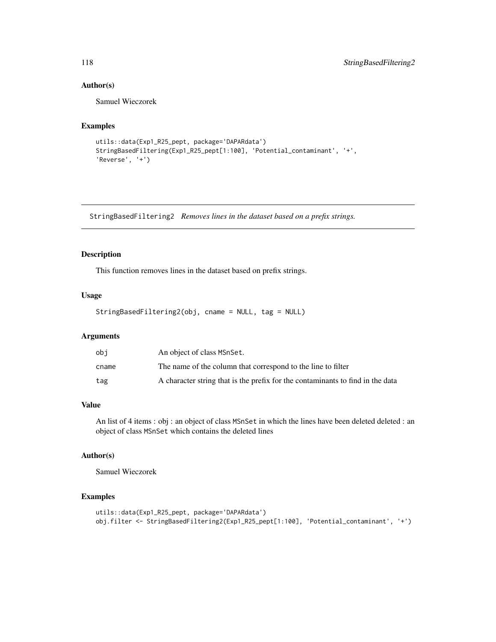# Author(s)

Samuel Wieczorek

# Examples

```
utils::data(Exp1_R25_pept, package='DAPARdata')
StringBasedFiltering(Exp1_R25_pept[1:100], 'Potential_contaminant', '+',
'Reverse', '+')
```
StringBasedFiltering2 *Removes lines in the dataset based on a prefix strings.*

# Description

This function removes lines in the dataset based on prefix strings.

# Usage

```
StringBasedFiltering2(obj, cname = NULL, tag = NULL)
```
# Arguments

| obi   | An object of class MSnSet.                                                     |
|-------|--------------------------------------------------------------------------------|
| cname | The name of the column that correspond to the line to filter                   |
| tag   | A character string that is the prefix for the contaminants to find in the data |

# Value

An list of 4 items : obj : an object of class MSnSet in which the lines have been deleted deleted : an object of class MSnSet which contains the deleted lines

## Author(s)

Samuel Wieczorek

```
utils::data(Exp1_R25_pept, package='DAPARdata')
obj.filter <- StringBasedFiltering2(Exp1_R25_pept[1:100], 'Potential_contaminant', '+')
```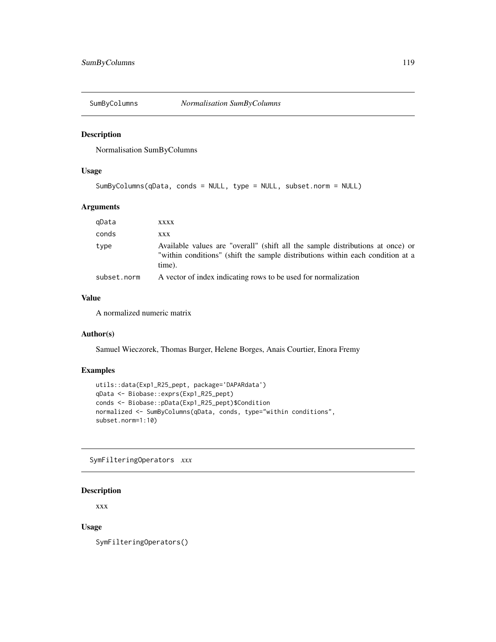# Description

Normalisation SumByColumns

## Usage

```
SumByColumns(qData, conds = NULL, type = NULL, subset.norm = NULL)
```
#### Arguments

| gData       | XXXX                                                                                                                                                                       |
|-------------|----------------------------------------------------------------------------------------------------------------------------------------------------------------------------|
| conds       | XXX                                                                                                                                                                        |
| type        | Available values are "overall" (shift all the sample distributions at once) or<br>"within conditions" (shift the sample distributions within each condition at a<br>time). |
| subset.norm | A vector of index indicating rows to be used for normalization                                                                                                             |

# Value

A normalized numeric matrix

# Author(s)

Samuel Wieczorek, Thomas Burger, Helene Borges, Anais Courtier, Enora Fremy

# Examples

```
utils::data(Exp1_R25_pept, package='DAPARdata')
qData <- Biobase::exprs(Exp1_R25_pept)
conds <- Biobase::pData(Exp1_R25_pept)$Condition
normalized <- SumByColumns(qData, conds, type="within conditions",
subset.norm=1:10)
```
SymFilteringOperators *xxx*

## Description

xxx

# Usage

SymFilteringOperators()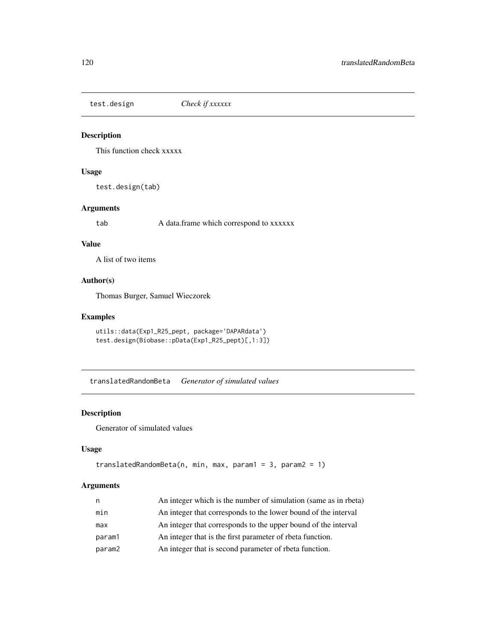test.design *Check if xxxxxx*

## Description

This function check xxxxx

# Usage

test.design(tab)

# Arguments

tab A data.frame which correspond to xxxxxx

## Value

A list of two items

# Author(s)

Thomas Burger, Samuel Wieczorek

# Examples

```
utils::data(Exp1_R25_pept, package='DAPARdata')
test.design(Biobase::pData(Exp1_R25_pept)[,1:3])
```
translatedRandomBeta *Generator of simulated values*

# Description

Generator of simulated values

## Usage

```
translatedRandomBeta(n, min, max, param1 = 3, param2 = 1)
```
# Arguments

| n      | An integer which is the number of simulation (same as in rbeta) |
|--------|-----------------------------------------------------------------|
| min    | An integer that corresponds to the lower bound of the interval  |
| max    | An integer that corresponds to the upper bound of the interval  |
| param1 | An integer that is the first parameter of rbeta function.       |
| param2 | An integer that is second parameter of rbeta function.          |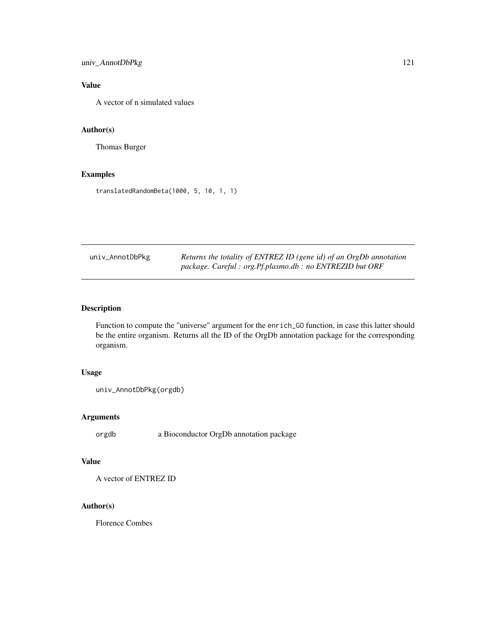# univ\_AnnotDbPkg 121

# Value

A vector of n simulated values

# Author(s)

Thomas Burger

# Examples

translatedRandomBeta(1000, 5, 10, 1, 1)

| univ_AnnotDbPkg | Returns the totality of ENTREZ ID (gene id) of an OrgDb annotation |
|-----------------|--------------------------------------------------------------------|
|                 | package. Careful : org.Pf.plasmo.db : no ENTREZID but ORF          |

# Description

Function to compute the "universe" argument for the enrich\_GO function, in case this latter should be the entire organism. Returns all the ID of the OrgDb annotation package for the corresponding organism.

## Usage

```
univ_AnnotDbPkg(orgdb)
```
# Arguments

orgdb a Bioconductor OrgDb annotation package

# Value

A vector of ENTREZ ID

# Author(s)

Florence Combes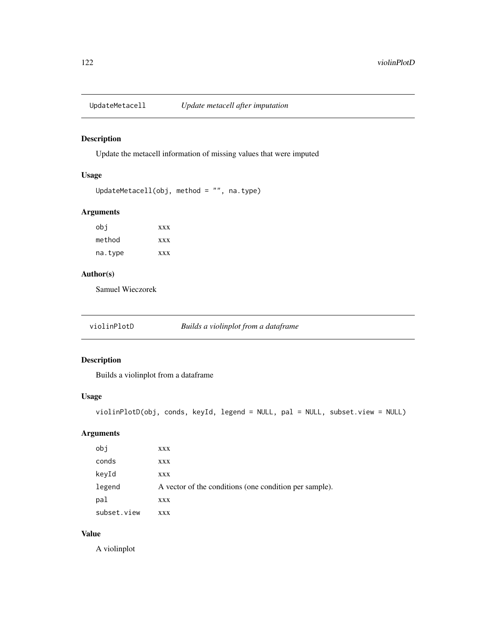# Description

Update the metacell information of missing values that were imputed

# Usage

```
UpdateMetacell(obj, method = "", na.type)
```
# Arguments

| obi     | <b>XXX</b> |
|---------|------------|
| method  | <b>XXX</b> |
| na.type | <b>XXX</b> |

# Author(s)

Samuel Wieczorek

violinPlotD *Builds a violinplot from a dataframe*

# Description

Builds a violinplot from a dataframe

# Usage

```
violinPlotD(obj, conds, keyId, legend = NULL, pal = NULL, subset.view = NULL)
```
# Arguments

| obj         | XXX                                                    |
|-------------|--------------------------------------------------------|
| conds       | XXX                                                    |
| keyId       | XXX                                                    |
| legend      | A vector of the conditions (one condition per sample). |
| pal         | XXX                                                    |
| subset.view | <b>XXX</b>                                             |

# Value

A violinplot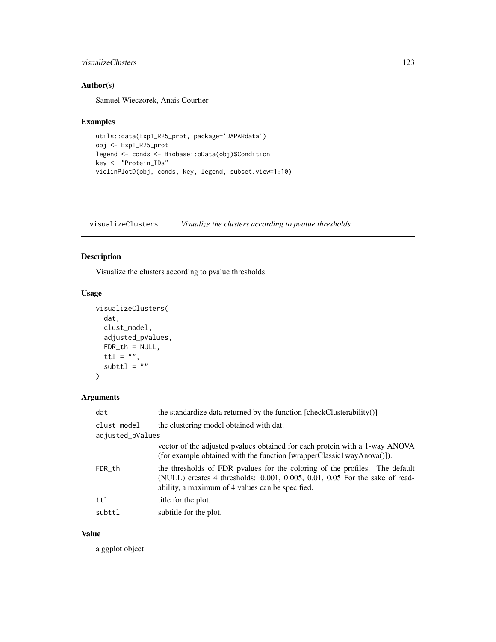## visualizeClusters 123

# Author(s)

Samuel Wieczorek, Anais Courtier

## Examples

```
utils::data(Exp1_R25_prot, package='DAPARdata')
obj <- Exp1_R25_prot
legend <- conds <- Biobase::pData(obj)$Condition
key <- "Protein_IDs"
violinPlotD(obj, conds, key, legend, subset.view=1:10)
```
visualizeClusters *Visualize the clusters according to pvalue thresholds*

# Description

Visualize the clusters according to pvalue thresholds

## Usage

```
visualizeClusters(
 dat,
 clust_model,
 adjusted_pValues,
 FDR_t = NULL,
 ttl = ",
 subttl = "")
```
# Arguments

| dat              | the standardize data returned by the function [checkClusterability()]                                                                                                                                          |  |
|------------------|----------------------------------------------------------------------------------------------------------------------------------------------------------------------------------------------------------------|--|
| clust_model      | the clustering model obtained with dat.                                                                                                                                                                        |  |
| adjusted_pValues |                                                                                                                                                                                                                |  |
|                  | vector of the adjusted pvalues obtained for each protein with a 1-way ANOVA<br>(for example obtained with the function [wrapperClassic1wayAnova()]).                                                           |  |
| FDR_th           | the thresholds of FDR pvalues for the coloring of the profiles. The default<br>(NULL) creates 4 thresholds: 0.001, 0.005, 0.01, 0.05 For the sake of read-<br>ability, a maximum of 4 values can be specified. |  |
| ttl              | title for the plot.                                                                                                                                                                                            |  |
| subttl           | subtitle for the plot.                                                                                                                                                                                         |  |

## Value

a ggplot object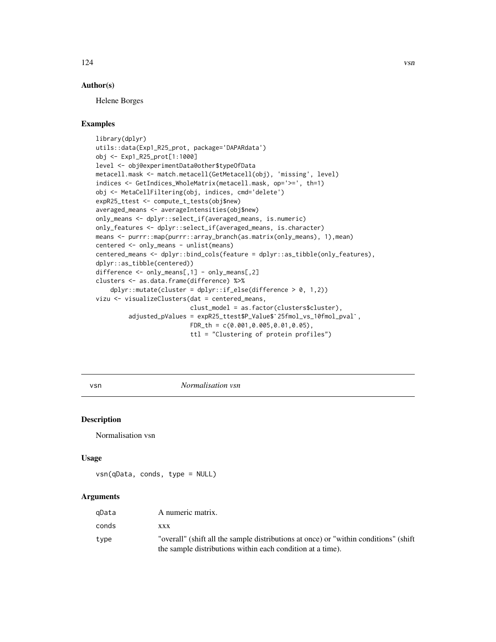## Author(s)

Helene Borges

## Examples

```
library(dplyr)
utils::data(Exp1_R25_prot, package='DAPARdata')
obj <- Exp1_R25_prot[1:1000]
level <- obj@experimentData@other$typeOfData
metacell.mask <- match.metacell(GetMetacell(obj), 'missing', level)
indices <- GetIndices_WholeMatrix(metacell.mask, op='>=', th=1)
obj <- MetaCellFiltering(obj, indices, cmd='delete')
expR25_ttest <- compute_t_tests(obj$new)
averaged_means <- averageIntensities(obj$new)
only_means <- dplyr::select_if(averaged_means, is.numeric)
only_features <- dplyr::select_if(averaged_means, is.character)
means <- purrr::map(purrr::array_branch(as.matrix(only_means), 1),mean)
centered <- only_means - unlist(means)
centered_means <- dplyr::bind_cols(feature = dplyr::as_tibble(only_features),
dplyr::as_tibble(centered))
difference <- only_means[,1] - only_means[,2]
clusters <- as.data.frame(difference) %>%
    dplyr::mutate(cluster = dplyr::if\_else(difference > 0, 1,2))vizu <- visualizeClusters(dat = centered_means,
                          clust_model = as.factor(clusters$cluster),
         adjusted_pValues = expR25_ttest$P_Value$`25fmol_vs_10fmol_pval`,
                          FDR_th = c(0.001,0.005,0.01,0.05),
                          ttl = "Clustering of protein profiles")
```
vsn *Normalisation vsn*

## Description

Normalisation vsn

#### Usage

vsn(qData, conds, type = NULL)

## **Arguments**

| qData | A numeric matrix.                                                                                                                                  |
|-------|----------------------------------------------------------------------------------------------------------------------------------------------------|
| conds | <b>XXX</b>                                                                                                                                         |
| type  | "overall" (shift all the sample distributions at once) or "within conditions" (shift<br>the sample distributions within each condition at a time). |

124 vsn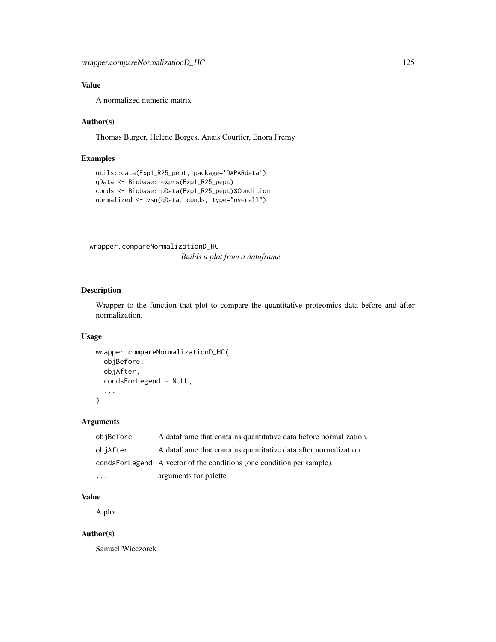# Value

A normalized numeric matrix

## Author(s)

Thomas Burger, Helene Borges, Anais Courtier, Enora Fremy

# Examples

```
utils::data(Exp1_R25_pept, package='DAPARdata')
qData <- Biobase::exprs(Exp1_R25_pept)
conds <- Biobase::pData(Exp1_R25_pept)$Condition
normalized <- vsn(qData, conds, type="overall")
```
wrapper.compareNormalizationD\_HC *Builds a plot from a dataframe*

# Description

Wrapper to the function that plot to compare the quantitative proteomics data before and after normalization.

## Usage

```
wrapper.compareNormalizationD_HC(
  objBefore,
  objAfter,
  condsForLegend = NULL,
  ...
)
```
# Arguments

| objBefore | A data frame that contains quantitative data before normalization.    |
|-----------|-----------------------------------------------------------------------|
| objAfter  | A data frame that contains quantitative data after normalization.     |
|           | condsForLegend A vector of the conditions (one condition per sample). |
| $\ddotsc$ | arguments for palette                                                 |

## Value

A plot

# Author(s)

Samuel Wieczorek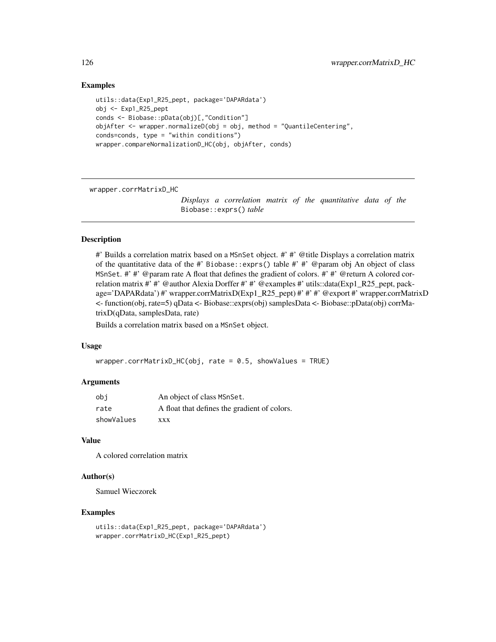## Examples

```
utils::data(Exp1_R25_pept, package='DAPARdata')
obj <- Exp1_R25_pept
conds <- Biobase::pData(obj)[,"Condition"]
objAfter \leq wrapper.normalizeD(obj = obj, method = "QuantileCentering",
conds=conds, type = "within conditions")
wrapper.compareNormalizationD_HC(obj, objAfter, conds)
```
wrapper.corrMatrixD\_HC

*Displays a correlation matrix of the quantitative data of the* Biobase::exprs() *table*

## Description

#' Builds a correlation matrix based on a MSnSet object. #' #' @title Displays a correlation matrix of the quantitative data of the #' Biobase::exprs() table #' #' @param obj An object of class MSnSet. #' #' @param rate A float that defines the gradient of colors. #' #' @return A colored correlation matrix #' #' @author Alexia Dorffer #' #' @examples #' utils::data(Exp1\_R25\_pept, package='DAPARdata') #' wrapper.corrMatrixD(Exp1\_R25\_pept) #' #' #' @export #' wrapper.corrMatrixD <- function(obj, rate=5) qData <- Biobase::exprs(obj) samplesData <- Biobase::pData(obj) corrMatrixD(qData, samplesData, rate)

Builds a correlation matrix based on a MSnSet object.

#### Usage

```
wrapper.corrMatrixD_HC(obj, rate = 0.5, showValues = TRUE)
```
## Arguments

| obi        | An object of class MSnSet.                   |
|------------|----------------------------------------------|
| rate       | A float that defines the gradient of colors. |
| showValues | <b>XXX</b>                                   |

## Value

A colored correlation matrix

## Author(s)

Samuel Wieczorek

```
utils::data(Exp1_R25_pept, package='DAPARdata')
wrapper.corrMatrixD_HC(Exp1_R25_pept)
```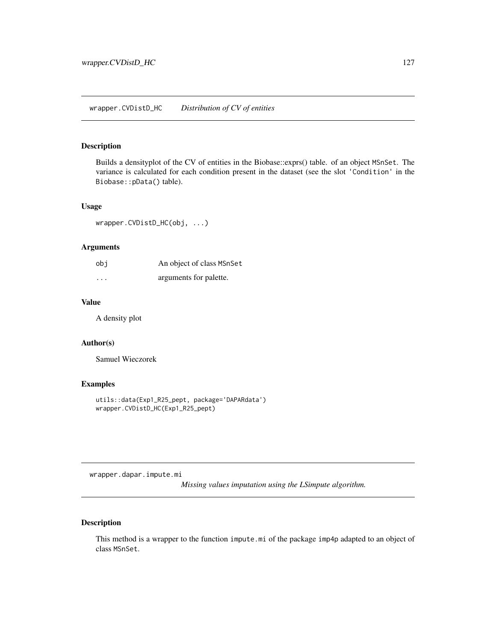wrapper.CVDistD\_HC *Distribution of CV of entities*

# Description

Builds a densityplot of the CV of entities in the Biobase::exprs() table. of an object MSnSet. The variance is calculated for each condition present in the dataset (see the slot 'Condition' in the Biobase::pData() table).

## Usage

wrapper.CVDistD\_HC(obj, ...)

# Arguments

| obi     | An object of class MSnSet |
|---------|---------------------------|
| $\cdot$ | arguments for palette.    |

#### Value

A density plot

# Author(s)

Samuel Wieczorek

# Examples

```
utils::data(Exp1_R25_pept, package='DAPARdata')
wrapper.CVDistD_HC(Exp1_R25_pept)
```
wrapper.dapar.impute.mi

*Missing values imputation using the LSimpute algorithm.*

# Description

This method is a wrapper to the function impute.mi of the package imp4p adapted to an object of class MSnSet.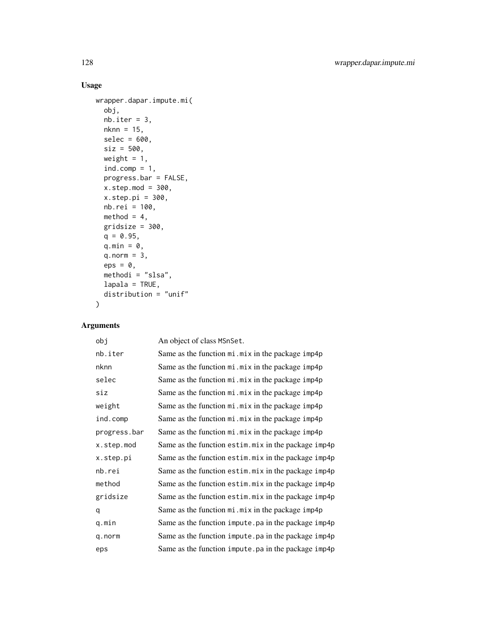# Usage

```
wrapper.dapar.impute.mi(
 obj,
 nb.iter = 3,nknn = 15,
 selec = 600,
 size = 500,weight = 1,
 ind.comp = 1,
 progress.bar = FALSE,
 x.setep.mod = 300,x.setep.pi = 300,nb.rei = 100,
 method = 4,gridsize = 300,
 q = 0.95,q.min = \theta,
 q.norm = 3,
 eps = 0,
 methodi = "slsa",
 lapala = TRUE,distribution = "unif"
\mathcal{L}
```
# Arguments

| obj          | An object of class MSnSet.                           |
|--------------|------------------------------------------------------|
| nb.iter      | Same as the function mi. mix in the package imp4p    |
| nknn         | Same as the function mi. mix in the package imp4p    |
| selec        | Same as the function mi.mix in the package imp4p     |
| siz          | Same as the function mi.mix in the package imp4p     |
| weight       | Same as the function mi. mix in the package imp4p    |
| ind.comp     | Same as the function mi. mix in the package imp4p    |
| progress.bar | Same as the function mi. mix in the package imp4p    |
| x.step.mod   | Same as the function estim.mix in the package imp4p  |
| x.step.pi    | Same as the function estim.mix in the package imp4p  |
| nb.rei       | Same as the function estim.mix in the package imp4p  |
| method       | Same as the function estim.mix in the package imp4p  |
| gridsize     | Same as the function estim.mix in the package imp4p  |
| q            | Same as the function mi. mix in the package imp4p    |
| q.min        | Same as the function impute. pa in the package imp4p |
| q.norm       | Same as the function impute.pa in the package imp4p  |
| eps          | Same as the function impute. pa in the package imp4p |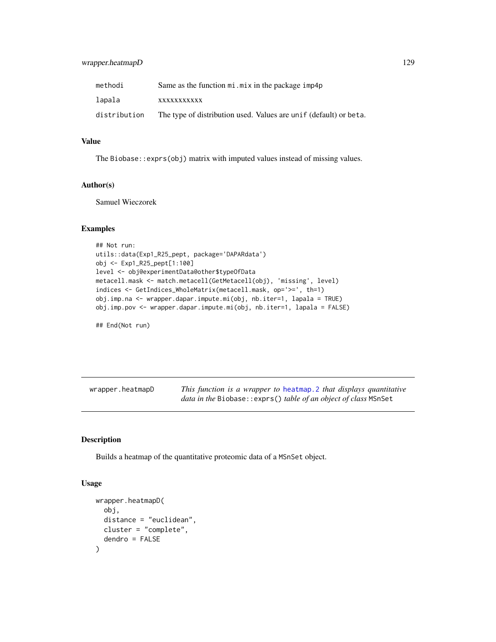# wrapper.heatmapD 129

| methodi      | Same as the function mi. mix in the package imp4p                 |
|--------------|-------------------------------------------------------------------|
| lapala       | <b>XXXXXXXXXX</b>                                                 |
| distribution | The type of distribution used. Values are unif (default) or beta. |

# Value

The Biobase::exprs(obj) matrix with imputed values instead of missing values.

# Author(s)

Samuel Wieczorek

# Examples

```
## Not run:
utils::data(Exp1_R25_pept, package='DAPARdata')
obj <- Exp1_R25_pept[1:100]
level <- obj@experimentData@other$typeOfData
metacell.mask <- match.metacell(GetMetacell(obj), 'missing', level)
indices <- GetIndices_WholeMatrix(metacell.mask, op='>=', th=1)
obj.imp.na <- wrapper.dapar.impute.mi(obj, nb.iter=1, lapala = TRUE)
obj.imp.pov <- wrapper.dapar.impute.mi(obj, nb.iter=1, lapala = FALSE)
```

```
## End(Not run)
```

| wrapper.heatmapD | This function is a wrapper to heatmap. 2 that displays quantitative     |
|------------------|-------------------------------------------------------------------------|
|                  | <i>data in the Biobase:: exprs() table of an object of class MSnSet</i> |

# Description

Builds a heatmap of the quantitative proteomic data of a MSnSet object.

## Usage

```
wrapper.heatmapD(
  obj,
  distance = "euclidean",
 cluster = "complete",
  dendro = FALSE
)
```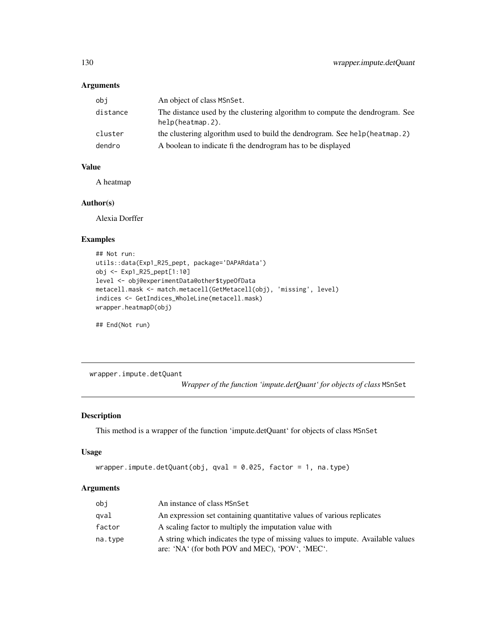# Arguments

| obi      | An object of class MSnSet.                                                                          |
|----------|-----------------------------------------------------------------------------------------------------|
| distance | The distance used by the clustering algorithm to compute the dendrogram. See<br>$help(heatmap.2)$ . |
| cluster  | the clustering algorithm used to build the dendrogram. See help (heatmap. 2)                        |
| dendro   | A boolean to indicate fi the dendrogram has to be displayed                                         |

# Value

A heatmap

## Author(s)

Alexia Dorffer

## Examples

```
## Not run:
utils::data(Exp1_R25_pept, package='DAPARdata')
obj <- Exp1_R25_pept[1:10]
level <- obj@experimentData@other$typeOfData
metacell.mask <- match.metacell(GetMetacell(obj), 'missing', level)
indices <- GetIndices_WholeLine(metacell.mask)
wrapper.heatmapD(obj)
```
## End(Not run)

wrapper.impute.detQuant

*Wrapper of the function 'impute.detQuant' for objects of class* MSnSet

# Description

This method is a wrapper of the function 'impute.detQuant' for objects of class MSnSet

# Usage

```
wrapper.impute.detQuant(obj, qval = 0.025, factor = 1, na.type)
```
## Arguments

| obi     | An instance of class MSnSet                                                                                                        |
|---------|------------------------------------------------------------------------------------------------------------------------------------|
| gval    | An expression set containing quantitative values of various replicates                                                             |
| factor  | A scaling factor to multiply the imputation value with                                                                             |
| na.type | A string which indicates the type of missing values to impute. Available values<br>are: 'NA' (for both POV and MEC), 'POV', 'MEC'. |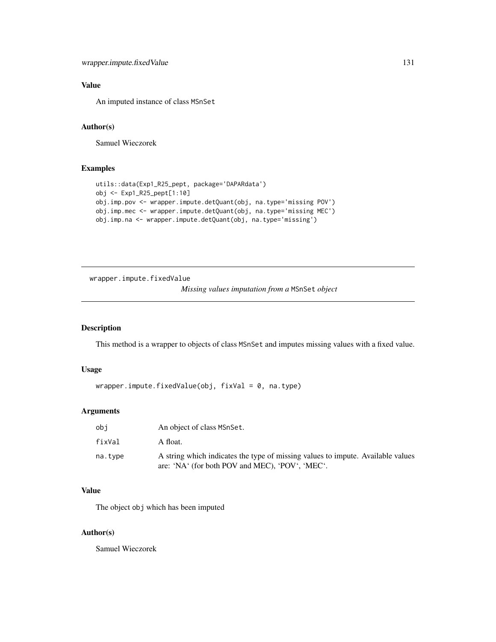# Value

An imputed instance of class MSnSet

# Author(s)

Samuel Wieczorek

# Examples

```
utils::data(Exp1_R25_pept, package='DAPARdata')
obj <- Exp1_R25_pept[1:10]
obj.imp.pov <- wrapper.impute.detQuant(obj, na.type='missing POV')
obj.imp.mec <- wrapper.impute.detQuant(obj, na.type='missing MEC')
obj.imp.na <- wrapper.impute.detQuant(obj, na.type='missing')
```
wrapper.impute.fixedValue

*Missing values imputation from a* MSnSet *object*

# Description

This method is a wrapper to objects of class MSnSet and imputes missing values with a fixed value.

# Usage

```
wrapper.impute.fixedValue(obj, fixVal = 0, na.type)
```
# Arguments

| obi     | An object of class MSnSet.                                                                                                         |
|---------|------------------------------------------------------------------------------------------------------------------------------------|
| fixVal  | A float.                                                                                                                           |
| na.tvpe | A string which indicates the type of missing values to impute. Available values<br>are: 'NA' (for both POV and MEC), 'POV', 'MEC'. |

# Value

The object obj which has been imputed

## Author(s)

Samuel Wieczorek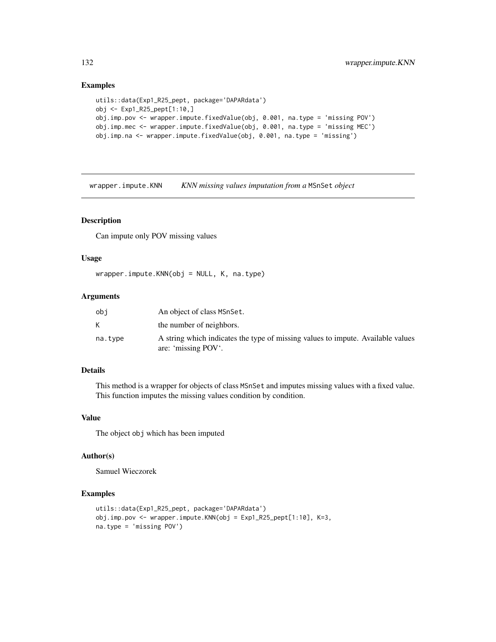## Examples

```
utils::data(Exp1_R25_pept, package='DAPARdata')
obj <- Exp1_R25_pept[1:10,]
obj.imp.pov <- wrapper.impute.fixedValue(obj, 0.001, na.type = 'missing POV')
obj.imp.mec <- wrapper.impute.fixedValue(obj, 0.001, na.type = 'missing MEC')
obj.imp.na <- wrapper.impute.fixedValue(obj, 0.001, na.type = 'missing')
```
wrapper.impute.KNN *KNN missing values imputation from a* MSnSet *object*

## Description

Can impute only POV missing values

## Usage

wrapper.impute.KNN(obj = NULL, K, na.type)

## Arguments

| obi     | An object of class MSnSet.                                                                             |
|---------|--------------------------------------------------------------------------------------------------------|
|         | the number of neighbors.                                                                               |
| na.tvpe | A string which indicates the type of missing values to impute. Available values<br>are: 'missing POV'. |

# Details

This method is a wrapper for objects of class MSnSet and imputes missing values with a fixed value. This function imputes the missing values condition by condition.

# Value

The object obj which has been imputed

#### Author(s)

Samuel Wieczorek

```
utils::data(Exp1_R25_pept, package='DAPARdata')
obj.imp.pov <- wrapper.impute.KNN(obj = Exp1_R25_pept[1:10], K=3,
na.type = 'missing POV')
```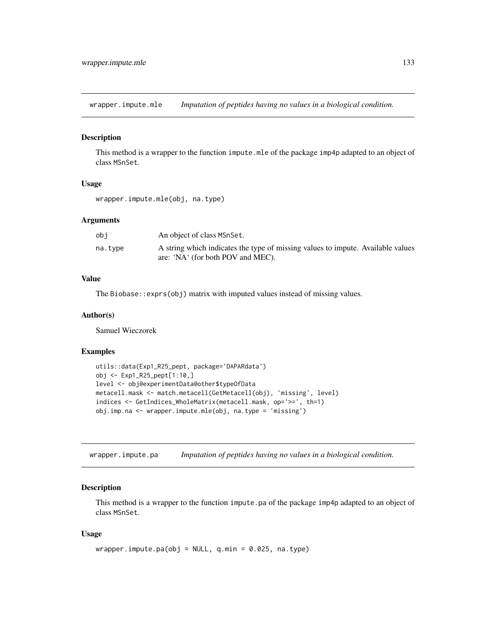wrapper.impute.mle *Imputation of peptides having no values in a biological condition.*

# Description

This method is a wrapper to the function impute.mle of the package imp4p adapted to an object of class MSnSet.

## Usage

```
wrapper.impute.mle(obj, na.type)
```
## **Arguments**

| obi     | An object of class MSnSet.                                                      |
|---------|---------------------------------------------------------------------------------|
| na.type | A string which indicates the type of missing values to impute. Available values |
|         | are: 'NA' (for both POV and MEC).                                               |

# Value

The Biobase::exprs(obj) matrix with imputed values instead of missing values.

## Author(s)

Samuel Wieczorek

## Examples

```
utils::data(Exp1_R25_pept, package='DAPARdata')
obj <- Exp1_R25_pept[1:10,]
level <- obj@experimentData@other$typeOfData
metacell.mask <- match.metacell(GetMetacell(obj), 'missing', level)
indices <- GetIndices_WholeMatrix(metacell.mask, op='>=', th=1)
obj.imp.na <- wrapper.impute.mle(obj, na.type = 'missing')
```
wrapper.impute.pa *Imputation of peptides having no values in a biological condition.*

#### Description

This method is a wrapper to the function impute.pa of the package imp4p adapted to an object of class MSnSet.

## Usage

```
wrapper.inpute.pa(obj = NULL, q.min = 0.025, na.type)
```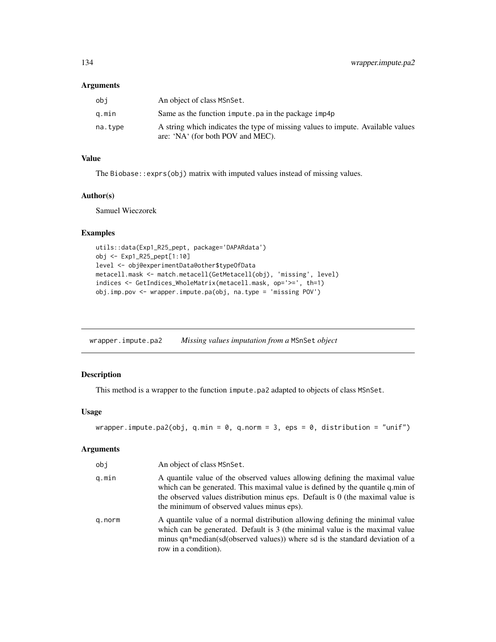#### Arguments

| obi     | An object of class MSnSet.                                                                                           |
|---------|----------------------------------------------------------------------------------------------------------------------|
| a.min   | Same as the function impute pa in the package imp4p                                                                  |
| na.tvpe | A string which indicates the type of missing values to impute. Available values<br>are: 'NA' (for both POV and MEC). |
|         |                                                                                                                      |

## Value

The Biobase::exprs(obj) matrix with imputed values instead of missing values.

# Author(s)

Samuel Wieczorek

# Examples

```
utils::data(Exp1_R25_pept, package='DAPARdata')
obj <- Exp1_R25_pept[1:10]
level <- obj@experimentData@other$typeOfData
metacell.mask <- match.metacell(GetMetacell(obj), 'missing', level)
indices <- GetIndices_WholeMatrix(metacell.mask, op='>=', th=1)
obj.imp.pov <- wrapper.impute.pa(obj, na.type = 'missing POV')
```
wrapper.impute.pa2 *Missing values imputation from a* MSnSet *object*

# Description

This method is a wrapper to the function impute.pa2 adapted to objects of class MSnSet.

# Usage

```
wrapper.impute.pa2(obj, q.min = 0, q.norm = 3, eps = 0, distribution = "unif")
```
#### Arguments

| obj    | An object of class MSnSet.                                                                                                                                                                                                                                                                    |
|--------|-----------------------------------------------------------------------------------------------------------------------------------------------------------------------------------------------------------------------------------------------------------------------------------------------|
| q.min  | A quantile value of the observed values allowing defining the maximal value<br>which can be generated. This maximal value is defined by the quantile q.min of<br>the observed values distribution minus eps. Default is 0 (the maximal value is<br>the minimum of observed values minus eps). |
| q.norm | A quantile value of a normal distribution allowing defining the minimal value<br>which can be generated. Default is 3 (the minimal value is the maximal value<br>minus qn*median(sd(observed values)) where sd is the standard deviation of a<br>row in a condition).                         |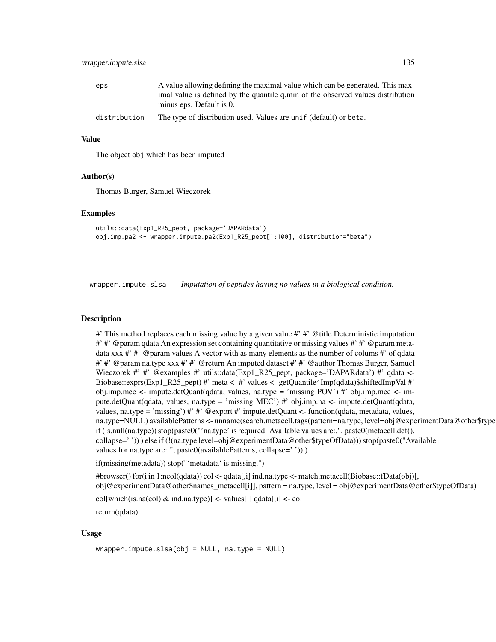| eps          | A value allowing defining the maximal value which can be generated. This max-   |
|--------------|---------------------------------------------------------------------------------|
|              | imal value is defined by the quantile q min of the observed values distribution |
|              | minus eps. Default is 0.                                                        |
| distribution | The type of distribution used. Values are unif (default) or beta.               |

## Value

The object obj which has been imputed

#### Author(s)

Thomas Burger, Samuel Wieczorek

## Examples

```
utils::data(Exp1_R25_pept, package='DAPARdata')
obj.imp.pa2 <- wrapper.impute.pa2(Exp1_R25_pept[1:100], distribution="beta")
```
wrapper.impute.slsa *Imputation of peptides having no values in a biological condition.*

#### **Description**

#' This method replaces each missing value by a given value #' #' @title Deterministic imputation #' #' @param qdata An expression set containing quantitative or missing values #' #' @param metadata xxx  $\#$   $\#$  @param values A vector with as many elements as the number of colums  $\#$  of qdata #' #' @param na.type xxx #' #' @return An imputed dataset #' #' @author Thomas Burger, Samuel Wieczorek #' #' @examples #' utils::data(Exp1\_R25\_pept, package='DAPARdata') #' qdata <-Biobase::exprs(Exp1\_R25\_pept) #' meta <- #' values <- getQuantile4Imp(qdata)\$shiftedImpVal #' obj.imp.mec <- impute.detQuant(qdata, values, na.type = 'missing POV') #' obj.imp.mec <- impute.detQuant(qdata, values, na.type = 'missing MEC') #' obj.imp.na <- impute.detQuant(qdata, values, na.type = 'missing') #' #' @export #' impute.detQuant <- function(qdata, metadata, values, na.type=NULL) availablePatterns <- unname(search.metacell.tags(pattern=na.type, level=obj@experimentData@other\$type if (is.null(na.type)) stop(paste0("'na.type' is required. Available values are:.", paste0(metacell.def(), collapse=' ')) ) else if (!(na.type level=obj@experimentData@other\$typeOfData))) stop(paste0("Available values for na.type are: ", paste0(availablePatterns, collapse=''))) )

if(missing(metadata)) stop("'metadata' is missing.")

#browser() for(i in 1:ncol(qdata)) col <- qdata[,i] ind.na.type <- match.metacell(Biobase::fData(obj)[, obj@experimentData@other\$names\_metacell[i]], pattern = na.type, level = obj@experimentData@other\$typeOfData)

 $col[which(is.na(co]) & ind.na.type)] < values[i] adata[j] < col$ return(qdata)

## Usage

wrapper.impute.slsa(obj = NULL, na.type = NULL)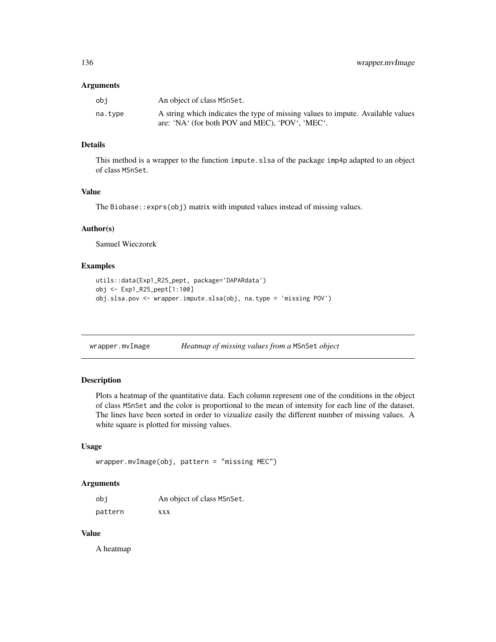#### Arguments

| obi     | An object of class MSnSet.                                                      |
|---------|---------------------------------------------------------------------------------|
| na.tvpe | A string which indicates the type of missing values to impute. Available values |
|         | are: 'NA' (for both POV and MEC), 'POV', 'MEC'.                                 |

# Details

This method is a wrapper to the function impute.slsa of the package imp4p adapted to an object of class MSnSet.

## Value

The Biobase::exprs(obj) matrix with imputed values instead of missing values.

## Author(s)

Samuel Wieczorek

## Examples

```
utils::data(Exp1_R25_pept, package='DAPARdata')
obj <- Exp1_R25_pept[1:100]
obj.slsa.pov <- wrapper.impute.slsa(obj, na.type = 'missing POV')
```
wrapper.mvImage *Heatmap of missing values from a* MSnSet *object*

# Description

Plots a heatmap of the quantitative data. Each column represent one of the conditions in the object of class MSnSet and the color is proportional to the mean of intensity for each line of the dataset. The lines have been sorted in order to vizualize easily the different number of missing values. A white square is plotted for missing values.

#### Usage

```
wrapper.mvImage(obj, pattern = "missing MEC")
```
#### Arguments

| obi     | An object of class MSnSet. |
|---------|----------------------------|
| pattern | <b>XXX</b>                 |

# Value

A heatmap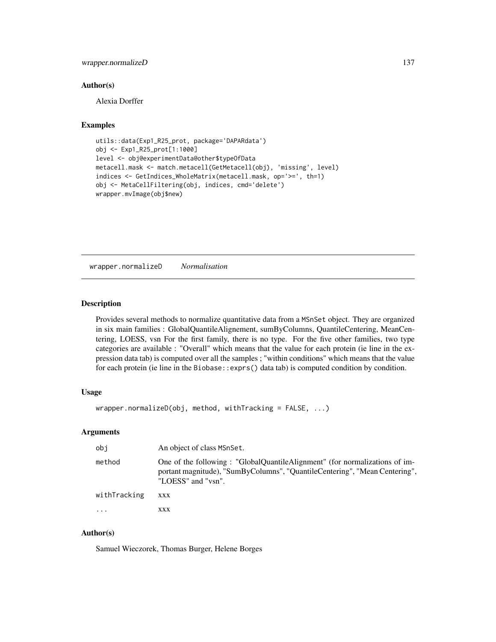## wrapper.normalizeD 137

## Author(s)

Alexia Dorffer

# Examples

```
utils::data(Exp1_R25_prot, package='DAPARdata')
obj <- Exp1_R25_prot[1:1000]
level <- obj@experimentData@other$typeOfData
metacell.mask <- match.metacell(GetMetacell(obj), 'missing', level)
indices <- GetIndices_WholeMatrix(metacell.mask, op='>=', th=1)
obj <- MetaCellFiltering(obj, indices, cmd='delete')
wrapper.mvImage(obj$new)
```
wrapper.normalizeD *Normalisation*

# Description

Provides several methods to normalize quantitative data from a MSnSet object. They are organized in six main families : GlobalQuantileAlignement, sumByColumns, QuantileCentering, MeanCentering, LOESS, vsn For the first family, there is no type. For the five other families, two type categories are available : "Overall" which means that the value for each protein (ie line in the expression data tab) is computed over all the samples ; "within conditions" which means that the value for each protein (ie line in the Biobase::exprs() data tab) is computed condition by condition.

# Usage

```
wrapper.normalizeD(obj, method, withTracking = FALSE, ...)
```
# Arguments

| obi          | An object of class MSnSet.                                                                                                                                                     |
|--------------|--------------------------------------------------------------------------------------------------------------------------------------------------------------------------------|
| method       | One of the following: "GlobalQuantileAlignment" (for normalizations of im-<br>portant magnitude), "SumByColumns", "QuantileCentering", "Mean Centering",<br>"LOESS" and "vsn". |
| withTracking | <b>XXX</b>                                                                                                                                                                     |
| $\cdots$     | XXX                                                                                                                                                                            |

# Author(s)

Samuel Wieczorek, Thomas Burger, Helene Borges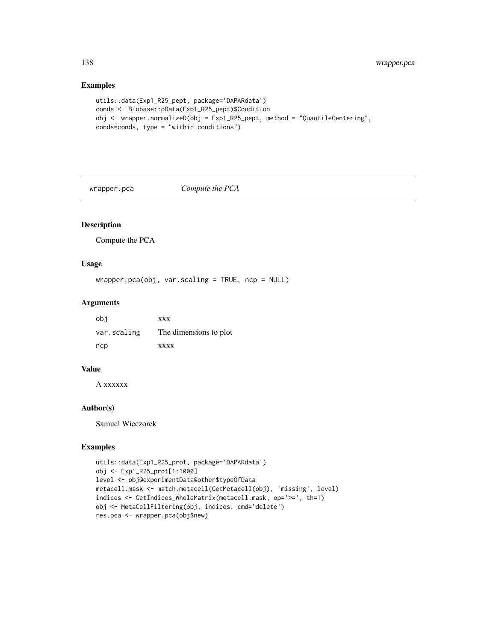# Examples

```
utils::data(Exp1_R25_pept, package='DAPARdata')
conds <- Biobase::pData(Exp1_R25_pept)$Condition
obj <- wrapper.normalizeD(obj = Exp1_R25_pept, method = "QuantileCentering",
conds=conds, type = "within conditions")
```
wrapper.pca *Compute the PCA*

# Description

Compute the PCA

# Usage

wrapper.pca(obj, var.scaling = TRUE, ncp = NULL)

# Arguments

| obi         | <b>XXX</b>             |
|-------------|------------------------|
| var.scaling | The dimensions to plot |
| ncp         | <b>XXXX</b>            |

# Value

A xxxxxx

# Author(s)

Samuel Wieczorek

```
utils::data(Exp1_R25_prot, package='DAPARdata')
obj <- Exp1_R25_prot[1:1000]
level <- obj@experimentData@other$typeOfData
metacell.mask <- match.metacell(GetMetacell(obj), 'missing', level)
indices <- GetIndices_WholeMatrix(metacell.mask, op='>=', th=1)
obj <- MetaCellFiltering(obj, indices, cmd='delete')
res.pca <- wrapper.pca(obj$new)
```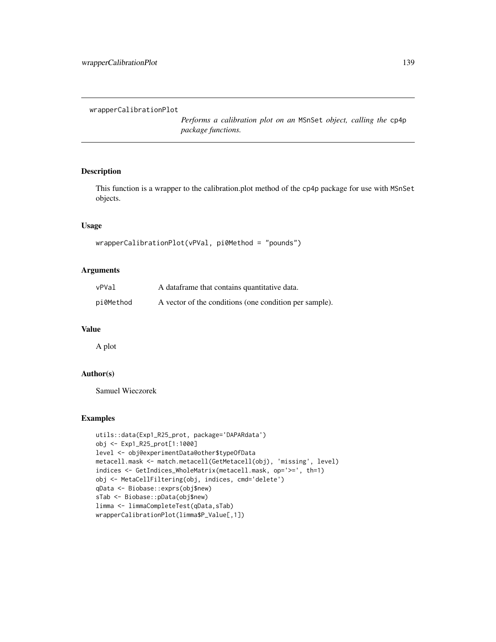wrapperCalibrationPlot

*Performs a calibration plot on an* MSnSet *object, calling the* cp4p *package functions.*

## Description

This function is a wrapper to the calibration.plot method of the cp4p package for use with MSnSet objects.

# Usage

```
wrapperCalibrationPlot(vPVal, pi0Method = "pounds")
```
## Arguments

| vPVal     | A dataframe that contains quantitative data.           |
|-----------|--------------------------------------------------------|
| pi0Method | A vector of the conditions (one condition per sample). |

#### Value

A plot

# Author(s)

Samuel Wieczorek

```
utils::data(Exp1_R25_prot, package='DAPARdata')
obj <- Exp1_R25_prot[1:1000]
level <- obj@experimentData@other$typeOfData
metacell.mask <- match.metacell(GetMetacell(obj), 'missing', level)
indices <- GetIndices_WholeMatrix(metacell.mask, op='>=', th=1)
obj <- MetaCellFiltering(obj, indices, cmd='delete')
qData <- Biobase::exprs(obj$new)
sTab <- Biobase::pData(obj$new)
limma <- limmaCompleteTest(qData,sTab)
wrapperCalibrationPlot(limma$P_Value[,1])
```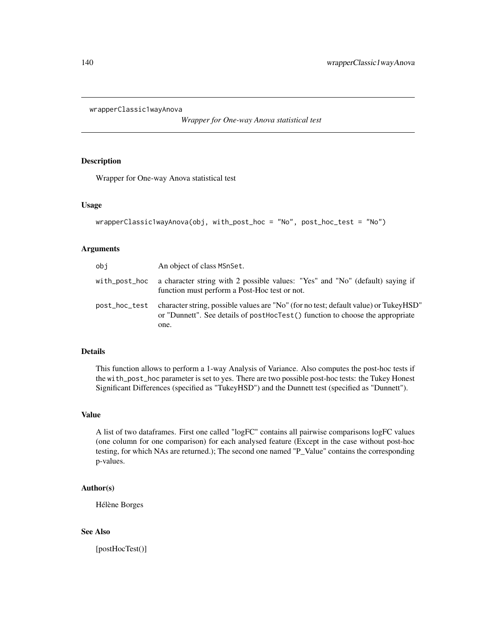```
wrapperClassic1wayAnova
```
*Wrapper for One-way Anova statistical test*

# Description

Wrapper for One-way Anova statistical test

## Usage

```
wrapperClassic1wayAnova(obj, with_post_hoc = "No", post_hoc_test = "No")
```
# Arguments

| obi           | An object of class MSnSet.                                                                                                                                            |
|---------------|-----------------------------------------------------------------------------------------------------------------------------------------------------------------------|
| with_post_hoc | a character string with 2 possible values: "Yes" and "No" (default) saying if<br>function must perform a Post-Hoc test or not.                                        |
| post_hoc_test | character string, possible values are "No" (for no test; default value) or TukeyHSD"<br>or "Dunnett". See details of post-order to the choose the appropriate<br>one. |

# Details

This function allows to perform a 1-way Analysis of Variance. Also computes the post-hoc tests if the with\_post\_hoc parameter is set to yes. There are two possible post-hoc tests: the Tukey Honest Significant Differences (specified as "TukeyHSD") and the Dunnett test (specified as "Dunnett").

## Value

A list of two dataframes. First one called "logFC" contains all pairwise comparisons logFC values (one column for one comparison) for each analysed feature (Except in the case without post-hoc testing, for which NAs are returned.); The second one named "P\_Value" contains the corresponding p-values.

#### Author(s)

Hélène Borges

## See Also

[postHocTest()]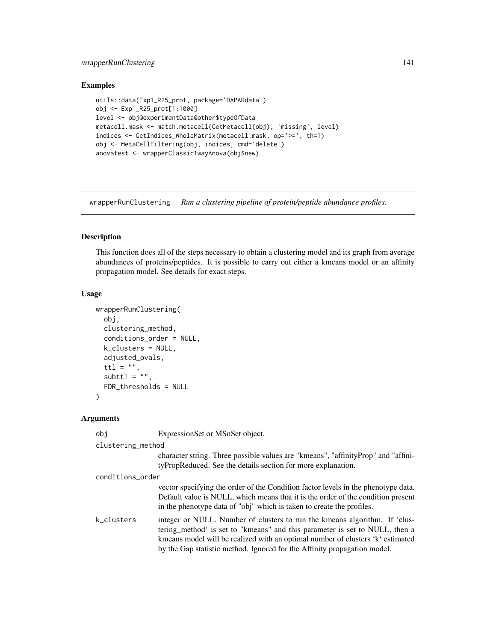# wrapperRunClustering 141

# Examples

```
utils::data(Exp1_R25_prot, package='DAPARdata')
obj <- Exp1_R25_prot[1:1000]
level <- obj@experimentData@other$typeOfData
metacell.mask <- match.metacell(GetMetacell(obj), 'missing', level)
indices <- GetIndices_WholeMatrix(metacell.mask, op='>=', th=1)
obj <- MetaCellFiltering(obj, indices, cmd='delete')
anovatest <- wrapperClassic1wayAnova(obj$new)
```
wrapperRunClustering *Run a clustering pipeline of protein/peptide abundance profiles.*

# Description

This function does all of the steps necessary to obtain a clustering model and its graph from average abundances of proteins/peptides. It is possible to carry out either a kmeans model or an affinity propagation model. See details for exact steps.

# Usage

```
wrapperRunClustering(
  obj,
  clustering_method,
  conditions_order = NULL,
  k_clusters = NULL,
  adjusted_pvals,
  ttl = ",
  subttl = "FDR_thresholds = NULL
\mathcal{L}
```
# Arguments

| obi               | ExpressionSet or MSnSet object.                                                                                                                                                                                                                                                                                        |
|-------------------|------------------------------------------------------------------------------------------------------------------------------------------------------------------------------------------------------------------------------------------------------------------------------------------------------------------------|
| clustering_method |                                                                                                                                                                                                                                                                                                                        |
|                   | character string. Three possible values are "kmeans", "affinityProp" and "affini-<br>tyPropReduced. See the details section for more explanation.                                                                                                                                                                      |
| conditions_order  |                                                                                                                                                                                                                                                                                                                        |
|                   | vector specifying the order of the Condition factor levels in the phenotype data.<br>Default value is NULL, which means that it is the order of the condition present<br>in the phenotype data of "obj" which is taken to create the profiles.                                                                         |
| k clusters        | integer or NULL. Number of clusters to run the kmeans algorithm. If 'clus-<br>tering method is set to "kmeans" and this parameter is set to NULL, then a<br>kmeans model will be realized with an optimal number of clusters 'k' estimated<br>by the Gap statistic method. Ignored for the Affinity propagation model. |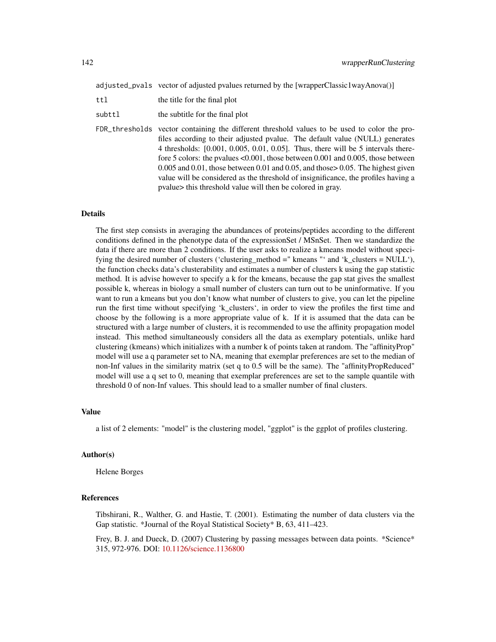adjusted\_pvals vector of adjusted pvalues returned by the [wrapperClassic1wayAnova()]

| ttl    | the title for the final plot                                                                                                                                                                                                                                                                                                                                                                                                                                                                                                                                                                                 |
|--------|--------------------------------------------------------------------------------------------------------------------------------------------------------------------------------------------------------------------------------------------------------------------------------------------------------------------------------------------------------------------------------------------------------------------------------------------------------------------------------------------------------------------------------------------------------------------------------------------------------------|
| subttl | the subtitle for the final plot                                                                                                                                                                                                                                                                                                                                                                                                                                                                                                                                                                              |
|        | FDR_thresholds vector containing the different threshold values to be used to color the pro-<br>files according to their adjusted pvalue. The default value (NULL) generates<br>4 thresholds: $[0.001, 0.005, 0.01, 0.05]$ . Thus, there will be 5 intervals there-<br>fore 5 colors: the pvalues $< 0.001$ , those between 0.001 and 0.005, those between<br>$0.005$ and $0.01$ , those between $0.01$ and $0.05$ , and those $0.05$ . The highest given<br>value will be considered as the threshold of insignificance, the profiles having a<br>pvalue this threshold value will then be colored in gray. |

# Details

The first step consists in averaging the abundances of proteins/peptides according to the different conditions defined in the phenotype data of the expressionSet / MSnSet. Then we standardize the data if there are more than 2 conditions. If the user asks to realize a kmeans model without specifying the desired number of clusters ('clustering\_method =" kmeans "' and 'k\_clusters = NULL'), the function checks data's clusterability and estimates a number of clusters k using the gap statistic method. It is advise however to specify a k for the kmeans, because the gap stat gives the smallest possible k, whereas in biology a small number of clusters can turn out to be uninformative. If you want to run a kmeans but you don't know what number of clusters to give, you can let the pipeline run the first time without specifying 'k\_clusters', in order to view the profiles the first time and choose by the following is a more appropriate value of k. If it is assumed that the data can be structured with a large number of clusters, it is recommended to use the affinity propagation model instead. This method simultaneously considers all the data as exemplary potentials, unlike hard clustering (kmeans) which initializes with a number k of points taken at random. The "affinityProp" model will use a q parameter set to NA, meaning that exemplar preferences are set to the median of non-Inf values in the similarity matrix (set q to 0.5 will be the same). The "affinityPropReduced" model will use a q set to 0, meaning that exemplar preferences are set to the sample quantile with threshold 0 of non-Inf values. This should lead to a smaller number of final clusters.

#### Value

a list of 2 elements: "model" is the clustering model, "ggplot" is the ggplot of profiles clustering.

#### Author(s)

Helene Borges

# References

Tibshirani, R., Walther, G. and Hastie, T. (2001). Estimating the number of data clusters via the Gap statistic. \*Journal of the Royal Statistical Society\* B, 63, 411–423.

Frey, B. J. and Dueck, D. (2007) Clustering by passing messages between data points. \*Science\* 315, 972-976. DOI: [10.1126/science.1136800](https://science.sciencemag.org/content/315/5814/972)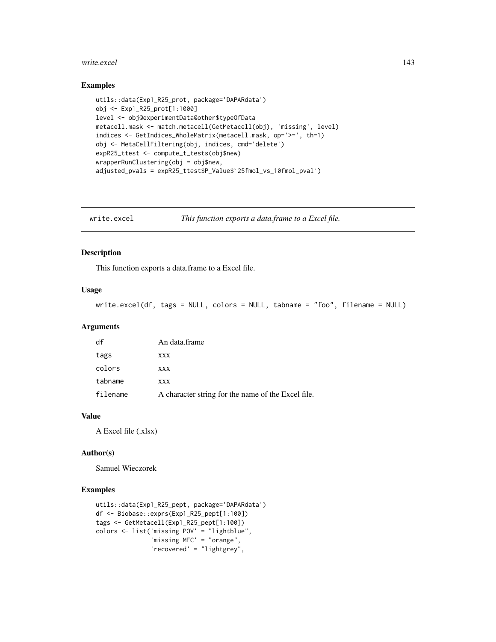#### write.excel 143

## Examples

```
utils::data(Exp1_R25_prot, package='DAPARdata')
obj <- Exp1_R25_prot[1:1000]
level <- obj@experimentData@other$typeOfData
metacell.mask <- match.metacell(GetMetacell(obj), 'missing', level)
indices <- GetIndices_WholeMatrix(metacell.mask, op='>=', th=1)
obj <- MetaCellFiltering(obj, indices, cmd='delete')<br>expR25_ttest <- compute_t_tests(obj$new)<br>wrapperRunClustering(obj = obj$new,<br>adjusted_pvals = expR25_ttest$P_Value$`25fmol_vs_10fmol_pval`)
expR25_ttest <- compute_t_tests(obj$new)
wrapperRunClustering(obj = obj$new,
```
write.excel *This function exports a data.frame to a Excel file.*

## Description

This function exports a data.frame to a Excel file.

# Usage

```
write.excel(df, tags = NULL, colors = NULL, tabname = "foo", filename = NULL)
```
## Arguments

| df       | An data.frame                                      |
|----------|----------------------------------------------------|
| tags     | XXX                                                |
| colors   | XXX                                                |
| tabname  | <b>XXX</b>                                         |
| filename | A character string for the name of the Excel file. |

## Value

A Excel file (.xlsx)

## Author(s)

Samuel Wieczorek

```
utils::data(Exp1_R25_pept, package='DAPARdata')
df <- Biobase::exprs(Exp1_R25_pept[1:100])
tags <- GetMetacell(Exp1_R25_pept[1:100])
colors <- list('missing POV' = "lightblue",
               'missing MEC' = "orange",
               'recovered' = "lightgrey",
```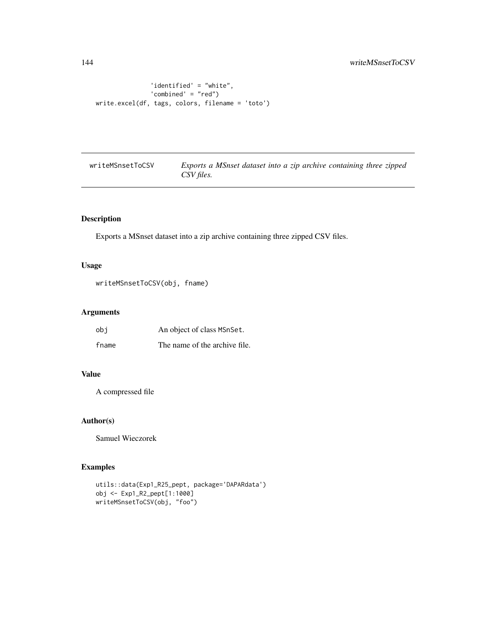```
'identified' = "white",
               'combined' = "red")
write.excel(df, tags, colors, filename = 'toto')
```
writeMSnsetToCSV *Exports a MSnset dataset into a zip archive containing three zipped CSV files.*

# Description

Exports a MSnset dataset into a zip archive containing three zipped CSV files.

## Usage

```
writeMSnsetToCSV(obj, fname)
```
# Arguments

| obi   | An object of class MSnSet.    |
|-------|-------------------------------|
| fname | The name of the archive file. |

## Value

A compressed file

# Author(s)

Samuel Wieczorek

```
utils::data(Exp1_R25_pept, package='DAPARdata')
obj <- Exp1_R2_pept[1:1000]
writeMSnsetToCSV(obj, "foo")
```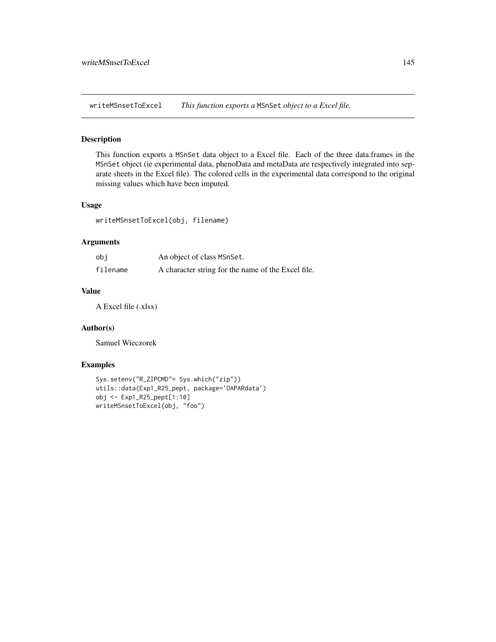<span id="page-144-0"></span>writeMSnsetToExcel *This function exports a* MSnSet *object to a Excel file.*

## Description

This function exports a MSnSet data object to a Excel file. Each of the three data.frames in the MSnSet object (ie experimental data, phenoData and metaData are respectively integrated into separate sheets in the Excel file). The colored cells in the experimental data correspond to the original missing values which have been imputed.

## Usage

writeMSnsetToExcel(obj, filename)

#### Arguments

| obi      | An object of class MSnSet.                         |
|----------|----------------------------------------------------|
| filename | A character string for the name of the Excel file. |

### Value

A Excel file (.xlsx)

#### Author(s)

Samuel Wieczorek

## Examples

```
Sys.setenv("R_ZIPCMD"= Sys.which("zip"))
utils::data(Exp1_R25_pept, package='DAPARdata')
obj <- Exp1_R25_pept[1:10]
writeMSnsetToExcel(obj, "foo")
```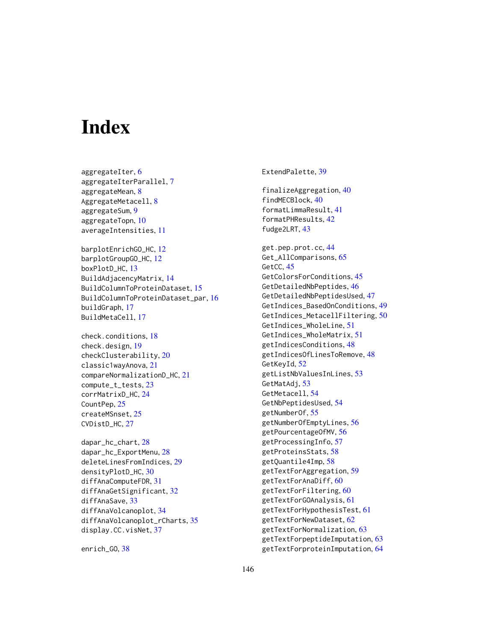# **Index**

aggregateIter, [6](#page-5-0) aggregateIterParallel, [7](#page-6-0) aggregateMean, [8](#page-7-0) AggregateMetacell, [8](#page-7-0) aggregateSum, [9](#page-8-0) aggregateTopn, [10](#page-9-0) averageIntensities, [11](#page-10-0)

barplotEnrichGO\_HC, [12](#page-11-0) barplotGroupGO\_HC, [12](#page-11-0) boxPlotD\_HC, [13](#page-12-0) BuildAdjacencyMatrix, [14](#page-13-0) BuildColumnToProteinDataset, [15](#page-14-0) BuildColumnToProteinDataset\_par, [16](#page-15-0) buildGraph, [17](#page-16-0) BuildMetaCell, [17](#page-16-0)

check.conditions, [18](#page-17-0) check.design, [19](#page-18-0) checkClusterability, [20](#page-19-0) classic1wayAnova, [21](#page-20-0) compareNormalizationD\_HC, [21](#page-20-0) compute\_t\_tests, [23](#page-22-0) corrMatrixD\_HC, [24](#page-23-0) CountPep, [25](#page-24-0) createMSnset, [25](#page-24-0) CVDistD\_HC, [27](#page-26-0)

dapar\_hc\_chart, [28](#page-27-0) dapar\_hc\_ExportMenu, [28](#page-27-0) deleteLinesFromIndices, [29](#page-28-0) densityPlotD\_HC, [30](#page-29-0) diffAnaComputeFDR, [31](#page-30-0) diffAnaGetSignificant, [32](#page-31-0) diffAnaSave, [33](#page-32-0) diffAnaVolcanoplot, [34](#page-33-0) diffAnaVolcanoplot\_rCharts, [35](#page-34-0) display.CC.visNet, [37](#page-36-0)

enrich\_GO, [38](#page-37-0)

ExtendPalette, [39](#page-38-0) finalizeAggregation, [40](#page-39-0) findMECBlock, [40](#page-39-0) formatLimmaResult, [41](#page-40-0) formatPHResults, [42](#page-41-0) fudge2LRT, [43](#page-42-0) get.pep.prot.cc, [44](#page-43-0) Get\_AllComparisons, [65](#page-64-0) GetCC, [45](#page-44-0) GetColorsForConditions, [45](#page-44-0) GetDetailedNbPeptides, [46](#page-45-0) GetDetailedNbPeptidesUsed, [47](#page-46-0) GetIndices\_BasedOnConditions, [49](#page-48-0) GetIndices\_MetacellFiltering, [50](#page-49-0) GetIndices\_WholeLine, [51](#page-50-0) GetIndices\_WholeMatrix, [51](#page-50-0) getIndicesConditions, [48](#page-47-0) getIndicesOfLinesToRemove, [48](#page-47-0) GetKeyId, [52](#page-51-0) getListNbValuesInLines, [53](#page-52-0) GetMatAdj, [53](#page-52-0) GetMetacell, [54](#page-53-0) GetNbPeptidesUsed, [54](#page-53-0) getNumberOf, [55](#page-54-0) getNumberOfEmptyLines, [56](#page-55-0) getPourcentageOfMV, [56](#page-55-0) getProcessingInfo, [57](#page-56-0) getProteinsStats, [58](#page-57-0) getQuantile4Imp, [58](#page-57-0) getTextForAggregation, [59](#page-58-0) getTextForAnaDiff, [60](#page-59-0) getTextForFiltering, [60](#page-59-0) getTextForGOAnalysis, [61](#page-60-0) getTextForHypothesisTest, [61](#page-60-0) getTextForNewDataset, [62](#page-61-0) getTextForNormalization, [63](#page-62-0) getTextForpeptideImputation, [63](#page-62-0) getTextForproteinImputation, [64](#page-63-0)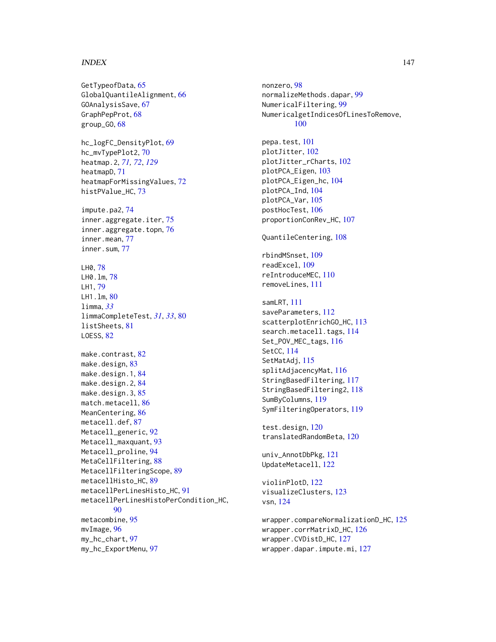#### INDEX 147

GetTypeofData, [65](#page-64-0) GlobalQuantileAlignment, [66](#page-65-0) GOAnalysisSave, [67](#page-66-0) GraphPepProt, [68](#page-67-0) group\_GO, [68](#page-67-0) hc\_logFC\_DensityPlot, [69](#page-68-0) hc\_mvTypePlot2, [70](#page-69-0) heatmap.2, *[71,](#page-70-0) [72](#page-71-0)*, *[129](#page-128-0)* heatmapD, [71](#page-70-0) heatmapForMissingValues, [72](#page-71-0) histPValue\_HC, [73](#page-72-0) impute.pa2, [74](#page-73-0) inner.aggregate.iter, [75](#page-74-0) inner.aggregate.topn, [76](#page-75-0) inner.mean, [77](#page-76-0) inner.sum, [77](#page-76-0) LH0, [78](#page-77-0) LH0.lm, [78](#page-77-0) LH1, [79](#page-78-0) LH1.lm, [80](#page-79-0) limma, *[33](#page-32-0)* limmaCompleteTest, *[31](#page-30-0)*, *[33](#page-32-0)*, [80](#page-79-0) listSheets, [81](#page-80-0) LOESS, [82](#page-81-0) make.contrast, [82](#page-81-0) make.design, [83](#page-82-0) make.design.1, [84](#page-83-0) make.design.2, [84](#page-83-0) make.design.3, [85](#page-84-0) match.metacell, [86](#page-85-0) MeanCentering, [86](#page-85-0) metacell.def, [87](#page-86-0) Metacell\_generic, [92](#page-91-0) Metacell\_maxquant, [93](#page-92-0) Metacell\_proline, [94](#page-93-0) MetaCellFiltering, [88](#page-87-0) MetacellFilteringScope, [89](#page-88-0) metacellHisto\_HC, [89](#page-88-0) metacellPerLinesHisto\_HC, [91](#page-90-0) metacellPerLinesHistoPerCondition\_HC, [90](#page-89-0) metacombine, [95](#page-94-0) mvImage, [96](#page-95-0) my\_hc\_chart, [97](#page-96-0) my\_hc\_ExportMenu, [97](#page-96-0)

nonzero, [98](#page-97-0) normalizeMethods.dapar, [99](#page-98-0) NumericalFiltering, [99](#page-98-0) NumericalgetIndicesOfLinesToRemove, [100](#page-99-0) pepa.test, [101](#page-100-0) plotJitter, [102](#page-101-0) plotJitter\_rCharts, [102](#page-101-0) plotPCA\_Eigen, [103](#page-102-0) plotPCA\_Eigen\_hc, [104](#page-103-0) plotPCA\_Ind, [104](#page-103-0) plotPCA\_Var, [105](#page-104-0) postHocTest, [106](#page-105-0) proportionConRev\_HC, [107](#page-106-0) QuantileCentering, [108](#page-107-0) rbindMSnset, [109](#page-108-0) readExcel, [109](#page-108-0) reIntroduceMEC, [110](#page-109-0) removeLines, [111](#page-110-0) samLRT, [111](#page-110-0) saveParameters, [112](#page-111-0) scatterplotEnrichGO\_HC, [113](#page-112-0) search.metacell.tags, [114](#page-113-0) Set\_POV\_MEC\_tags, [116](#page-115-0) SetCC, [114](#page-113-0) SetMatAdj, [115](#page-114-0) splitAdjacencyMat, [116](#page-115-0) StringBasedFiltering, [117](#page-116-0) StringBasedFiltering2, [118](#page-117-0) SumByColumns, [119](#page-118-0) SymFilteringOperators, [119](#page-118-0) test.design, [120](#page-119-0) translatedRandomBeta, [120](#page-119-0) univ\_AnnotDbPkg, [121](#page-120-0) UpdateMetacell, [122](#page-121-0) violinPlotD, [122](#page-121-0) visualizeClusters, [123](#page-122-0) vsn, [124](#page-123-0) wrapper.compareNormalizationD\_HC, [125](#page-124-0) wrapper.corrMatrixD\_HC, [126](#page-125-0) wrapper.CVDistD\_HC, [127](#page-126-0) wrapper.dapar.impute.mi, [127](#page-126-0)